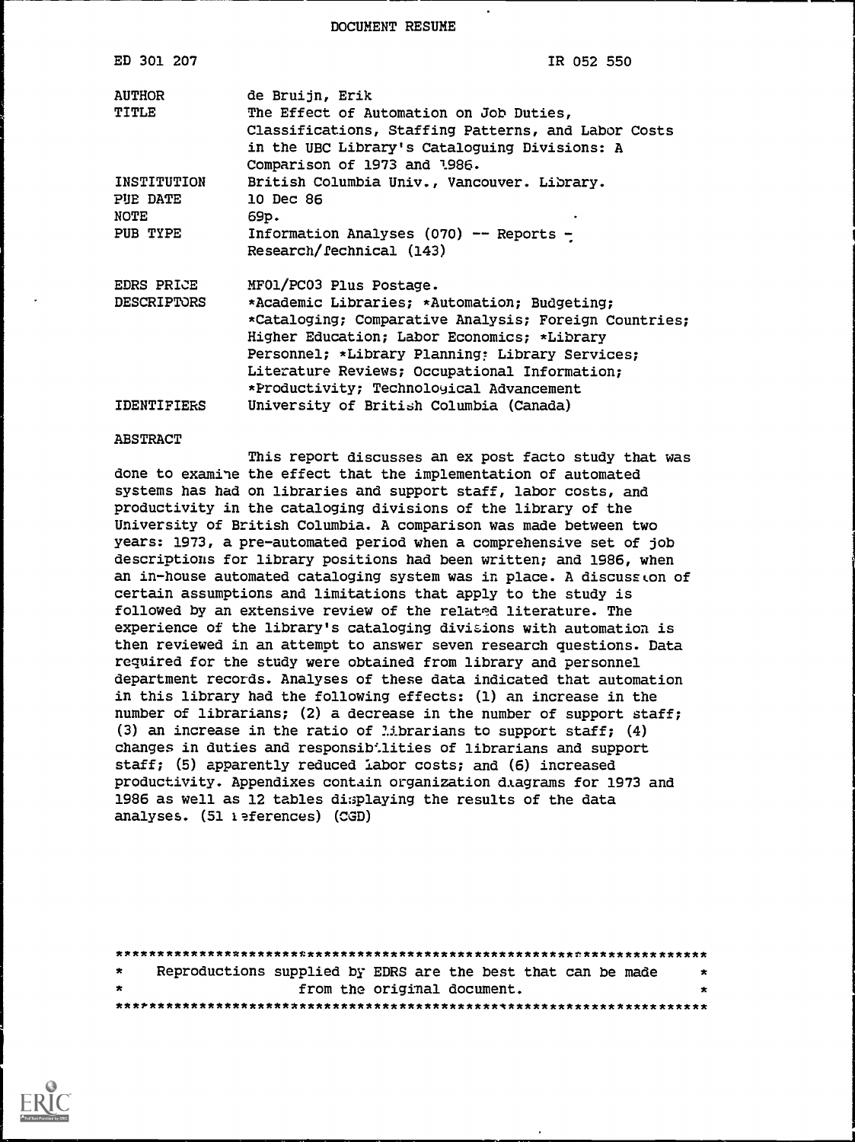DOCUMENT RESUME

| ED 301 207         | IR 052 550                                            |
|--------------------|-------------------------------------------------------|
| <b>AUTHOR</b>      | de Bruijn, Erik                                       |
| TITLE              | The Effect of Automation on Job Duties,               |
|                    | Classifications, Staffing Patterns, and Labor Costs   |
|                    | in the UBC Library's Cataloguing Divisions: A         |
|                    | Comparison of 1973 and 1986.                          |
| INSTITUTION        | British Columbia Univ., Vancouver. Library.           |
| PUE DATE           | 10 Dec 86                                             |
| NOTE               | 69p.                                                  |
| PUB TYPE           | Information Analyses (070) -- Reports -               |
|                    | Research/fechnical (143)                              |
| EDRS PRICE         | MF01/PC03 Plus Postage.                               |
| <b>DESCRIPTORS</b> | *Academic Libraries; *Automation; Budgeting;          |
|                    | *Cataloging; Comparative Analysis; Foreign Countries; |
|                    | Higher Education; Labor Economics; *Library           |
|                    | Personnel; *Library Planning: Library Services;       |
|                    | Literature Reviews; Occupational Information;         |
|                    | *Productivity; Technoloyical Advancement              |
| <b>IDENTIFIERS</b> | University of British Columbia (Canada)               |

#### ABSTRACT

This report discusses an ex post facto study that was done to examine the effect that the implementation of automated systems has had on libraries and support staff, labor costs, and productivity in the cataloging divisions of the library of the University of British Columbia. A comparison was made between two years: 1973, a pre-automated period when a comprehensive set of job descriptions for library positions had been written; and 1986, when an in-house automated cataloging system was in place. A discuss on of certain assumptions and limitations that apply to the study is followed by an extensive review of the related literature. The experience of the library's cataloging divisions with automation is then reviewed in an attempt to answer seven research questions. Data required for the study were obtained from library and personnel department records. Analyses of these data indicated that automation in this library had the following effects: (1) an increase in the number of librarians; (2) a decrease in the number of support staff; (3) an increase in the ratio of *librarians* to support staff;  $(4)$ changes in duties and responsibilities of librarians and support staff; (5) apparently reduced labor costs; and (6) increased productivity. Appendixes contain organization diagrams for 1973 and 1986 as well as 12 tables displaying the results of the data analyses. (51 1 eferences) (CGD)

| $\star$ |  |                             | Reproductions supplied by EDRS are the best that can be made | $\star$ |
|---------|--|-----------------------------|--------------------------------------------------------------|---------|
| $\star$ |  | from the original document. |                                                              | $\star$ |
|         |  |                             |                                                              |         |

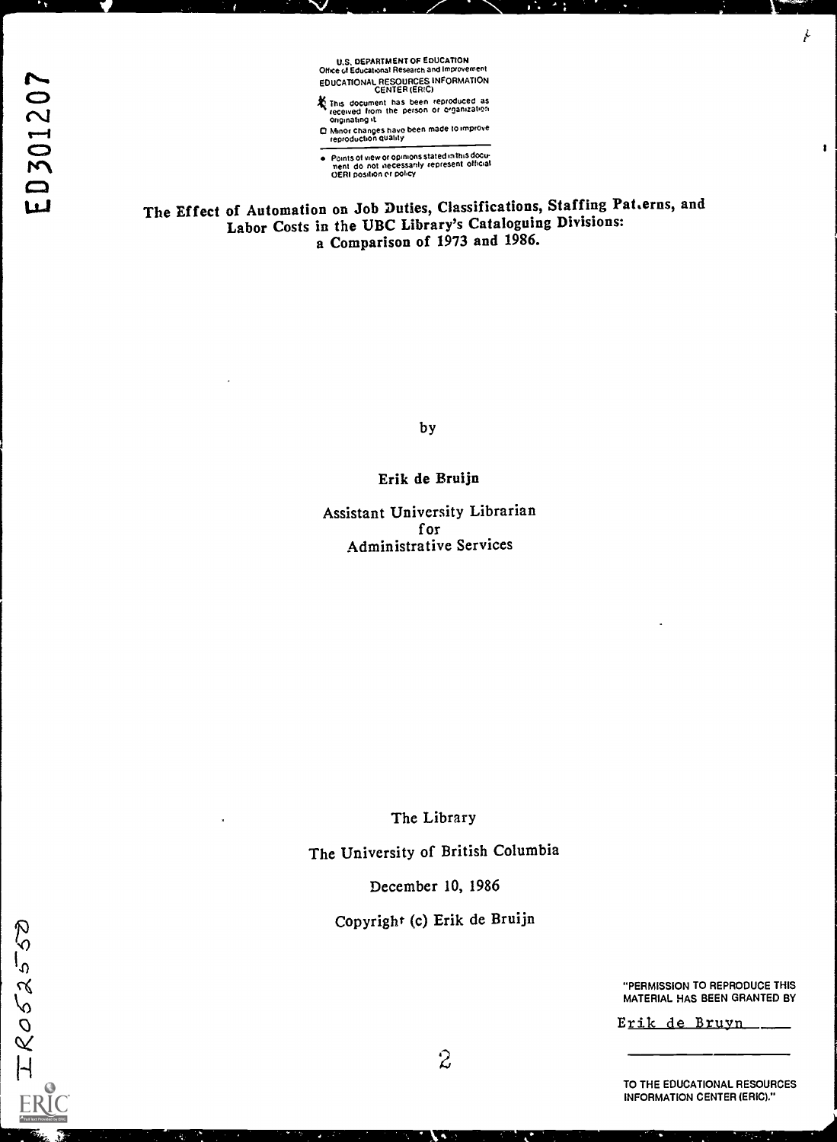U.S. DEPARTMENT OF EDUCATION Office of Educational Research and Improvement EDUCATIONAL RESOURCES INFORMATION<br>
This document has been reproduced as<br>
This document has been reproduced as

- This document has been reproduced as<br>
received from the person or crganization<br>
originating it received Irom the person or organization
- originating it<br>
C Minor changes have been made to improve<br>
reproduction quality

Points of view or opinions stated in this doculi<br>ment Ido, not inecessarily represent Iofficial<br>OERI position or policy

The Effect of Automation on Job Duties, Classifications, Staffing Pat.erns, and Labor Costs in the UBC Library's Cataloguing Divisions: a Comparison of 1973 and 1986.

by

#### Erik de Bruijn

Assistant University Librarian for Administrative Services

The Library

The University of British Columbia

December 10, 1986

Copyright (c) Erik de Bruijn

"PERMISSION TO REPRODUCE THIS MATERIAL HAS BEEN GRANTED BY

ŀ

 $\pmb{\mathfrak{t}}$ 

Erik de Bruyn.

TO THE EDUCATIONAL RESOURCES INFORMATION CENTER (ERIC)."

 $I$   $R$ 052550

 $2 \sqrt{2}$ 

R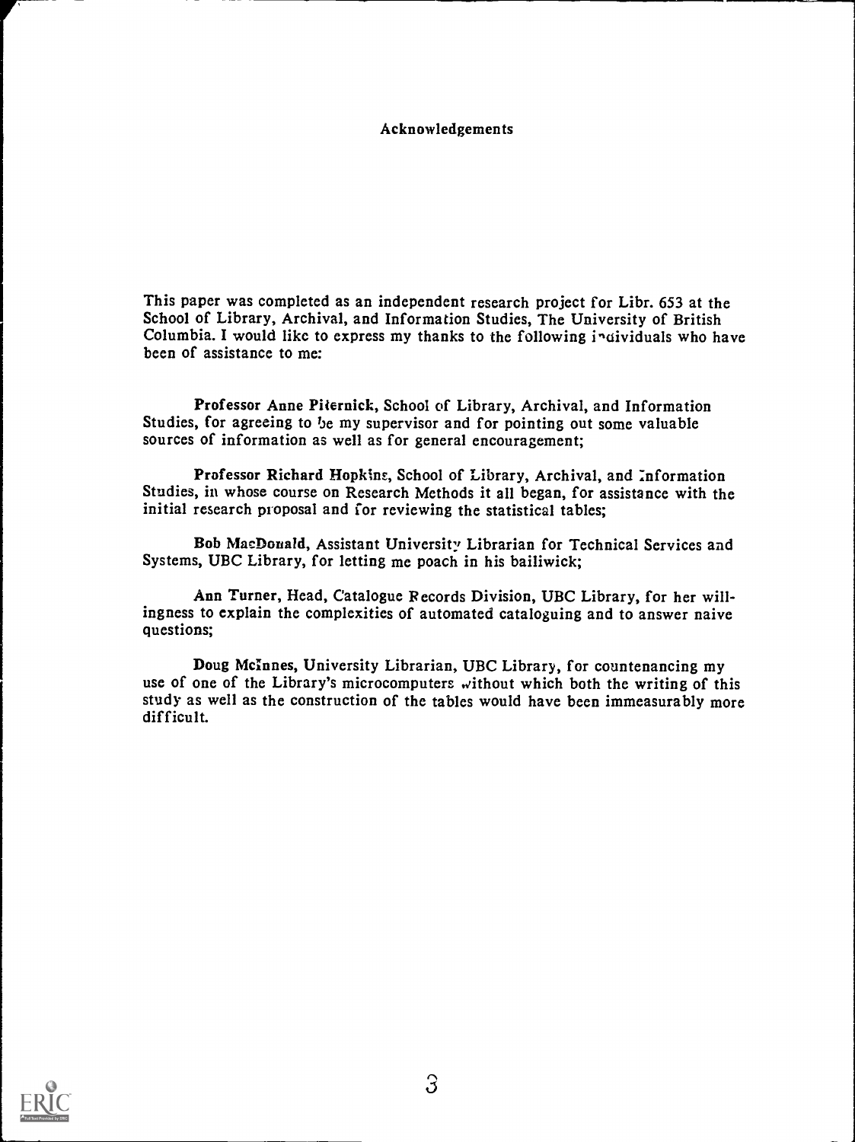#### Acknowledgements

This paper was completed as an independent research project for Libr. 653 at the School of Library, Archival, and Information Studies, The University of British Columbia. I would like to express my thanks to the following individuals who have been of assistance to me:

Professor Anne Piternick, School of Library, Archival, and Information Studies, for agreeing to be my supervisor and for pointing out some valuable sources of information as well as for general encouragement;

Professor Richard Hopkins, School of Library, Archival, and :nformation Studies, in whose course on Research Methods it all began, for assistance with the initial research proposal and for reviewing the statistical tables;

Bob MacDonald, Assistant University Librarian for Technical Services and Systems, UBC Library, for letting me poach in his bailiwick;

Ann Turner, Head, Catalogue Records Division, UBC Library, for her willingness to explain the complexities of automated cataloguing and to answer naive questions;

Doug McInnes, University Librarian, UBC Library, for countenancing my use of one of the Library's microcomputers without which both the writing of this study as well as the construction of the tables would have been immeasurably more difficult.

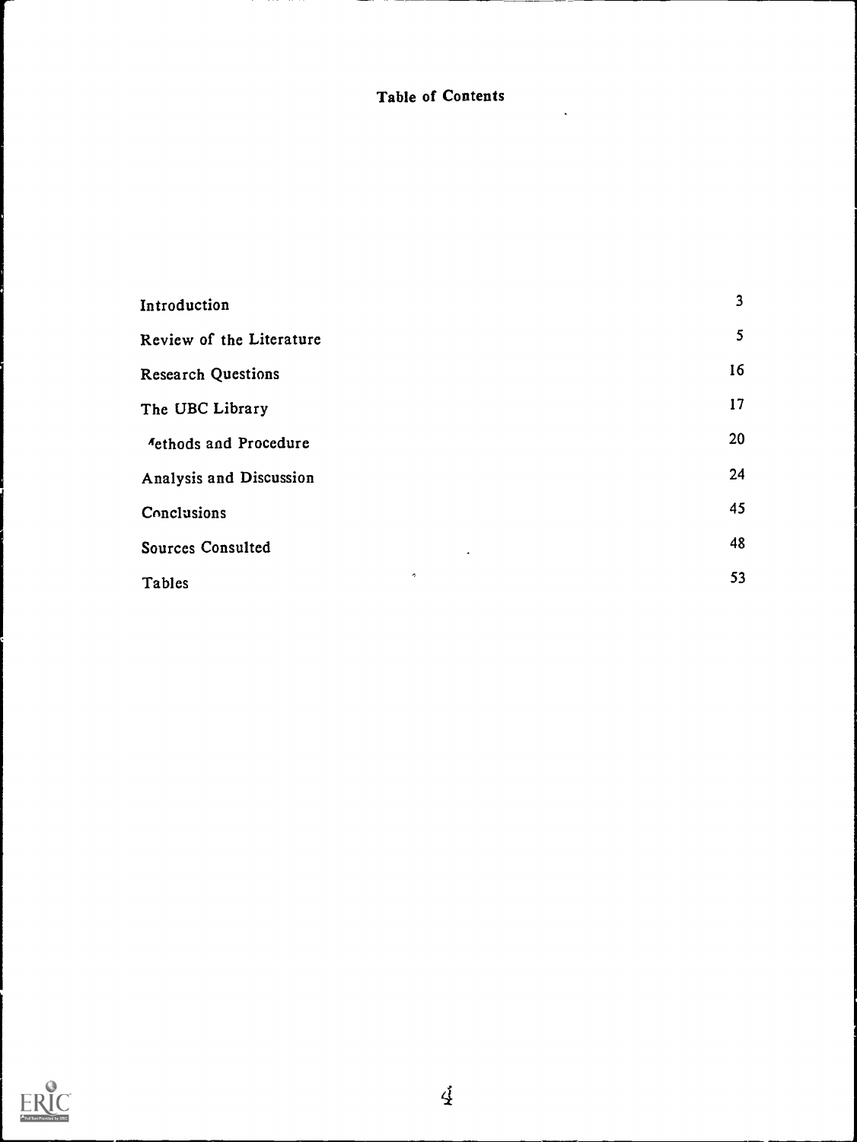# Table of Contents

| Introduction               | $\mathbf{3}$ |
|----------------------------|--------------|
| Review of the Literature   | 5            |
| <b>Research Questions</b>  | 16           |
| The UBC Library            | 17           |
| Aethods and Procedure      | 20           |
| Analysis and Discussion    | 24           |
| Conclusions                | 45           |
| Sources Consulted          | 48           |
| $\sigma_{\rm s}$<br>Tables | 53           |

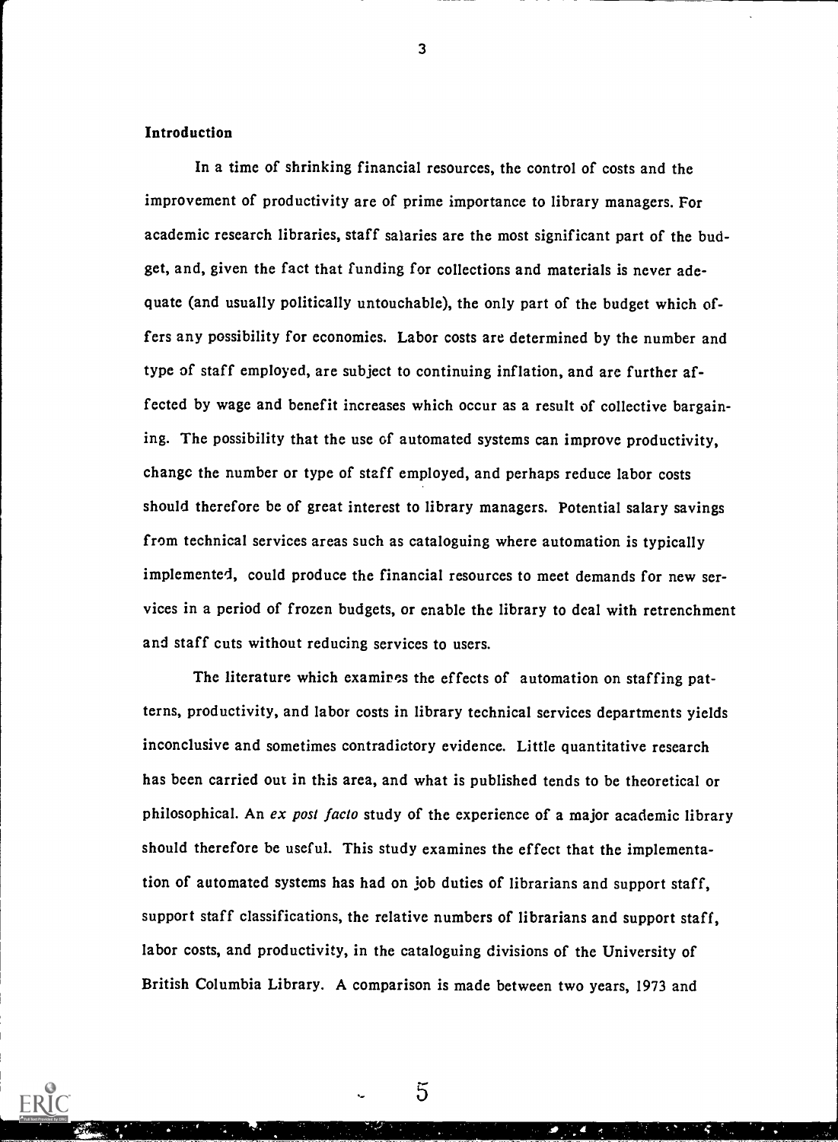#### Introduction

In a time of shrinking financial resources, the control of costs and the improvement of productivity are of prime importance to library managers. For academic research libraries, staff salaries are the most significant part of the budget, and, given the fact that funding for collections and materials is never adequate (and usually politically untouchable), the only part of the budget which offers any possibility for economies. Labor costs are determined by the number and type of staff employed, are subject to continuing inflation, and are further affected by wage and benefit increases which occur as a result of collective bargaining. The possibility that the use of automated systems can improve productivity, change the number or type of staff employed, and perhaps reduce labor costs should therefore be of great interest to library managers. Potential salary savings from technical services areas such as cataloguing where automation is typically implemented, could produce the financial resources to meet demands for new services in a period of frozen budgets, or enable the library to deal with retrenchment and staff cuts without reducing services to users.

The literature which examines the effects of automation on staffing patterns, productivity, and labor costs in library technical services departments yields inconclusive and sometimes contradictory evidence. Little quantitative research has been carried out in this area, and what is published tends to be theoretical or philosophical. An ex post facto study of the experience of a major academic library should therefore be useful. This study examines the effect that the implementation of automated systems has had on job duties of librarians and support staff, support staff classifications, the relative numbers of librarians and support staff, labor costs, and productivity, in the cataloguing divisions of the University of British Columbia Library. A comparison is made between two years, 1973 and

5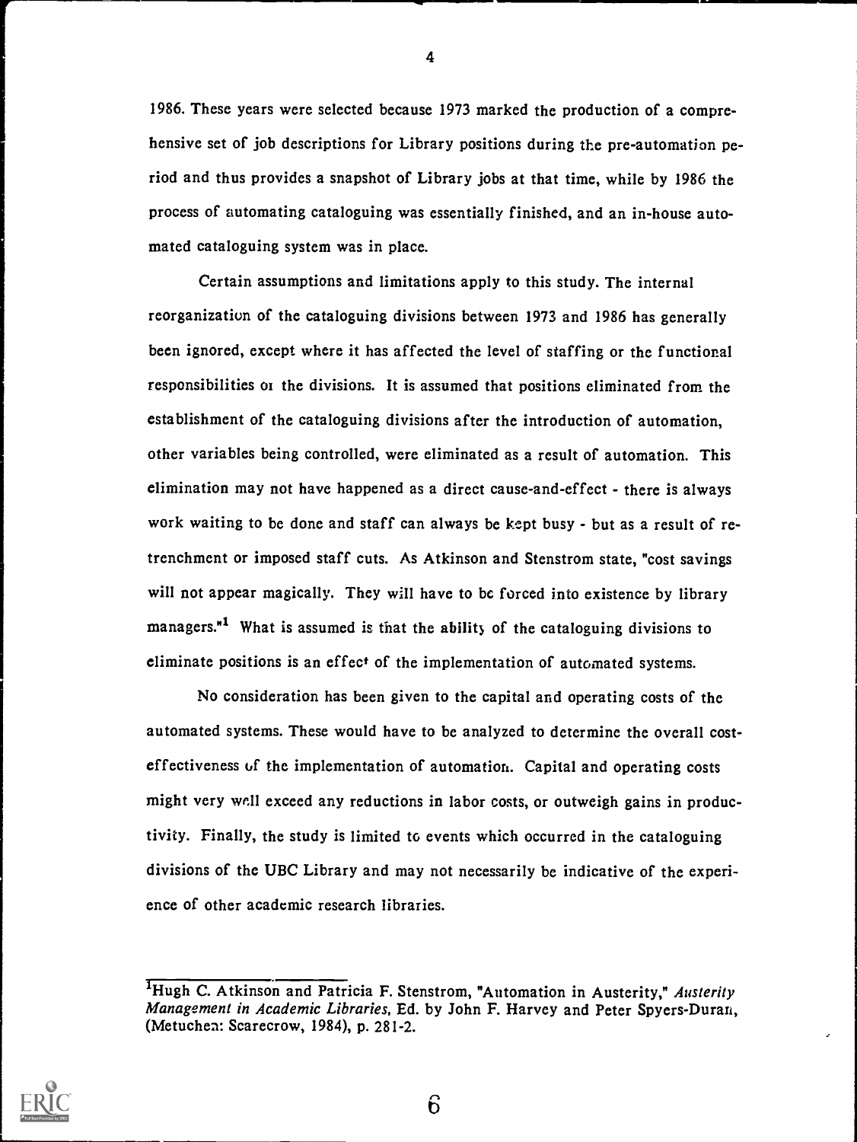1986. These years were selected because 1973 marked the production of a comprehensive set of job descriptions for Library positions during the pre-automation period and thus provides a snapshot of Library jobs at that time, while by 1986 the process of automating cataloguing was essentially finished, and an in-house automated cataloguing system was in place.

Certain assumptions and limitations apply to this study. The internal reorganization of the cataloguing divisions between 1973 and 1986 has generally been ignored, except where it has affected the level of staffing or the functional responsibilities or the divisions. It is assumed that positions eliminated from the establishment of the cataloguing divisions after the introduction of automation, other variables being controlled, were eliminated as a result of automation. This elimination may not have happened as a direct cause-and-effect - there is always work waiting to be done and staff can always be kept busy - but as a result of retrenchment or imposed staff cuts. As Atkinson and Stenstrom state, "cost savings will not appear magically. They will have to be forced into existence by library managers.<sup>"1</sup> What is assumed is that the ability of the cataloguing divisions to eliminate positions is an effect of the implementation of automated systems.

No consideration has been given to the capital and operating costs of the automated systems. These would have to be analyzed to determine the overall cost effectiveness of the implementation of automation. Capital and operating costs might very wall exceed any reductions in labor costs, or outweigh gains in productivity. Finally, the study is limited to events which occurred in the cataloguing divisions of the UBC Library and may not necessarily be indicative of the experience of other academic research libraries.



4

<sup>&</sup>lt;sup>1</sup>Hugh C. Atkinson and Patricia F. Stenstrom, "Automation in Austerity," Austerity Management in Academic Libraries, Ed. by John F. Harvey and Peter Spyers-Duran, (Metuchen: Scarecrow, 1984), p. 281-2.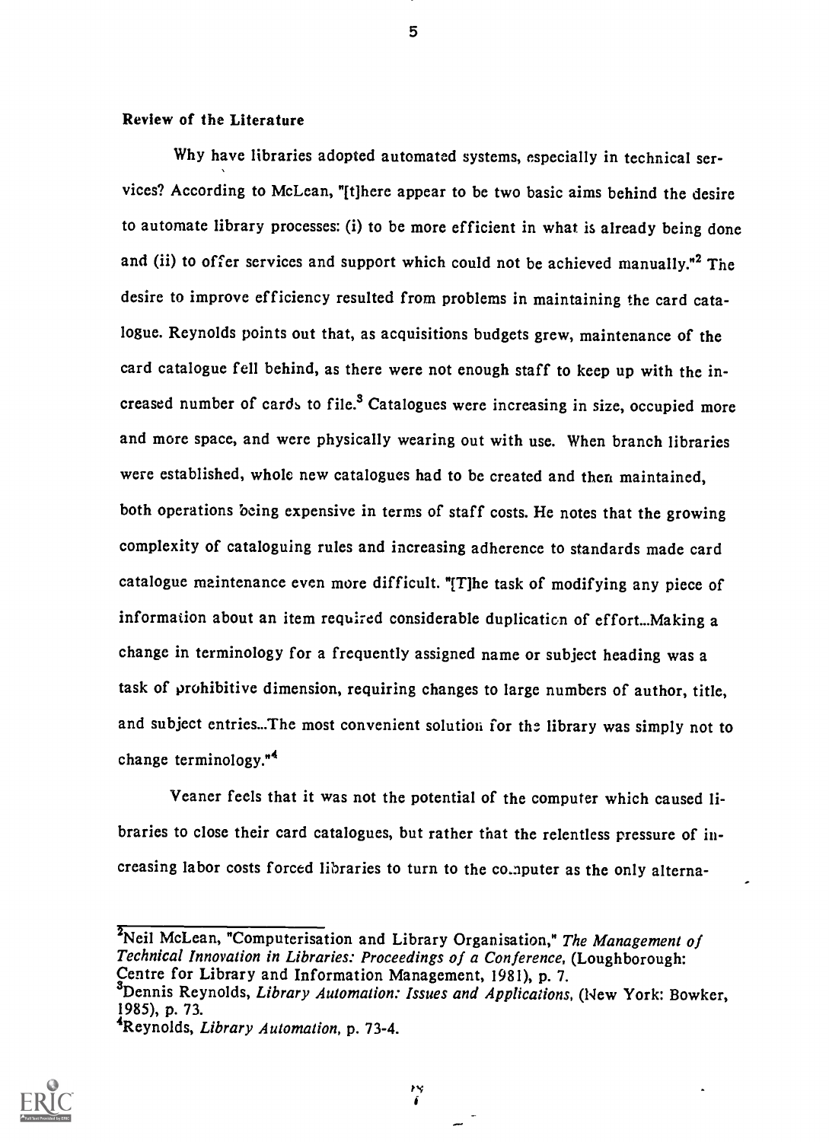#### Review of the Literature

Why have libraries adopted automated systems, especially in technical services? According to McLean, "[t]here appear to be two basic aims behind the desire to automate library processes: (i) to be more efficient in what is already being done and (ii) to offer services and support which could not be achieved manually."<sup>2</sup> The desire to improve efficiency resulted from problems in maintaining the card catalogue. Reynolds points out that, as acquisitions budgets grew, maintenance of the card catalogue fell behind, as there were not enough staff to keep up with the increased number of cards to file.<sup>3</sup> Catalogues were increasing in size, occupied more and more space, and were physically wearing out with use. When branch libraries were established, whole new catalogues had to be created and then maintained, both operations being expensive in terms of staff costs. He notes that the growing complexity of cataloguing rules and increasing adherence to standards made card catalogue maintenance even more difficult. "[T]he task of modifying any piece of information about an item required considerable duplication of effort...Making a change in terminology for a frequently assigned name or subject heading was a task of prohibitive dimension, requiring changes to large numbers of author, title, and subject entries...The most convenient solution for the library was simply not to change terminology."

Veaner feels that it was not the potential of the computer which caused libraries to close their card catalogues, but rather that the relentless pressure of increasing labor costs forced libraries to turn to the computer as the only alterna-

<sup>2</sup>Neil McLean, "Computerisation and Library Organisation," The Management of Technical Innovation in Libraries: Proceedings of a Conference, (Loughborough: Centre for Library and Information Management, 1981), p. 7. 3<br>
3Dennis Reynolds, Library Automation: Issues and Applications, (New York: Bowker, 1985), p. 73. 4Reynolds, Library Automation, p. 73-4.

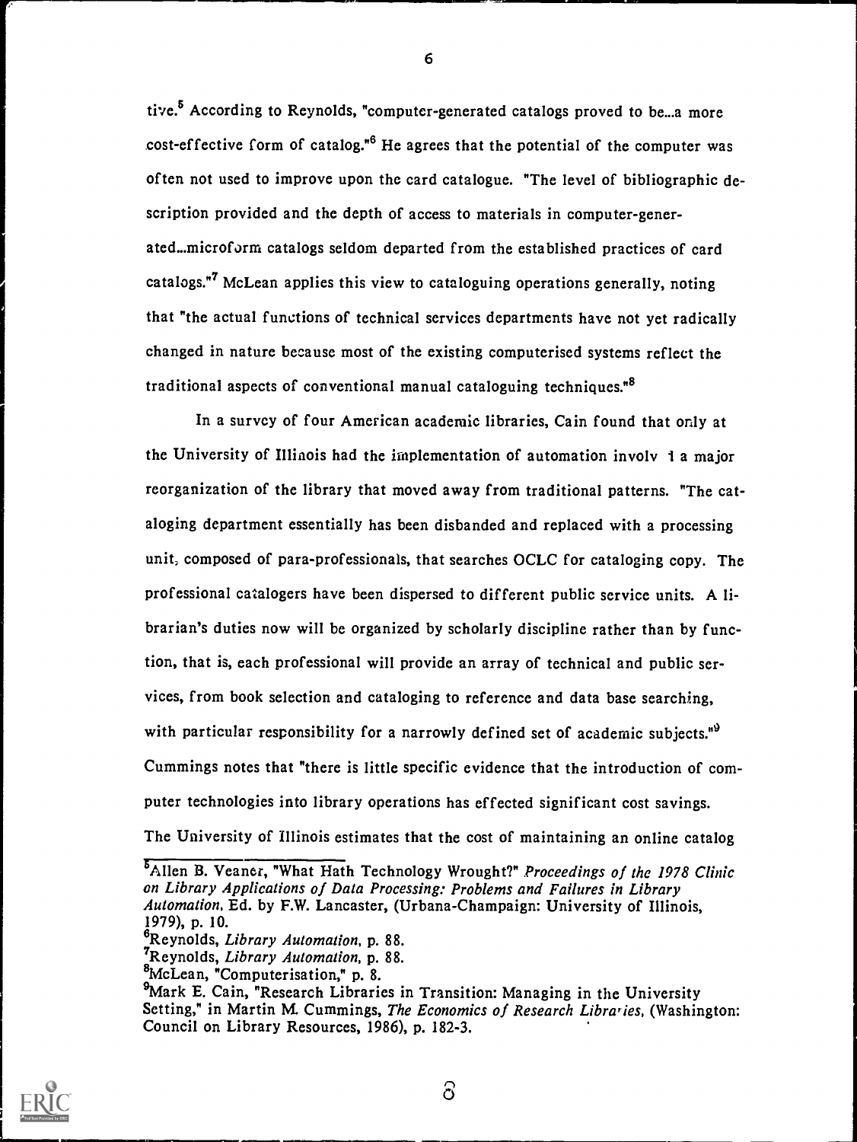tive.<sup>5</sup> According to Reynolds, "computer-generated catalogs proved to be...a more cost-effective form of catalog.<sup>46</sup> He agrees that the potential of the computer was often not used to improve upon the card catalogue. "The level of bibliographic description provided and the depth of access to materials in computer-generated...microform catalogs seldom departed from the established practices of card catalogs."<sup>7</sup> McLean applies this view to cataloguing operations generally, noting that "the actual functions of technical services departments have not yet radically changed in nature because most of the existing computerised systems reflect the traditional aspects of conventional manual cataloguing techniques.<sup>88</sup>

In a survey of four American academic libraries, Cain found that only at the University of Illinois had the implementation of automation involv 1 a major reorganization of the library that moved away from traditional patterns. "The cataloging department essentially has been disbanded and replaced with a processing unit, composed of para-professionals, that searches OCLC for cataloging copy. The professional catalogers have been dispersed to different public service units. A librarian's duties now will be organized by scholarly discipline rather than by function, that is, each professional will provide an array of technical and public services, from book selection and cataloging to reference and data base searching, with particular responsibility for a narrowly defined set of academic subjects.<sup>19</sup> Cummings notes that "there is little specific evidence that the introduction of computer technologies into library operations has effected significant cost savings. The University of Illinois estimates that the cost of maintaining an online catalog

<sup>5</sup>Allen B. Veaner, "What Hath Technology Wrought?" Proceedings of the 1978 Clinic on Library Applications of Data Processing: Problems and Failures in Library Automation, Ed. by F.W. Lancaster, (Urbana-Champaign: University of Illinois, 1979), p. 10.



<sup>&</sup>lt;sup>6</sup>Reynolds, Library Automation, p. 88.

<sup>&</sup>lt;sup>7</sup>Reynolds, Library Automation, p. 88.

<sup>8</sup>McLean, "Computerisation," p. 8.

<sup>&</sup>lt;sup>9</sup>Mark E. Cain, "Research Libraries in Transition: Managing in the University Setting," in Martin M. Cummings, The Economics of Research Libraries, (Washington: Council on Library Resources, 1986), p. 182-3.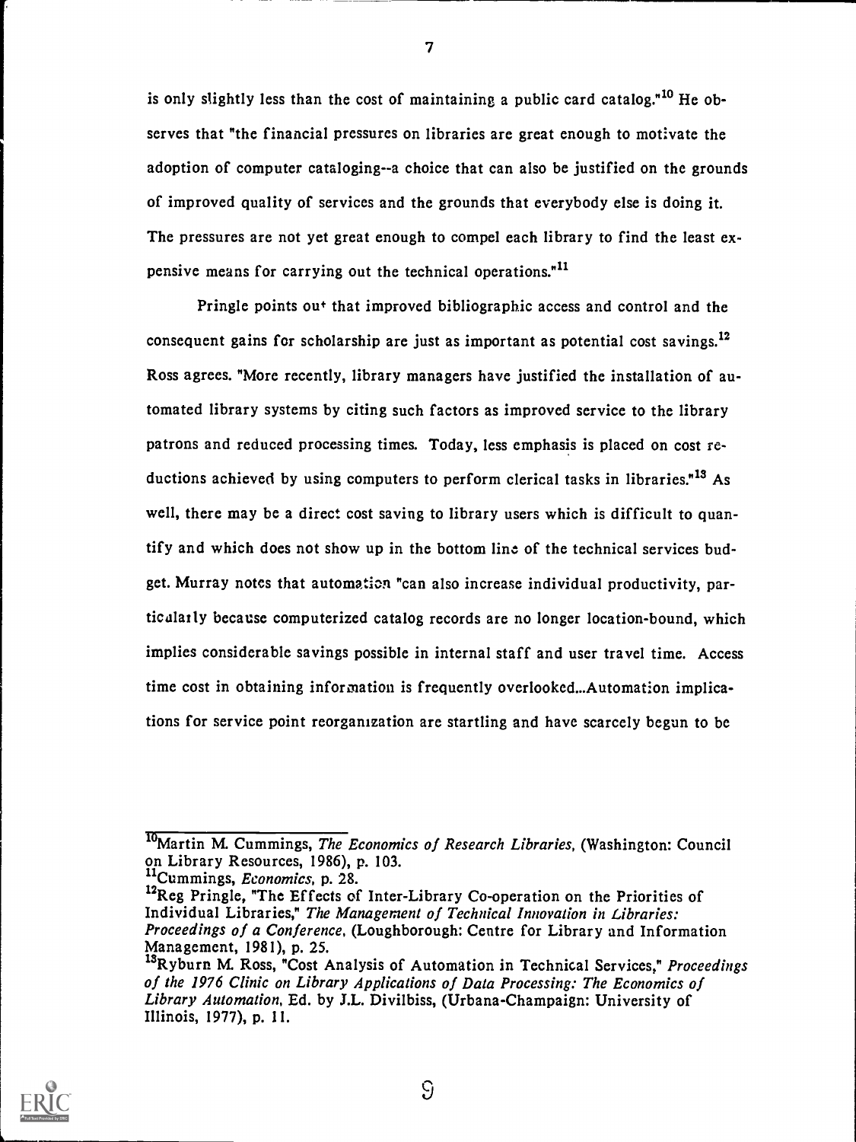is only slightly less than the cost of maintaining a public card catalog.<sup> $n^{10}$ </sup> He observes that "the financial pressures on libraries are great enough to motivate the adoption of computer cataloging--a choice that can also be justified on the grounds of improved quality of services and the grounds that everybody else is doing it. The pressures are not yet great enough to compel each library to find the least expensive means for carrying out the technical operations."<sup>11</sup>

Pringle points out that improved bibliographic access and control and the consequent gains for scholarship are just as important as potential cost savings.<sup>12</sup> Ross agrees. More recently, library managers have justified the installation of automated library systems by citing such factors as improved service to the library patrons and reduced processing times. Today, less emphasis is placed on cost reductions achieved by using computers to perform clerical tasks in libraries.<sup>"13</sup> As well, there may be a direct cost saving to library users which is difficult to quantify and which does not show up in the bottom line of the technical services budget. Murray notes that automation "can also increase individual productivity, particalarly because computerized catalog records are no longer location-bound, which implies considerable savings possible in internal staff and user travel time. Access time cost in obtaining information is frequently overlooked...Automation implications for service point reorganization are startling and have scarcely begun to be

<sup>11</sup>Cummings, *Economics*, p. 28.



7

 $\mathcal{G}$ 

<sup>&</sup>lt;sup>10</sup>Martin M. Cummings, The Economics of Research Libraries, (Washington: Council on Library Resources, 1986), p. 103.

<sup>&</sup>lt;sup>12</sup>Reg Pringle, "The Effects of Inter-Library Co-operation on the Priorities of Individual Libraries," The Management of Technical Innovation in Libraries: Proceedings of a Conference, (Loughborough: Centre for Library and Information Management, 1981), p. 25.

<sup>&</sup>lt;sup>13</sup>Ryburn M. Ross, "Cost Analysis of Automation in Technical Services," Proceedings of the 1976 Clinic on Library Applications of Data Processing: The Economics of Library Automation, Ed. by J.L. Divilbiss, (Urbana-Champaign: University of Illinois, 1977), p. 11.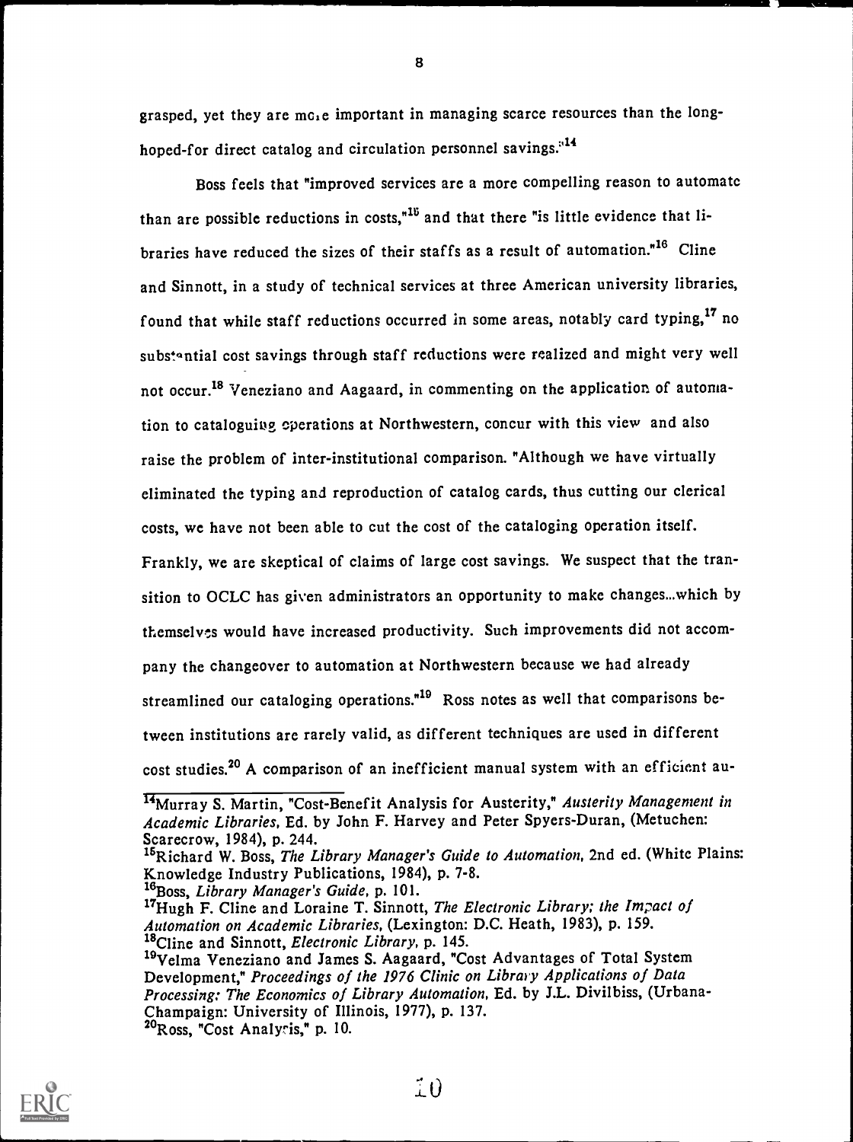grasped, yet they are mole important in managing scarce resources than the longhoped-for direct catalog and circulation personnel savings.<sup>14</sup>

8

Boss feels that "improved services are a more compelling reason to automate than are possible reductions in costs."<sup>15</sup> and that there "is little evidence that libraries have reduced the sizes of their staffs as a result of automation.<sup>"16</sup> Cline and Sinnott, in a study of technical services at three American university libraries, found that while staff reductions occurred in some areas, notably card typing,<sup>17</sup> no substantial cost savings through staff reductions were realized and might very well not occur.<sup>18</sup> Veneziano and Aagaard, in commenting on the application of automation to cataloguiog operations at Northwestern, concur with this view and also raise the problem of inter-institutional comparison. "Although we have virtually eliminated the typing and reproduction of catalog cards, thus cutting our clerical costs, we have not been able to cut the cost of the cataloging operation itself. Frankly, we are skeptical of claims of large cost savings. We suspect that the transition to OCLC has given administrators an opportunity to make changes...which by themselves would have increased productivity. Such improvements did not accompany the changeover to automation at Northwestern because we had already streamlined our cataloging operations."<sup>19</sup> Ross notes as well that comparisons between institutions are rarely valid, as different techniques are used in different

cost studies.<sup>20</sup> A comparison of an inefficient manual system with an efficient au-



<sup>&</sup>lt;sup>14</sup>Murray S. Martin, "Cost-Benefit Analysis for Austerity," Austerity Management in Academic Libraries, Ed. by John F. Harvey and Peter Spyers-Duran, (Metuchen: Scarecrow, 1984), p. 244.

<sup>&</sup>lt;sup>15</sup>Richard W. Boss, The Library Manager's Guide to Automation, 2nd ed. (White Plains: Knowledge Industry Publications, 1984), p. 7-8.

 $^{16}$ Boss, Library Manager's Guide, p. 101.

<sup>&</sup>lt;sup>17</sup>Hugh F. Cline and Loraine T. Sinnott, The Electronic Library; the Impact of Automation on Academic Libraries, (Lexington: D.C. Heath, 1983), p. 159. <sup>18</sup>Cline and Sinnott, *Electronic Library*, p. 145.

<sup>&</sup>lt;sup>19</sup>Velma Veneziano and James S. Aagaard, "Cost Advantages of Total System Development," Proceedings of the 1976 Clinic on Library Applications of Data Processing: The Economics of Library Automation, Ed. by J.L. Divilbiss, (Urbana-Champaign: University of Illinois, 1977), p. 137. 20Ross, "Cost Analysis," p. 10.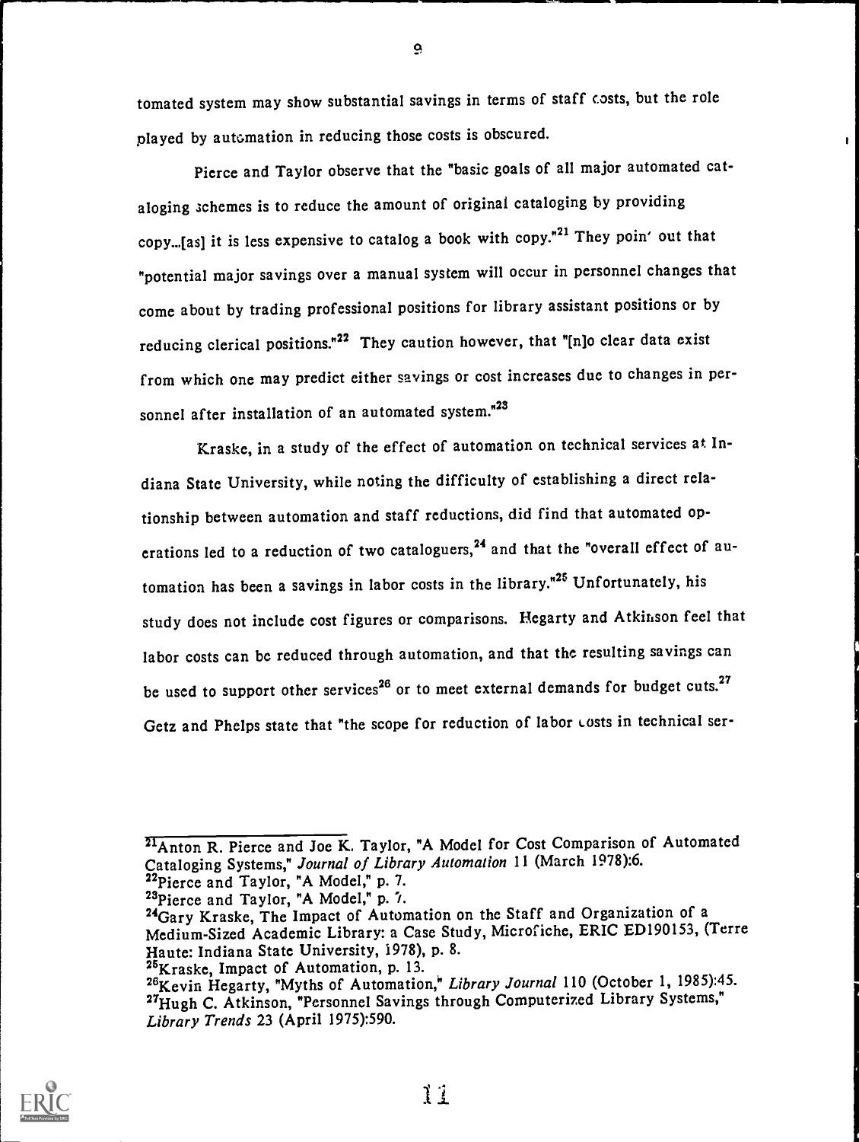tomated system may show substantial savings in terms of staff costs, but the role played by automation in reducing those costs is obscured.

Pierce and Taylor observe that the "basic goals of all major automated cataloging schemes is to reduce the amount of original cataloging by providing copy...[as] it is less expensive to catalog a book with copy."21 They poin' out that "potential major savings over a manual system will occur in personnel changes that come about by trading professional positions for library assistant positions or by reducing clerical positions."22 They caution however, that "[n]o clear data exist from which one may predict either savings or cost increases due to changes in personnel after installation of an automated system."<sup>23</sup>

Kraske, in a study of the effect of automation on technical services at Indiana State University, while noting the difficulty of establishing a direct relationship between automation and staff reductions, did find that automated operations led to a reduction of two cataloguers,<sup>24</sup> and that the "overall effect of automation has been a savings in labor costs in the library."<sup>25</sup> Unfortunately, his study does not include cost figures or comparisons. Hegarty and Atkinson feel that labor costs can be reduced through automation, and that the resulting savings can be used to support other services<sup>26</sup> or to meet external demands for budget cuts.<sup>27</sup> Getz and Phelps state that "the scope for reduction of labor Lusts in technical ser-



<sup>&</sup>lt;sup>21</sup>Anton R. Pierce and Joe K. Taylor, "A Model for Cost Comparison of Automated Cataloging Systems," Journal of Library Automation 11 (March 1978):6.

 $^{22}$ Pierce and Taylor, "A Model," p. 7.<br> $^{23}$ Pierce and Taylor, "A Model," p. 7.

<sup>&</sup>lt;sup>24</sup>Gary Kraske, The Impact of Automation on the Staff and Organization of a Medium-Sized Academic Library: a Case Study, Microfiche, ERIC ED190153, (Terre Haute: Indiana State University, 1978), p. 8.

<sup>26&</sup>lt;sub>Kraske</sub>, Impact of Automation, p. 13.

<sup>26</sup> Kevin Hegarty, "Myths of Automation," Library Journal 110 (October 1, 1985):45. <sup>27</sup>Hugh C. Atkinson, "Personnel Savings through Computerized Library Systems," Library Trends 23 (April 1975):590.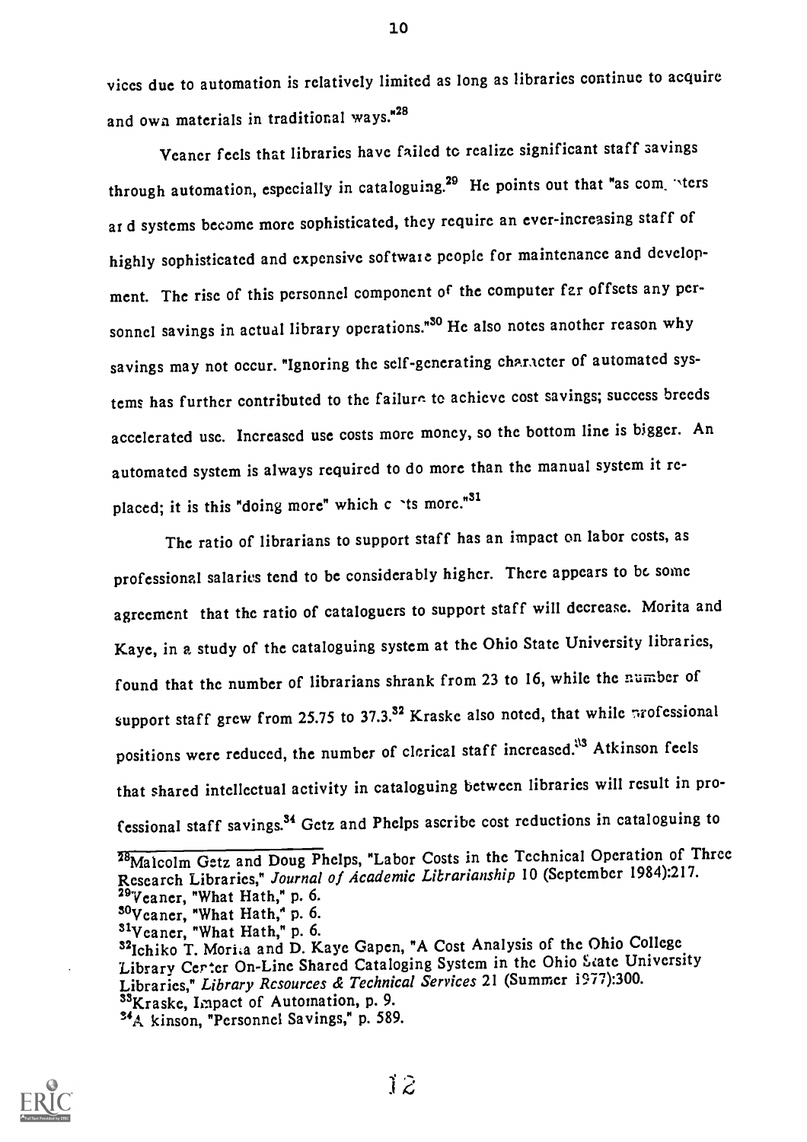vices due to automation is relatively limited as long as libraries continue to acquire and own materials in traditional ways."28

Veaner feels that libraries have failed to realize significant staff savings through automation, especially in cataloguing.<sup>29</sup> He points out that "as com. "ters ar d systems become more sophisticated, they require an ever-increasing staff of highly sophisticated and expensive software people for maintenance and development. The rise of this personnel component of the computer far offsets any personnel savings in actual library operations."<sup>30</sup> He also notes another reason why savings may not occur. "Ignoring the self-generating character of automated systems has further contributed to the failure. to achieve cost savings; success breeds accelerated use. Increased use costs more money, so the bottom line is bigger. An automated system is always required to do more than the manual system it replaced; it is this "doing more" which  $c$  'ts more."<sup>31</sup>

The ratio of librarians to support staff has an impact on labor costs, as professional salaries tend to be considerably higher. There appears to be some agreement that the ratio of cataloguers to support staff will decrease. Morita and Kaye, in a study of the cataloguing system at the Ohio State University libraries, found that the number of librarians shrank from 23 to 16, while the number of support staff grew from 25.75 to 37.3.<sup>32</sup> Kraske also noted, that while professional positions were reduced, the number of clerical staff increased.<sup>113</sup> Atkinson feels that shared intellectual activity in cataloguing between libraries will result in professional staff savings.<sup>34</sup> Getz and Phelps ascribe cost reductions in cataloguing to

Libraries," Library Resources & Technical Services 21 (Summer 1977):300. 33Kraske, Impact of Automation, p. 9.



<sup>&</sup>lt;sup>28</sup>Ma1colm Getz and Doug Phelps, "Labor Costs in the Technical Operation of Three Research Libraries," Journal of Academic Librarianship 10 (September 1984):217. <sup>29</sup>Veaner, "What Hath," p. 6.

<sup>&</sup>lt;sup>30</sup>Veaner, "What Hath," p. 6.

<sup>32</sup>Ichiko T. Morita and D. Kaye Gapen, "A Cost Analysis of the Ohio College

Library Certer On-Line Shared Cataloging System in the Ohio State University

<sup>&</sup>lt;sup>34</sup>A kinson, "Personnel Savings," p. 589.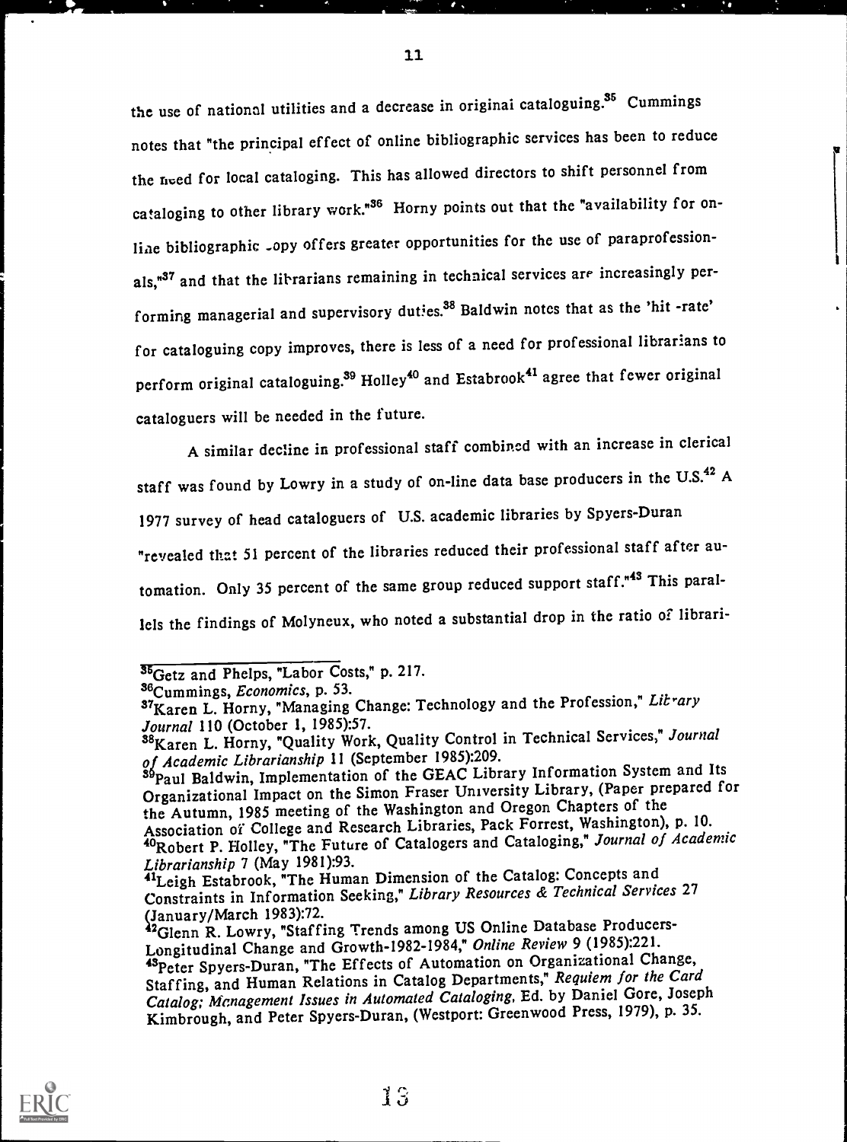the use of national utilities and a decrease in original cataloguing.<sup>35</sup> Cummings notes that "the principal effect of online bibliographic services has been to reduce the need for local cataloging. This has allowed directors to shift personnel from cataloging to other library work."<sup>36</sup> Horny points out that the "availability for online bibliographic <sub>-</sub>opy offers greater opportunities for the use of paraprofessionals,<sup>"37</sup> and that the librarians remaining in technical services are increasingly performing managerial and supervisory duties.<sup>38</sup> Baldwin notes that as the 'hit -rate' for cataloguing copy improves, there is less of a need for professional librarians to perform original cataloguing.<sup>39</sup> Holley<sup>40</sup> and Estabrook<sup>41</sup> agree that fewer original cataloguers will be needed in the future.

11

A similar decline in professional staff combined with an increase in clerical staff was found by Lowry in a study of on-line data base producers in the U.S.<sup>42</sup> A 1977 survey of head cataloguers of U.S. academic libraries by Spyers-Duran "revealed that 51 percent of the libraries reduced their professional staff after automation. Only 35 percent of the same group reduced support staff."<sup>43</sup> This parallels the findings of Molyneux, who noted a substantial drop in the ratio of librari-



 $35$ <sub>Getz</sub> and Phelps, "Labor Costs," p. 217.

<sup>36&</sup>lt;sub>Cummings, Economics, p. 53.</sub>

<sup>37</sup> Karen L. Horny, "Managing Change: Technology and the Profession," Litrary Journal 110 (October 1, 1985):57.

<sup>38</sup>Karen L. Horny, "Quality Work, Quality Control in Technical Services," Journal of Academic Librarianship 11 (September 1985):209.

<sup>39</sup> Paul Baldwin, Implementation of the GEAC Library Information System and Its Organizational Impact on the Simon Fraser University Library, (Paper prepared for the Autumn, 1985 meeting of the Washington and Oregon Chapters of the Association of College and Research Libraries, Pack Forrest, Washington), p. 10. Association of Conego and Microsoft Catalogers and Cataloging," Journal of Academic Librarianship 7 (May 1981):93.

<sup>41</sup>Leigh Estabrook, "The Human Dimension of the Catalog: Concepts and Constraints in Information Seeking," Library Resources & Technical Services <sup>27</sup>

January/March 1983):72.<br><sup>2</sup>Glenn R. Lowry, "Staffing Trends among US Online Database Producers-Longitudinal Change and Growth-1982-1984," Online Review 9 (1985):221. 43 Peter Spyers-Duran, "The Effects of Automation on Organizational Change, Staffing, and Human Relations in Catalog Departments," Requiem for the Card Catalog; Management Issues in Automated Cataloging, Ed. by Daniel Gore, Joseph Kimbrough, and Peter Spyers-Duran, (Westport: Greenwood Press, 1979), p. 35.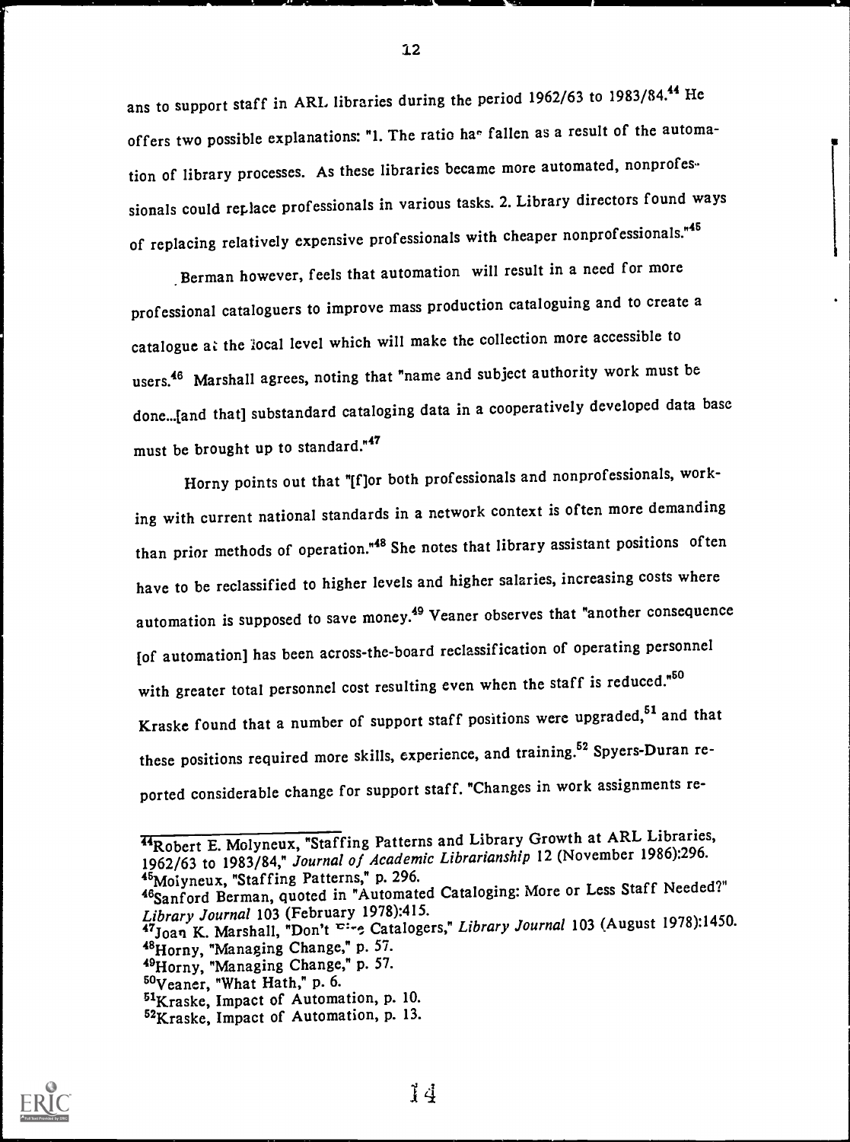ans to support staff in ARL libraries during the period 1962/63 to 1983/84.<sup>44</sup> He offers two possible explanations: "1. The ratio ha<sup>®</sup> fallen as a result of the automation of library processes. As these libraries became more automated, nonprofessionals could replace professionals in various tasks. 2. Library directors found ways of replacing relatively expensive professionals with cheaper nonprofessionals."<sup>45</sup>

Berman however, feels that automation will result in a need for more professional cataloguers to improve mass production cataloguing and to create a catalogue at the local level which will make the collection more accessible to users.<sup>46</sup> Marshall agrees, noting that "name and subject authority work must be done...[and that] substandard cataloging data in a cooperatively developed data base must be brought up to standard."47

Horny points out that "[f]or both professionals and nonprofessionals, working with current national standards in a network context is often more demanding than prior methods of operation."<sup>48</sup> She notes that library assistant positions often have to be reclassified to higher levels and higher salaries, increasing costs where automation is supposed to save money.<sup>49</sup> Veaner observes that "another consequence [of automation] has been across-the-board reclassification of operating personnel with greater total personnel cost resulting even when the staff is reduced."<sup>50</sup> Kraske found that a number of support staff positions were upgraded,<sup>51</sup> and that these positions required more skills, experience, and training.<sup>52</sup> Spyers-Duran reported considerable change for support staff. "Changes in work assignments re-



**HRobert E. Molyneux, "Staffing Patterns and Library Growth at ARL Libraries,** 1962/63 to 1983/84," Journal of Academic Librarianship 12 (November 1986):296. 4<sup>5</sup>Moiyneux, "Staffing Patterns," p. 296.

<sup>46</sup>Sanford Berman, quoted in "Automated Cataloging: More or Less Staff Needed?" Library Journal 103 (February 1978):415.

<sup>47</sup>Joan K. Marshall, "Don't Eire Catalogers," Library Journal 103 (August 1978):1450. "Horny, "Managing Change," p. 57.

<sup>&</sup>quot;Horny, "Managing Change," p. 57.

<sup>60</sup>Veaner, "What Hath," p. 6.

<sup>61</sup>Kraske, Impact of Automation, p. 10.

<sup>52</sup>Kraske, Impact of Automation, p. 13.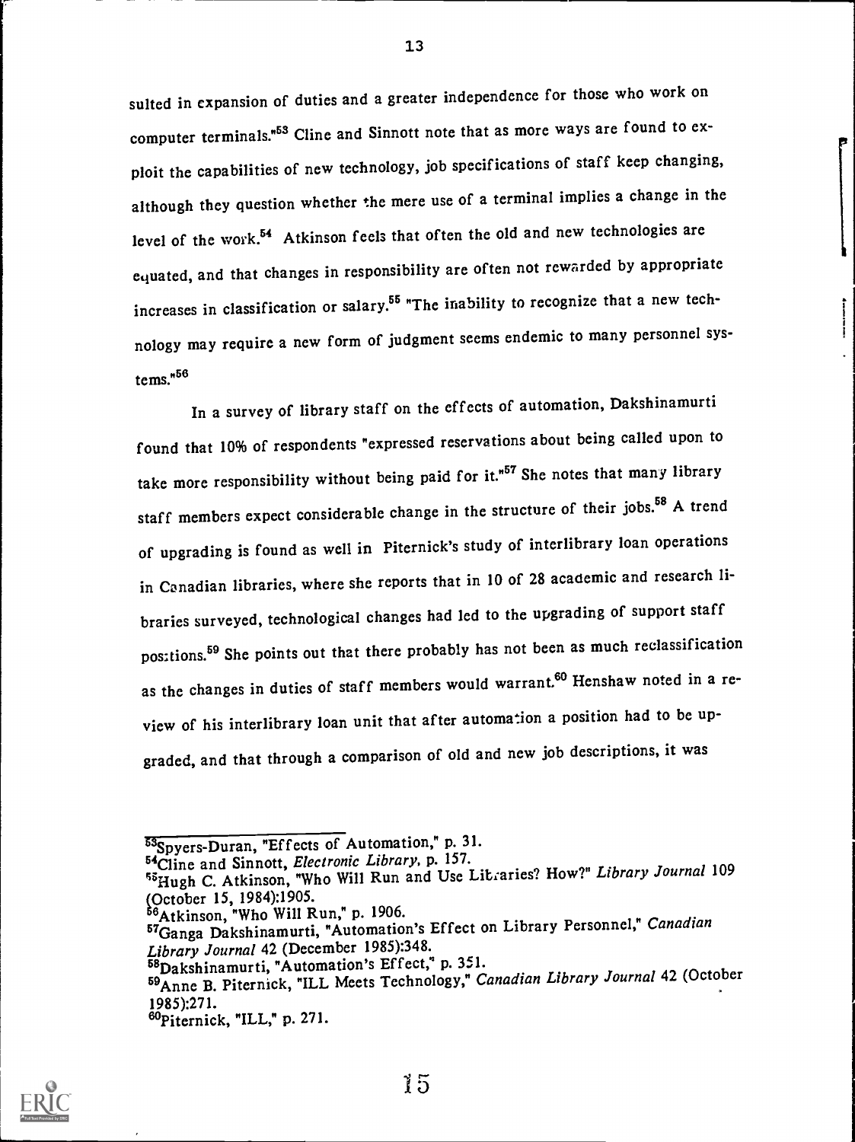suited in expansion of duties and a greater independence for those who work on computer terminals.<sup>"53</sup> Cline and Sinnott note that as more ways are found to exploit the capabilities of new technology, job specifications of staff keep changing, although they question whether the mere use of a terminal implies a change in the level of the work.<sup>54</sup> Atkinson feels that often the old and new technologies are equated, and that changes in responsibility are often not rewarded by appropriate increases in classification or salary.<sup>55</sup> "The inability to recognize that a new technology may require a new form of judgment seems endemic to many personnel systems. "56

In a survey of library staff on the effects of automation, Dakshinamurti found that 10% of respondents "expressed reservations about being called upon to take more responsibility without being paid for it."<sup>57</sup> She notes that many library staff members expect considerable change in the structure of their jobs.<sup>58</sup> A trend of upgrading is found as well in Piternick's study of interlibrary loan operations in Canadian libraries, where she reports that in 10 of 28 academic and research libraries surveyed, technological changes had led to the upgrading of support staff positions.<sup>59</sup> She points out that there probably has not been as much reclassification as the changes in duties of staff members would warrant.<sup>60</sup> Henshaw noted in a review of his interlibrary loan unit that after automation a position had to be upgraded, and that through a comparison of old and new job descriptions, it was



<sup>53</sup>Spyers-Duran, "Effects of Automation," p. 31.

<sup>54</sup> Cline and Sinnott, Electronic Library, p. 157.

<sup>55</sup>Hugh C. Atkinson, "Who Will Run and Use Litraries? How?" Library Journal 109 (October 15, 1984):1905.

 $^6$ Atkinson, "Who Will Run," p. 1906.

<sup>&</sup>lt;sup>57</sup>Ganga Dakshinamurti, "Automation's Effect on Library Personnel," Canadian Library Journal 42 (December 1985):348.

<sup>&</sup>lt;sup>58</sup>Dakshinamurti, "Automation's Effect," p. 351.

<sup>59</sup> Anne B. Piternick, "ILL Meets Technology," Canadian Library Journal 42 (October 1985):271.

<sup>60</sup>Piternick, "ILL," p. 271.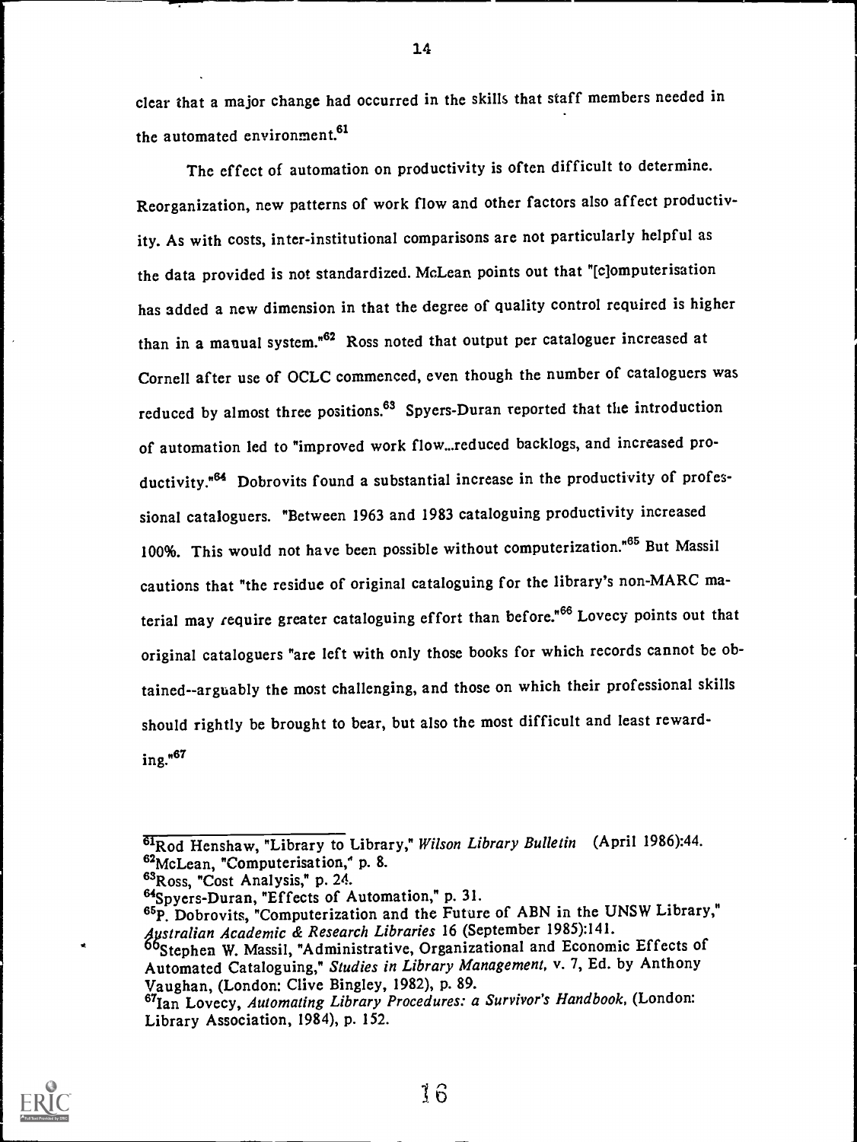clear that a major change had occurred in the skills that staff members needed in the automated environment.<sup>61</sup>

The effect of automation on productivity is often difficult to determine. Reorganization, new patterns of work flow and other factors also affect productivity. As with costs, inter-institutional comparisons are not particularly helpful as the data provided is not standardized. McLean points out that "[c]omputerisation has added a new dimension in that the degree of quality control required is higher than in a manual system."62 Ross noted that output per cataloguer increased at Cornell after use of OCLC commenced, even though the number of cataloguers was reduced by almost three positions.<sup>63</sup> Spyers-Duran reported that the introduction of automation led to "improved work flow...reduced backlogs, and increased productivity."<sup>64</sup> Dobrovits found a substantial increase in the productivity of professional cataloguers. "Between 1963 and 1983 cataloguing productivity increased 100%. This would not have been possible without computerization."65 But Massil cautions that "the residue of original cataloguing for the library's non-MARC material may require greater cataloguing effort than before."<sup>66</sup> Lovecy points out that original cataloguers "are left with only those books for which records cannot be obtained--arguably the most challenging, and those on which their professional skills should rightly be brought to bear, but also the most difficult and least rewarding."62



<sup>61</sup>Rod Henshaw, "Library to Library," Wilson Library Bulletin (April 1986):44. 62McLean, "Computerisation," p. 8.

<sup>&</sup>lt;sup>63</sup>Ross, "Cost Analysis," p. 24.

<sup>&</sup>lt;sup>64</sup>Spyers-Duran, "Effects of Automation," p. 31.<br><sup>65</sup>P. Dobrovits, "Computerization and the Future of ABN in the UNSW Library," 4pstralian Academic & Research Libraries 16 (September 1985):141.

<sup>&#</sup>x27;Stephen W. Massil, "Administrative, Organizational and Economic Effects of Automated Cataloguing," Studies in Library Management, v. 7, Ed. by Anthony Vaughan, (London: Clive Bingley, 1982), p. 89.

<sup>&</sup>lt;sup>67</sup>Ian Lovecy, Automating Library Procedures: a Survivor's Handbook, (London: Library Association, 1984), p. 152.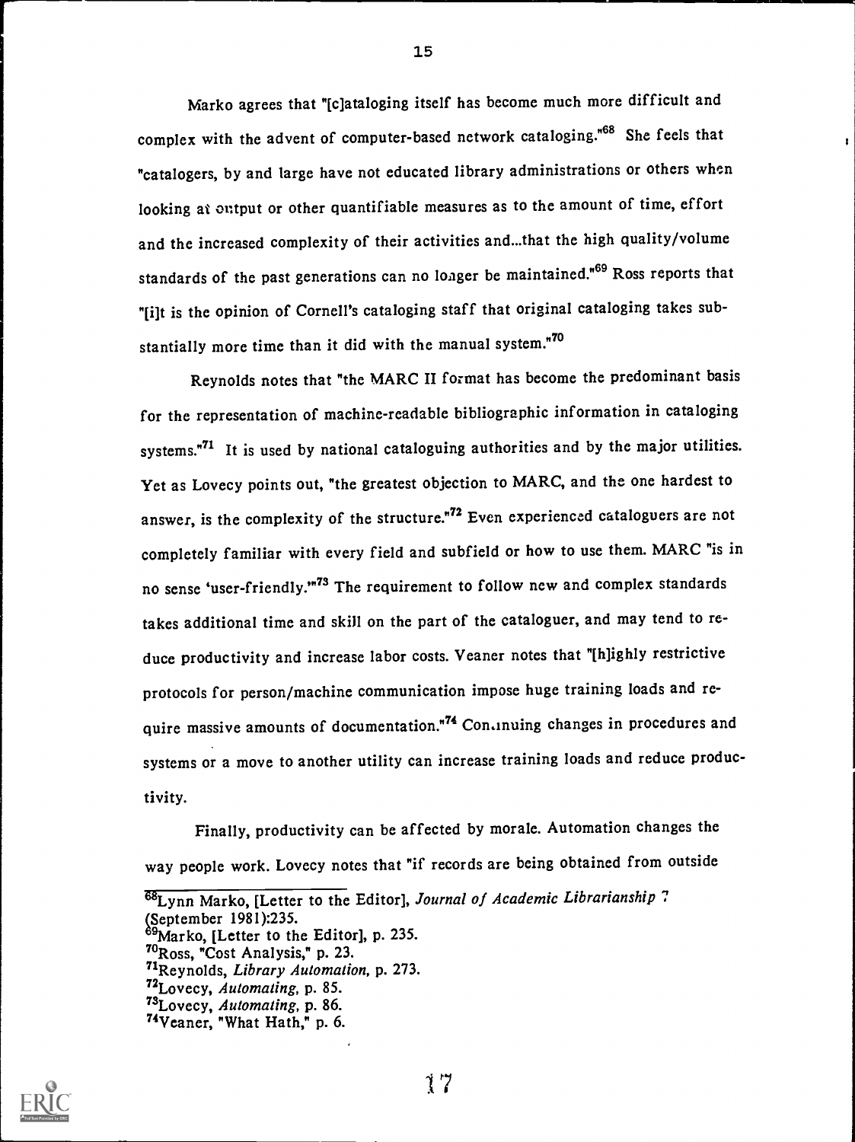Marko agrees that "[c]ataloging itself has become much more difficult and complex with the advent of computer-based network cataloging."68 She feels that "catalogers, by and large have not educated library administrations or others when looking at output or other quantifiable measures as to the amount of time, effort and the increased complexity of their activities and...that the high quality/volume standards of the past generations can no longer be maintained.<sup>\*69</sup> Ross reports that "[i]t is the opinion of Cornell's cataloging staff that original cataloging takes substantially more time than it did with the manual system.<sup>"70</sup>

Reynolds notes that "the MARC II format has become the predominant basis for the representation of machine-readable bibliographic information in cataloging systems.<sup>71</sup> It is used by national cataloguing authorities and by the major utilities. Yet as Lovecy points out, "the greatest objection to MARC, and the one hardest to answer, is the complexity of the structure."<sup>72</sup> Even experienced cataloguers are not completely familiar with every field and subfield or how to use them. MARC "is in no sense 'user-friendly."<sup>73</sup> The requirement to follow new and complex standards takes additional time and skill on the part of the cataloguer, and may tend to reduce productivity and increase labor costs. Veaner notes that "[h]ighly restrictive protocols for person/machine communication impose huge training loads and require massive amounts of documentation."<sup>74</sup> Con.inuing changes in procedures and systems or a move to another utility can increase training loads and reduce productivity.

Finally, productivity can be affected by morale. Automation changes the way people work. Lovecy notes that "if records are being obtained from outside



<sup>68</sup>Lynn Marko, [Letter to the Editor], Journal of Academic Librarianship ?

<sup>(</sup>September 1981):235.

<sup>&</sup>lt;sup>89</sup>Marko, [Letter to the Editor], p. 235.

<sup>&</sup>quot;Ross, "Cost Analysis," p. 23.

<sup>71</sup>Reynolds, Library Automation, p. 273.

<sup>&</sup>lt;sup>72</sup>Lovecy, Automating, p. 85.

<sup>&</sup>lt;sup>73</sup>Lovecy, Automating, p. 86.

<sup>&</sup>quot;Veaner, "What Hath," p. 6.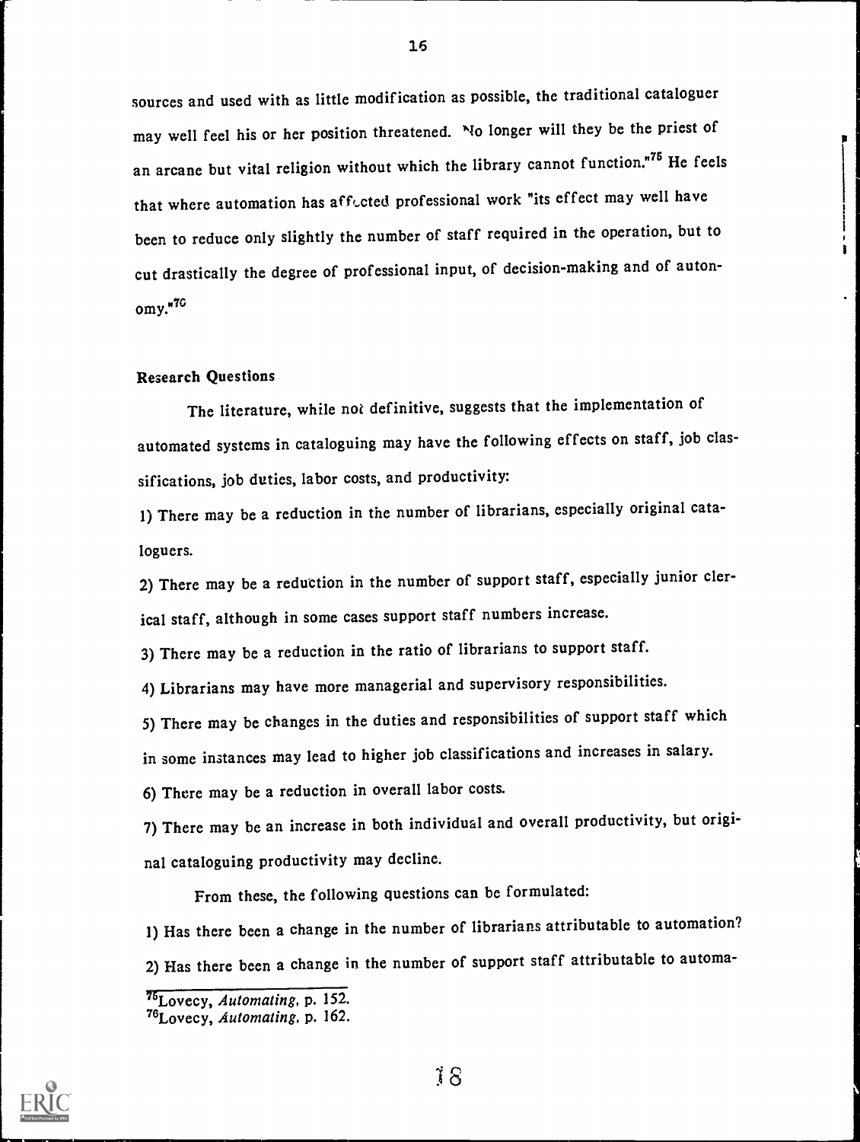sources and used with as little modification as possible, the traditional cataloguer may well feel his or her position threatened. No longer will they be the priest of an arcane but vital religion without which the library cannot function."<sup>75</sup> He feels that where automation has affected professional work "its effect may well have been to reduce only slightly the number of staff required in the operation, but to cut drastically the degree of professional input, of decision-making and of auton $omv.<sub>7G</sub>$ 

#### Research Questions

The literature, while not definitive, suggests that the implementation of automated systems in cataloguing may have the following effects on staff, job classifications, job duties, labor costs, and productivity:

1) There may be a reduction in the number of librarians, especially original cataloguers.

2) There may be a reduction in the number of support staff, especially junior clerical staff, although in some cases support staff numbers increase.

3) There may be a reduction in the ratio of librarians to support staff.

4) Librarians may have more managerial and supervisory responsibilities.

5) There may be changes in the duties and responsibilities of support staff which

in some instances may lead to higher job classifications and increases in salary.

6) There may be a reduction in overall labor costs.

7) There may be an increase in both individual and overall productivity, but original cataloguing productivity may decline.

From these, the following questions can be formulated:

1) Has there been a change in the number of librarians attributable to automation? 2) Has there been a change in the number of support staff attributable to automa-

|<br>|<br>|-



<sup>&</sup>lt;sup>75</sup>Lovecy, Automating, p. 152.

<sup>&</sup>quot;Lovecy, Automating, p. 162.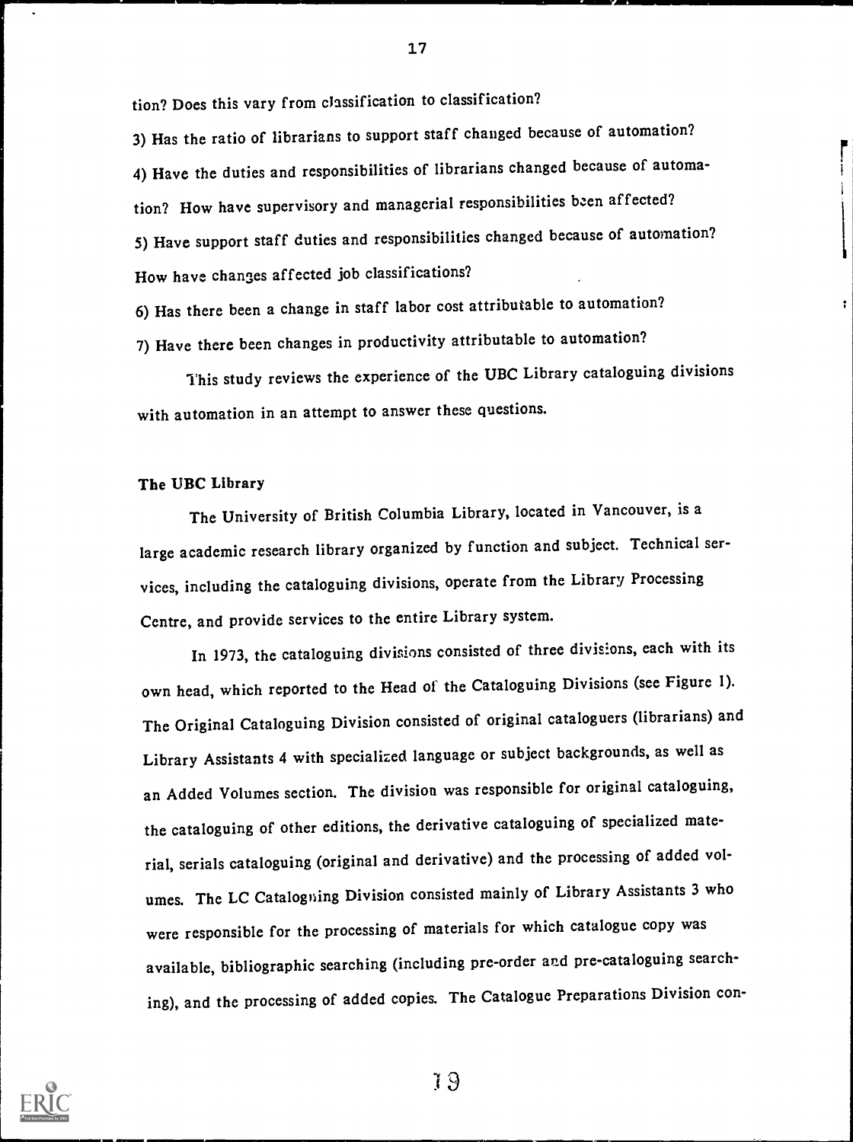tion? Does this vary from classification to classification?

3) Has the ratio of librarians to support staff changed because of automation? 4) Have the duties and responsibilities of librarians changed because of automation? How have supervisory and managerial responsibilities been affected? 5) Have support staff duties and responsibilities changed because of automation? How have changes affected job classifications?

[<br>|

17

6) Has there been a change in staff labor cost attributable to automation?

7) Have there been changes in productivity attributable to automation?

This study reviews the experience of the UBC Library cataloguing divisions with automation in an attempt to answer these questions.

#### The UBC Library

The University of British Columbia Library, located in Vancouver, is a large academic research library organized by function and subject. Technical services, including the cataloguing divisions, operate from the Library Processing Centre, and provide services to the entire Library system.

In 1973, the cataloguing divisions consisted of three divisions, each with its own head, which reported to the Head of the Cataloguing Divisions (see Figure 1). The Original Cataloguing Division consisted of original cataloguers (librarians) and Library Assistants 4 with specialized language or subject backgrounds, as well as an Added Volumes section. The division was responsible for original cataloguing, the cataloguing of other editions, the derivative cataloguing of specialized material, serials cataloguing (original and derivative) and the processing of added volumes. The LC Catalogning Division consisted mainly of Library Assistants 3 who were responsible for the processing of materials for which catalogue copy was available, bibliographic searching (including pre-order and pre-cataloguing searching), and the processing of added copies. The Catalogue Preparations Division con-

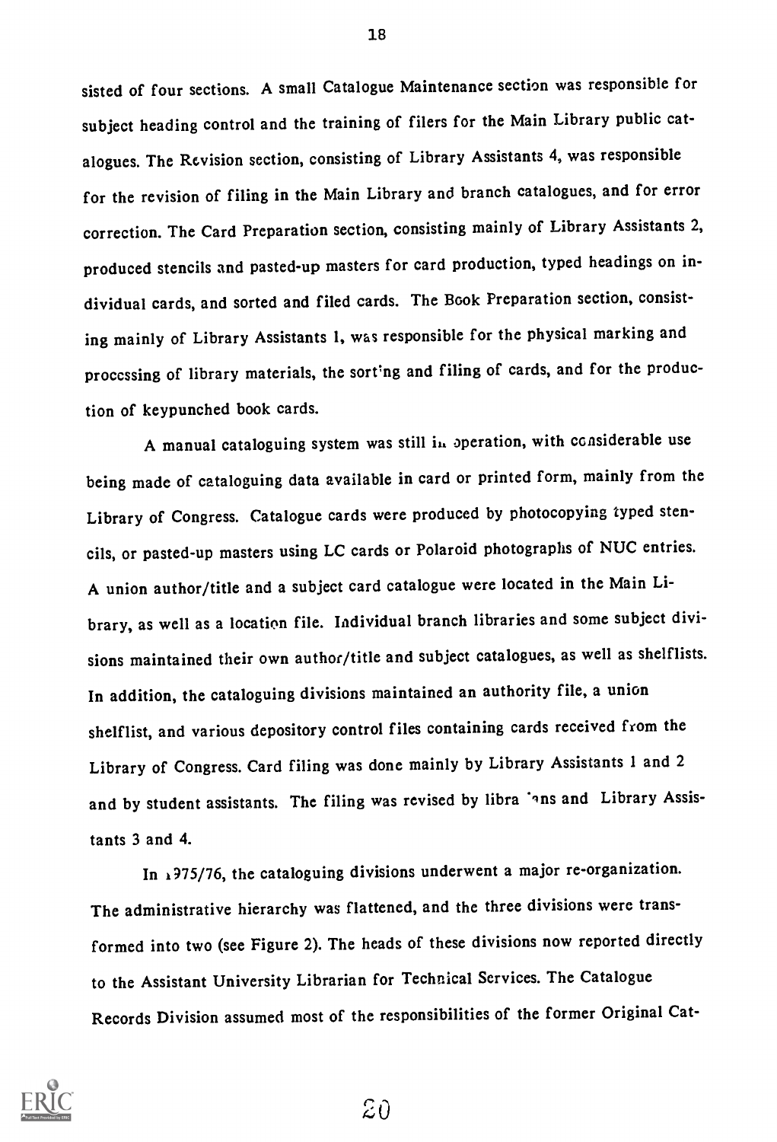sisted of four sections. A small Catalogue Maintenance section was responsible for subject heading control and the training of filers for the Main Library public catalogues. The Revision section, consisting of Library Assistants 4, was responsible for the revision of filing in the Main Library and branch catalogues, and for error correction. The Card Preparation section, consisting mainly of Library Assistants 2, produced stencils and pasted-up masters for card production, typed headings on individual cards, and sorted and filed cards. The Book Preparation section, consisting mainly of Library Assistants 1, was responsible for the physical marking and processing of library materials, the sort'ng and filing of cards, and for the production of keypunched book cards.

A manual cataloguing system was still in operation, with considerable use being made of cataloguing data available in card or printed form, mainly from the Library of Congress. Catalogue cards were produced by photocopying typed stencils, or pasted-up masters using LC cards or Polaroid photographs of NUC entries. A union author/title and a subject card catalogue were located in the Main Library, as well as a location file. Individual branch libraries and some subject divisions maintained their own author/title and subject catalogues, as well as shelflists. In addition, the cataloguing divisions maintained an authority file, a union shelflist, and various depository control files containing cards received from the Library of Congress. Card filing was done mainly by Library Assistants 1 and 2 and by student assistants. The filing was revised by libra 'ans and Library Assistants 3 and 4.

In 1975/76, the cataloguing divisions underwent a major re-organization. The administrative hierarchy was flattened, and the three divisions were transformed into two (see Figure 2). The heads of these divisions now reported directly to the Assistant University Librarian for Technical Services. The Catalogue Records Division assumed most of the responsibilities of the former Original Cat-



18

 $\mathcal{Z}0$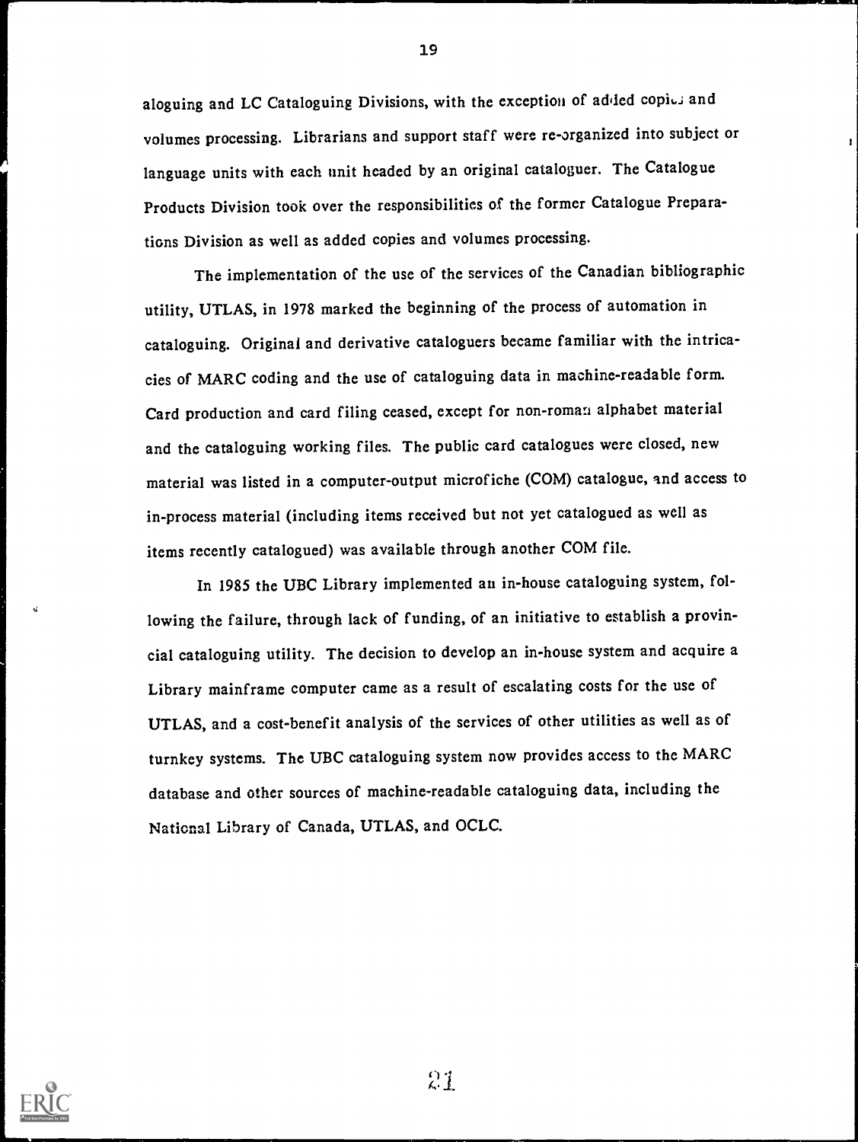aloguing and LC Cataloguing Divisions, with the exception of added copies and volumes processing. Librarians and support staff were re-organized into subject or language units with each unit headed by an original cataloguer. The Catalogue Products Division took over the responsibilities of the former Catalogue Preparations Division as well as added copies and volumes processing.

The implementation of the use of the services of the Canadian bibliographic utility, UTLAS, in 1978 marked the beginning of the process of automation in cataloguing. Original and derivative cataloguers became familiar with the intricacies of MARC coding and the use of cataloguing data in machine-readable form. Card production and card filing ceased, except for non-roman alphabet material and the cataloguing working files. The public card catalogues were closed, new material was listed in a computer-output microfiche (COM) catalogue, and access to in-process material (including items received but not yet catalogued as well as items recently catalogued) was available through another COM file.

In 1985 the UBC Library implemented an in-house cataloguing system, following the failure, through lack of funding, of an initiative to establish a provincial cataloguing utility. The decision to develop an in-house system and acquire a Library mainframe computer came as a result of escalating costs for the use of UTLAS, and a cost-benefit analysis of the services of other utilities as well as of turnkey systems. The UBC cataloguing system now provides access to the MARC database and other sources of machine-readable cataloguing data, including the National Library of Canada, UTLAS, and OCLC.



21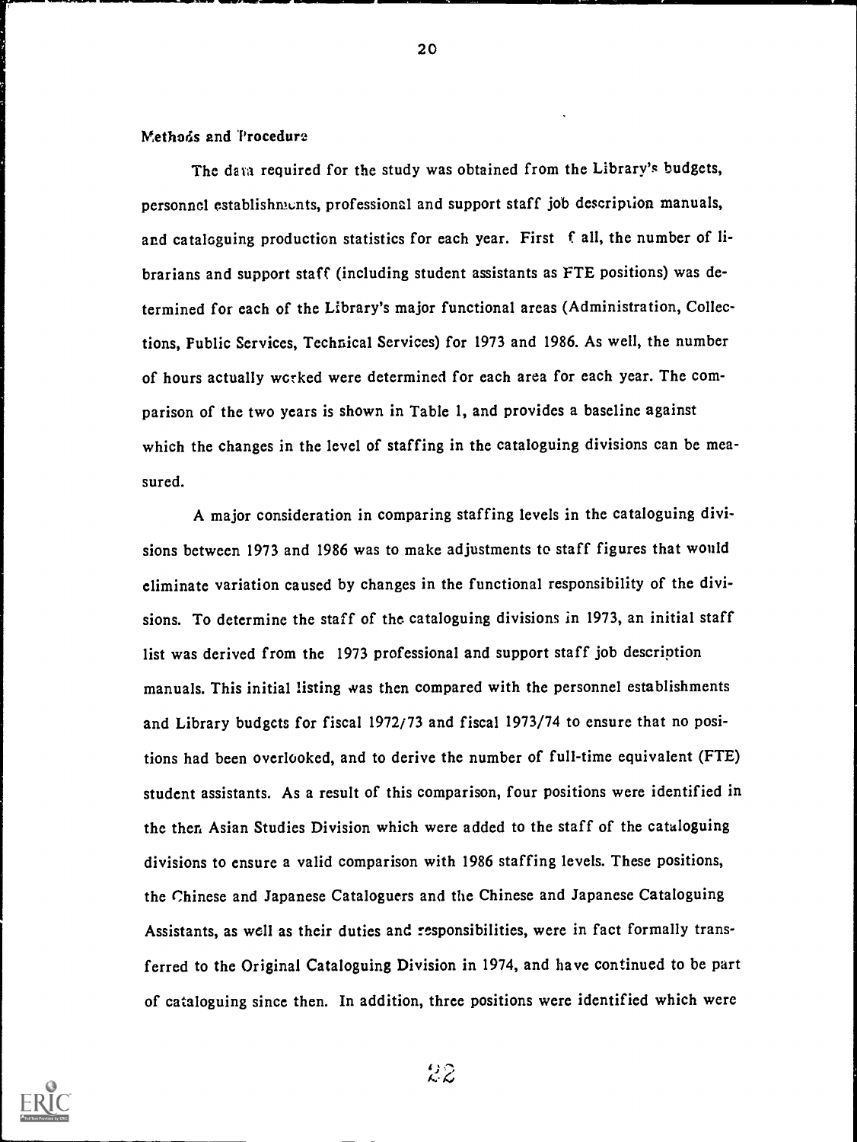#### Methods and 'Procedure

The data required for the study was obtained from the Library's budgets, personnel establishments, professional and support staff job description manuals, and cataloguing production statistics for each year. First f all, the number of librarians and support staff (including student assistants as FTE positions) was determined for each of the Library's major functional areas (Administration, Collections, Public Services, Technical Services) for 1973 and 1986. As well, the number of hours actually worked were determined for each area for each year. The comparison of the two years is shown in Table 1, and provides a baseline against which the changes in the level of staffing in the cataloguing divisions can be measured.

20

A major consideration in comparing staffing levels in the cataloguing divisions between 1973 and 1986 was to make adjustments to staff figures that would eliminate variation caused by changes in the functional responsibility of the divisions. To determine the staff of the cataloguing divisions in 1973, an initial staff list was derived from the 1973 professional and support staff job description manuals. This initial listing was then compared with the personnel establishments and Library budgets for fiscal 1972/73 and fiscal 1973/74 to ensure that no positions had been overlooked, and to derive the number of full-time equivalent (FTE) student assistants. As a result of this comparison, four positions were identified in the then Asian Studies Division which were added to the staff of the cataloguing divisions to ensure a valid comparison with 1986 staffing levels. These positions, the Chinese and Japanese Cataloguers and the Chinese and Japanese Cataloguing Assistants, as well as their duties and responsibilities, were in fact formally transferred to the Original Cataloguing Division in 1974, and have continued to be part of cataloguing since then. In addition, three positions were identified which were

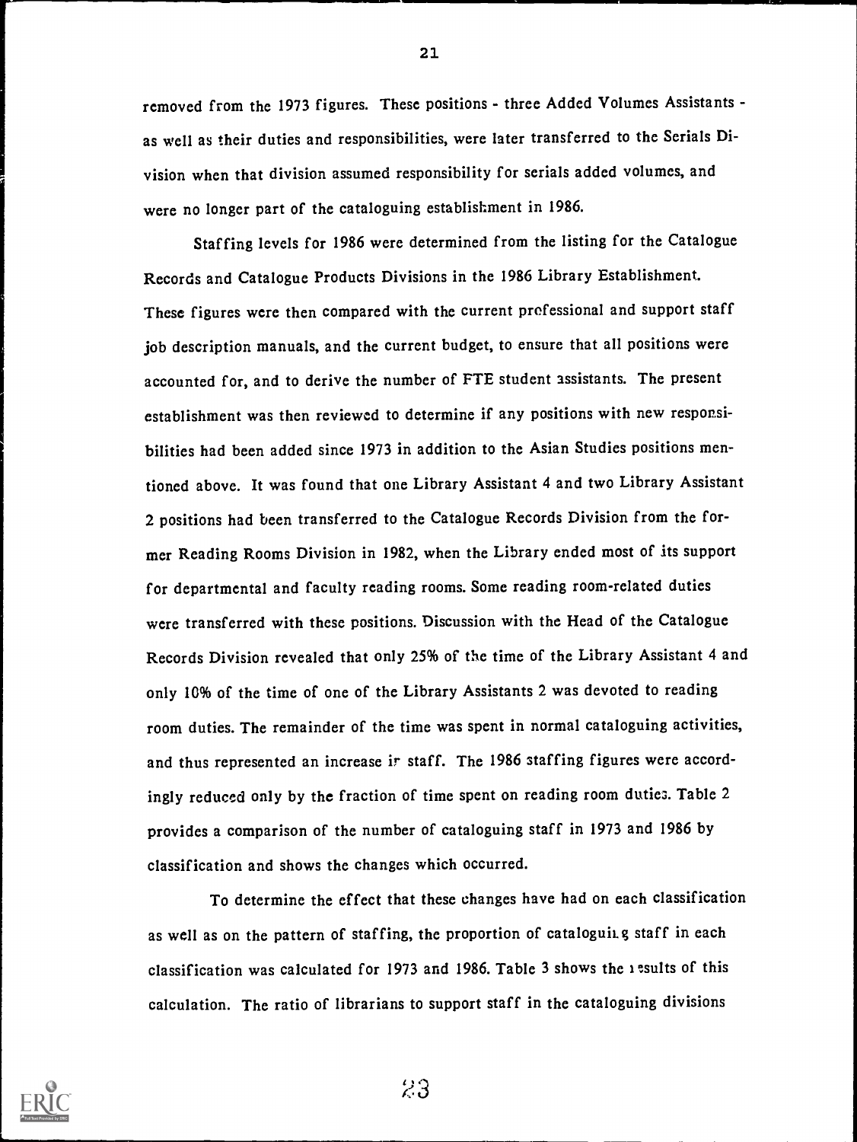removed from the 1973 figures. These positions - three Added Volumes Assistants as well as their duties and responsibilities, were later transferred to the Serials Division when that division assumed responsibility for serials added volumes, and were no longer part of the cataloguing establishment in 1986.

Staffing levels for 1986 were determined from the listing for the Catalogue Records and Catalogue Products Divisions in the 1986 Library Establishment. These figures were then compared with the current professional and support staff job description manuals, and the current budget, to ensure that all positions were accounted for, and to derive the number of FTE student assistants. The present establishment was then reviewed to determine if any positions with new responsibilities had been added since 1973 in addition to the Asian Studies positions mentioned above. It was found that one Library Assistant 4 and two Library Assistant 2 positions had been transferred to the Catalogue Records Division from the former Reading Rooms Division in 1982, when the Library ended most of its support for departmental and faculty reading rooms. Some reading room-related duties were transferred with these positions. Discussion with the Head of the Catalogue Records Division revealed that only 25% of the time of the Library Assistant 4 and only 10% of the time of one of the Library Assistants 2 was devoted to reading room duties. The remainder of the time was spent in normal cataloguing activities, and thus represented an increase ir staff. The 1986 staffing figures were accordingly reduced only by the fraction of time spent on reading room duties. Table 2 provides a comparison of the number of cataloguing staff in 1973 and 1986 by classification and shows the changes which occurred.

To determine the effect that these changes have had on each classification as well as on the pattern of staffing, the proportion of cataloguing staff in each classification was calculated for 1973 and 1986. Table 3 shows the  $i$  esults of this calculation. The ratio of librarians to support staff in the cataloguing divisions



21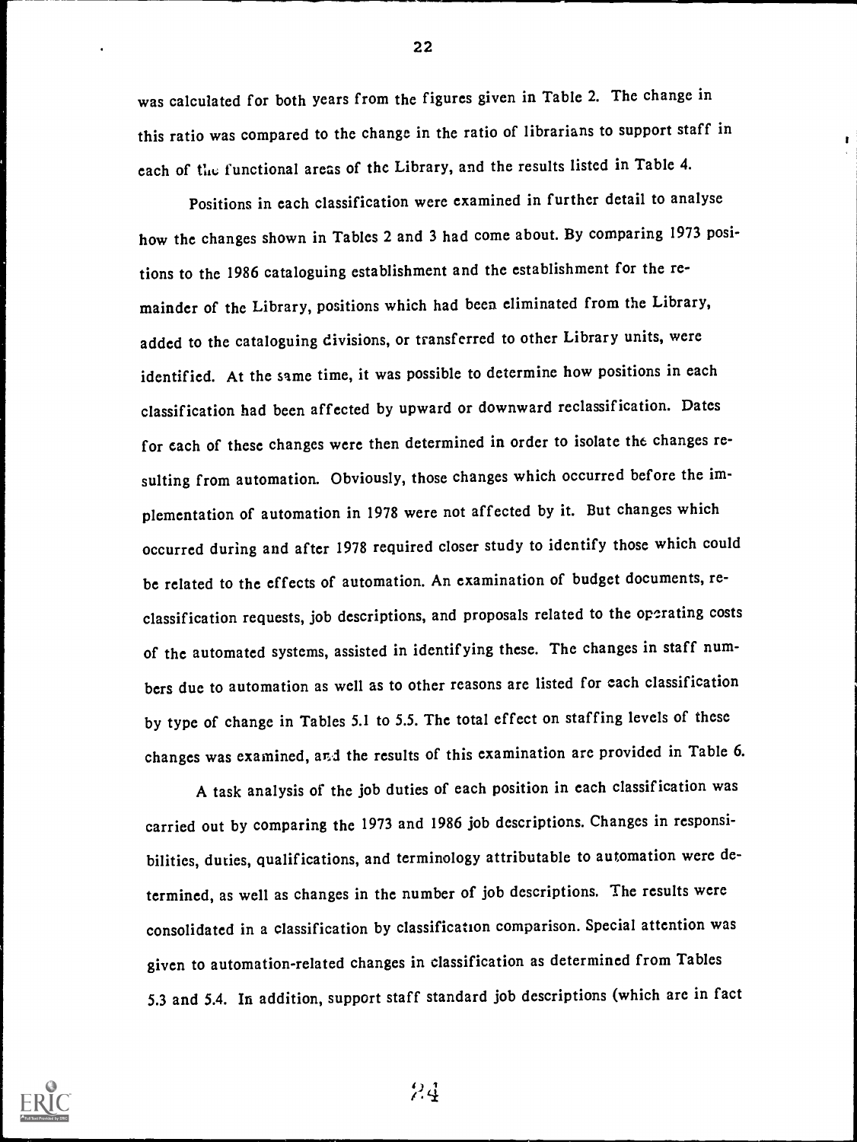was calculated for both years from the figures given in Table 2. The change in this ratio was compared to the change in the ratio of librarians to support staff in each of the functional areas of the Library, and the results listed in Table 4.

Positions in each classification were examined in further detail to analyse how the changes shown in Tables 2 and 3 had come about. By comparing 1973 positions to the 1986 cataloguing establishment and the establishment for the remainder of the Library, positions which had been eliminated from the Library, added to the cataloguing divisions, or transferred to other Library units, were identified. At the same time, it was possible to determine how positions in each classification had been affected by upward or downward reclassification. Dates for each of these changes were then determined in order to isolate the changes resulting from automation. Obviously, those changes which occurred before the implementation of automation in 1978 were not affected by it. But changes which occurred during and after 1978 required closer study to identify those which could be related to the effects of automation. An examination of budget documents, reclassification requests, job descriptions, and proposals related to the operating costs of the automated systems, assisted in identifying these. The changes in staff numbers due to automation as well as to other reasons are listed for each classification by type of change in Tables 5.1 to 5.5. The total effect on staffing levels of these changes was examined, and the results of this examination are provided in Table 6.

A task analysis of the job duties of each position in each classification was carried out by comparing the 1973 and 1986 job descriptions. Changes in responsibilities, duties, qualifications, and terminology attributable to automation were determined, as well as changes in the number of job descriptions. The results were consolidated in a classification by classification comparison. Special attention was given to automation-related changes in classification as determined from Tables 5.3 and 5.4. In addition, support staff standard job descriptions (which are in fact



24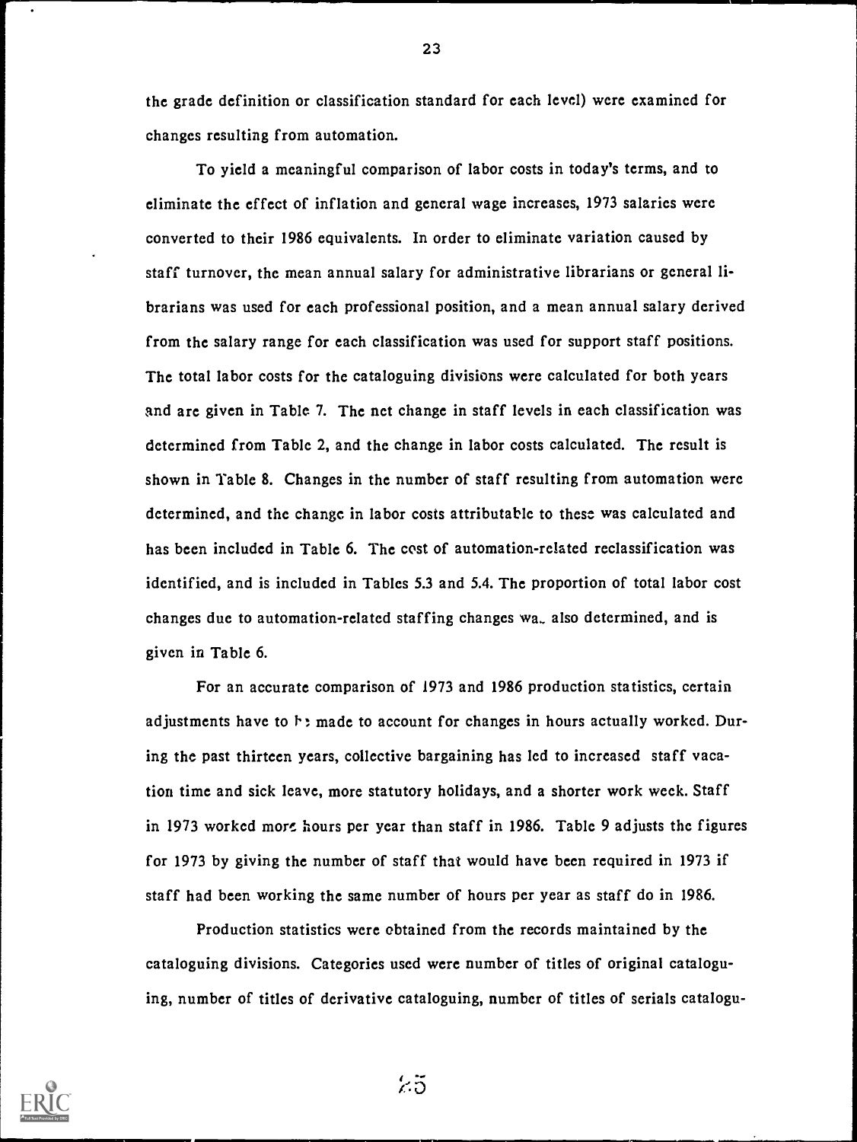the grade definition or classification standard for each level) were examined for changes resulting from automation.

To yield a meaningful comparison of labor costs in today's terms, and to eliminate the effect of inflation and general wage increases, 1973 salaries were converted to their 1986 equivalents. In order to eliminate variation caused by staff turnover, the mean annual salary for administrative librarians or general librarians was used for each professional position, and a mean annual salary derived from the salary range for each classification was used for support staff positions. The total labor costs for the cataloguing divisions were calculated for both years and are given in Table 7. The net change in staff levels in each classification was determined from Table 2, and the change in labor costs calculated. The result is shown in Table 8. Changes in the number of staff resulting from automation were determined, and the change in labor costs attributable to these was calculated and has been included in Table 6. The cost of automation-related reclassification was identified, and is included in Tables 5.3 and 5.4. The proportion of total labor cost changes due to automation-related staffing changes wa.. also determined, and is given in Table 6.

For an accurate comparison of 1973 and 1986 production statistics, certain adjustments have to  $\ddot{\phantom{1}}$ : made to account for changes in hours actually worked. During the past thirteen years, collective bargaining has led to increased staff vacation time and sick leave, more statutory holidays, and a shorter work week. Staff in 1973 worked more hours per year than staff in 1986. Table 9 adjusts the figures for 1973 by giving the number of staff that would have been required in 1973 if staff had been working the same number of hours per year as staff do in 1986.

Production statistics were obtained from the records maintained by the cataloguing divisions. Categories used were number of titles of original cataloguing, number of titles of derivative cataloguing, number of titles of serials catalogu-

 $25$ 

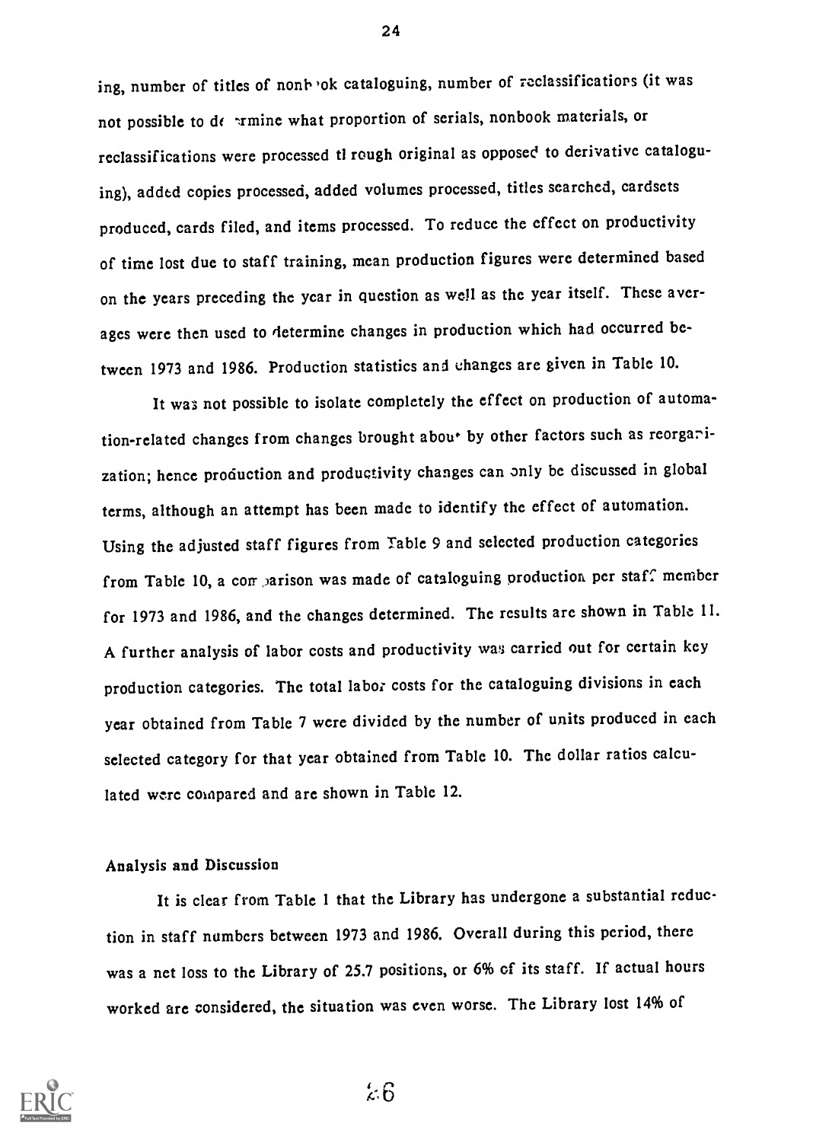ing, number of titles of nont ok cataloguing, number of reclassifications (it was not possible to de  $\cdot$ rmine what proportion of serials, nonbook materials, or reclassifications were processed tl rough original as opposed to derivative cataloguing), added copies processed, added volumes processed, titles searched, cardsets produced, cards filed, and items processed. To reduce the effect on productivity of time lost due to staff training, mean production figures were determined based on the years preceding the year in question as well as the year itself. These averages were then used to determine changes in production which had occurred between 1973 and 1986. Production statistics and changes are given in Table 10.

It was not possible to isolate completely the effect on production of automation-related changes from changes brought about by other factors such as reorganization; hence production and productivity changes can only be discussed in global terms, although an attempt has been made to identify the effect of automation. Using the adjusted staff figures from Table 9 and selected production categories from Table 10, a comparison was made of cataloguing production per staff member for 1973 and 1986, and the changes determined. The results are shown in Table 11. A further analysis of labor costs and productivity was carried out for certain key production categories. The total labor costs for the cataloguing divisions in each year obtained from Table 7 were divided by the number of units produced in each selected category for that year obtained from Table 10. The dollar ratios calculated were compared and are shown in Table 12.

#### Analysis and Discussion

It is clear from Table 1 that the Library has undergone a substantial reduction in staff numbers between 1973 and 1986. Overall during this period, there was a net loss to the Library of 25.7 positions, or 6% of its staff. If actual hours worked are considered, the situation was even worse. The Library lost 14% of



24

 $\&6$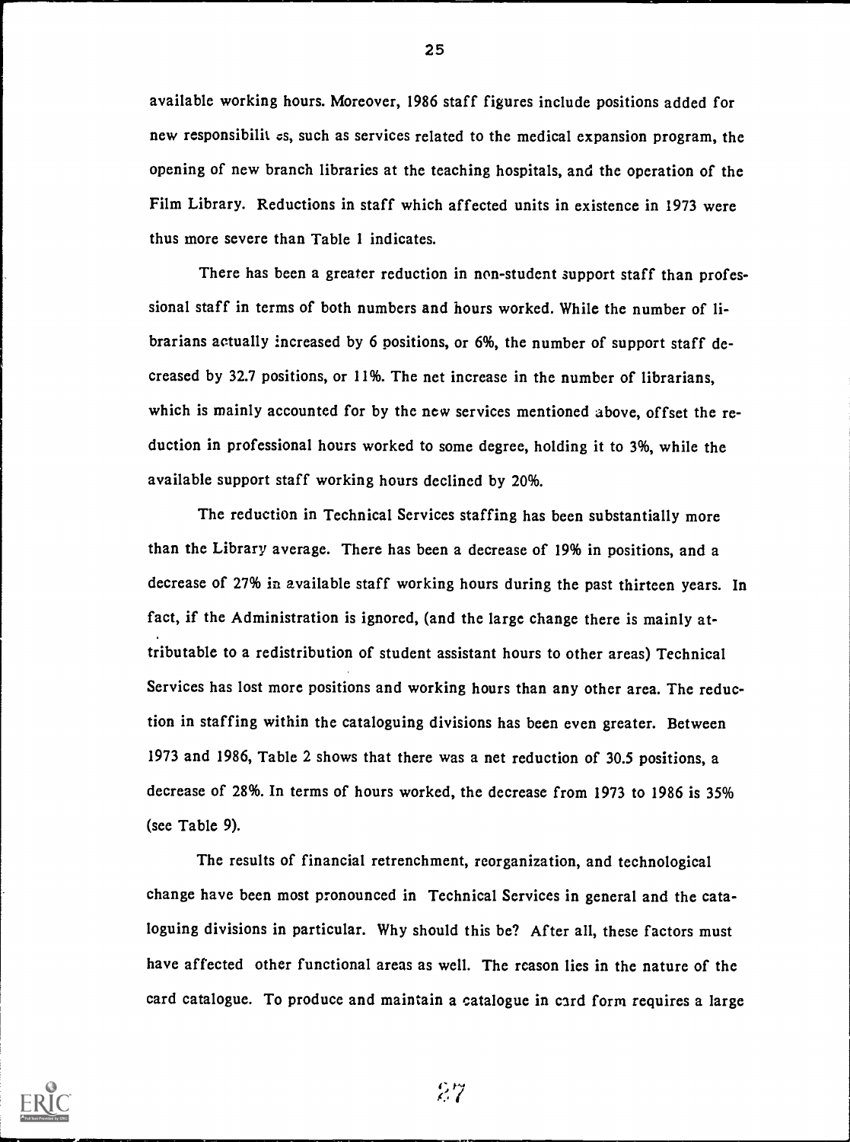available working hours. Moreover, 1986 staff figures include positions added for new responsibilit cs, such as services related to the medical expansion program, the opening of new branch libraries at the teaching hospitals, and the operation of the Film Library. Reductions in staff which affected units in existence in 1973 were thus more severe than Table 1 indicates.

There has been a greater reduction in non-student support staff than professional staff in terms of both numbers and hours worked. While the number of librarians actually increased by 6 positions, or 6%, the number of support staff decreased by 32.7 positions, or 11%. The net increase in the number of librarians, which is mainly accounted for by the new services mentioned above, offset the reduction in professional hours worked to some degree, holding it to 3%, while the available support staff working hours declined by 20%.

The reduction in Technical Services staffing has been substantially more than the Library average. There has been a decrease of 19% in positions, and a decrease of 27% in available staff working hours during the past thirteen years. In fact, if the Administration is ignored, (and the large change there is mainly attributable to a redistribution of student assistant hours to other areas) Technical Services has lost more positions and working hours than any other area. The reduction in staffing within the cataloguing divisions has been even greater. Between 1973 and 1986, Table 2 shows that there was a net reduction of 30.5 positions, a decrease of 28%. In terms of hours worked, the decrease from 1973 to 1986 is 35% (see Table 9).

The results of financial retrenchment, reorganization, and technological change have been most pronounced in Technical Services in general and the cataloguing divisions in particular. Why should this be? After all, these factors must have affected other functional areas as well. The reason lies in the nature of the card catalogue. To produce and maintain a catalogue in card form requires a large



25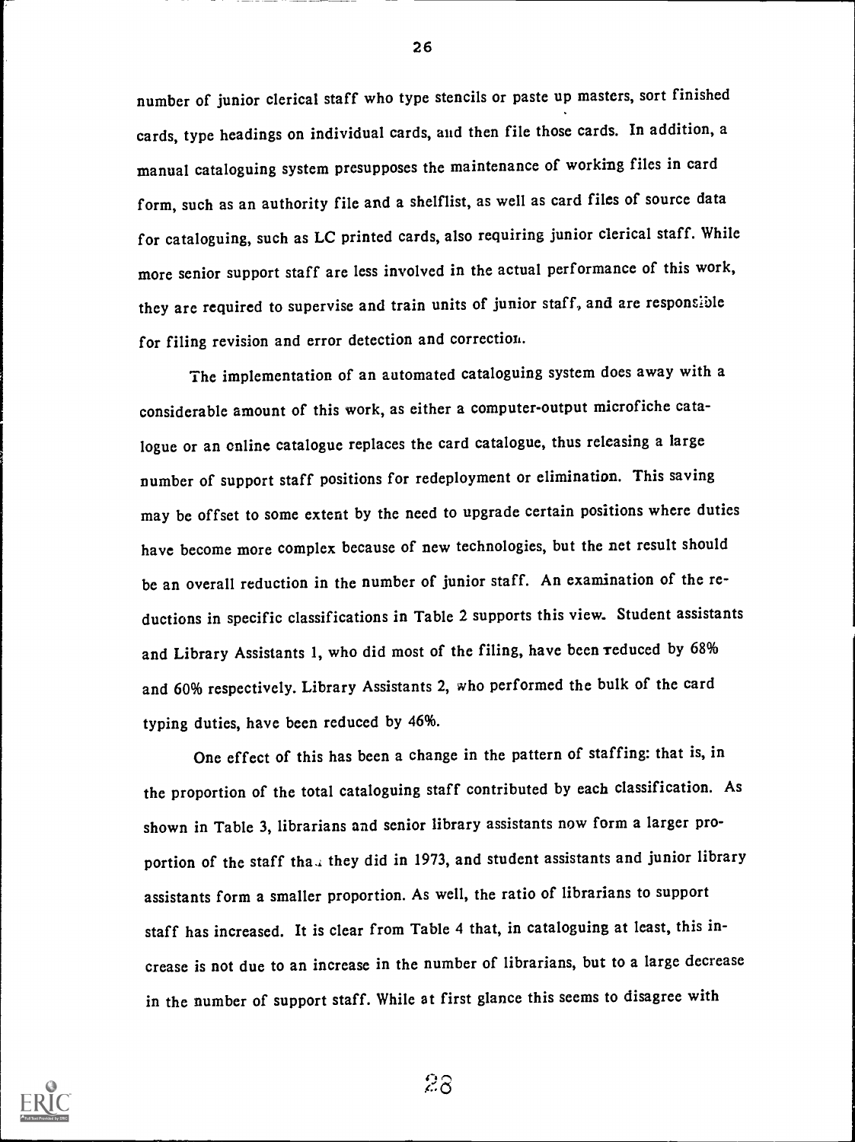number of junior clerical staff who type stencils or paste up masters, sort finished cards, type headings on individual cards, and then file those cards. In addition, a manual cataloguing system presupposes the maintenance of working files in card form, such as an authority file and a shelflist, as well as card files of source data for cataloguing, such as LC printed cards, also requiring junior clerical staff. While more senior support staff are less involved in the actual performance of this work, they are required to supervise and train units of junior staff., and are responsible for filing revision and error detection and correction.

The implementation of an automated cataloguing system does away with a considerable amount of this work, as either a computer-output microfiche catalogue or an online catalogue replaces the card catalogue, thus releasing a large number of support staff positions for redeployment or elimination. This saving may be offset to some extent by the need to upgrade certain positions where duties have become more complex because of new technologies, but the net result should be an overall reduction in the number of junior staff. An examination of the reductions in specific classifications in Table 2 supports this view. Student assistants and Library Assistants 1, who did most of the filing, have been reduced by 68% and 60% respectively. Library Assistants 2, who performed the bulk of the card typing duties, have been reduced by 46%.

One effect of this has been a change in the pattern of staffing: that is, in the proportion of the total cataloguing staff contributed by each classification. As shown in Table 3, librarians and senior library assistants now form a larger proportion of the staff tha.. they did in 1973, and student assistants and junior library assistants form a smaller proportion. As well, the ratio of librarians to support staff has increased. It is clear from Table 4 that, in cataloguing at least, this increase is not due to an increase in the number of librarians, but to a large decrease in the number of support staff. While at first glance this seems to disagree with



28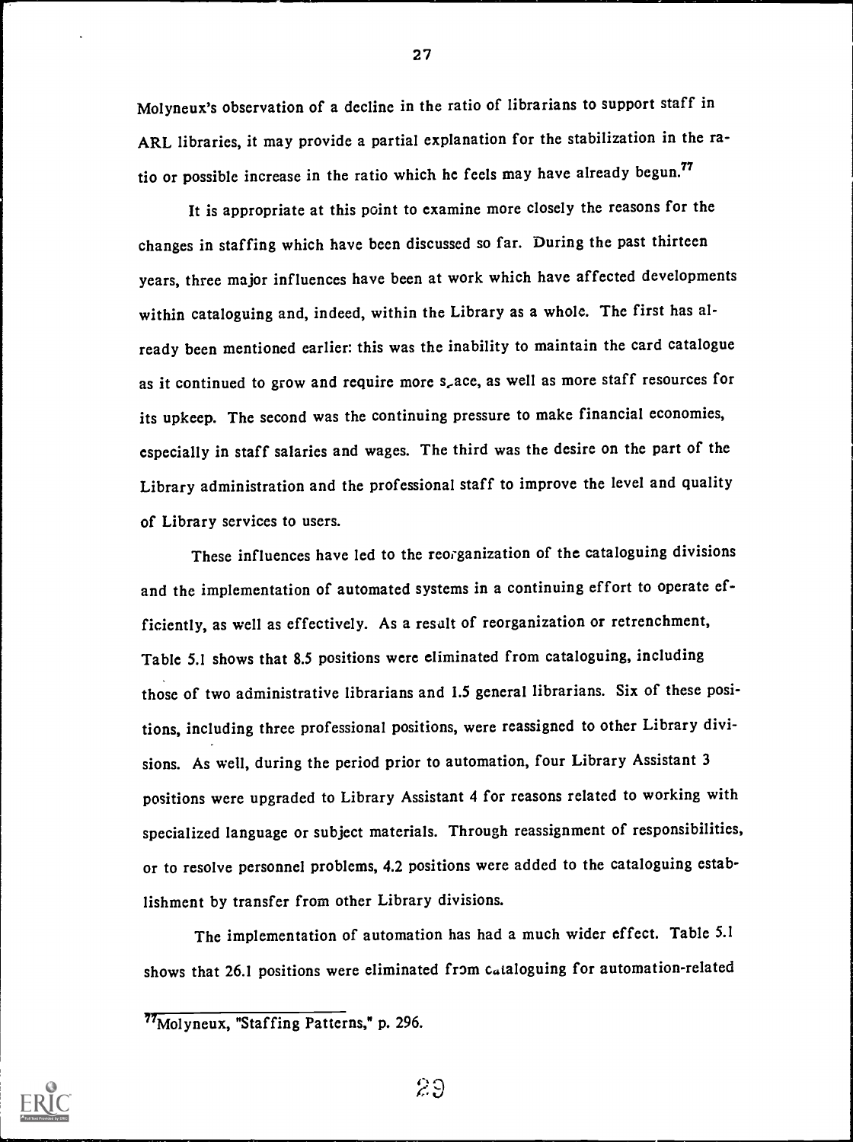Molyneux's observation of a decline in the ratio of librarians to support staff in ARL libraries, it may provide a partial explanation for the stabilization in the ratio or possible increase in the ratio which he feels may have already begun.<sup>77</sup>

It is appropriate at this point to examine more closely the reasons for the changes in staffing which have been discussed so far. During the past thirteen years, three major influences have been at work which have affected developments within cataloguing and, indeed, within the Library as a whole. The first has already been mentioned earlier: this was the inability to maintain the card catalogue as it continued to grow and require more s,ace, as well as more staff resources for its upkeep. The second was the continuing pressure to make financial economies, especially in staff salaries and wages. The third was the desire on the part of the Library administration and the professional staff to improve the level and quality of Library services to users.

These influences have led to the reorganization of the cataloguing divisions and the implementation of automated systems in a continuing effort to operate efficiently, as well as effectively. As a result of reorganization or retrenchment, Table 5.1 shows that 8.5 positions were eliminated from cataloguing, including those of two administrative librarians and 1.5 general librarians. Six of these positions, including three professional positions, were reassigned to other Library divisions. As well, during the period prior to automation, four Library Assistant 3 positions were upgraded to Library Assistant 4 for reasons related to working with specialized language or subject materials. Through reassignment of responsibilities, or to resolve personnel problems, 4.2 positions were added to the cataloguing establishment by transfer from other Library divisions.

The implementation of automation has had a much wider effect. Table 5.1 shows that 26.1 positions were eliminated from cataloguing for automation-related



2.0

<sup>77</sup>Molyneux, "Staffing Patterns," p. 296.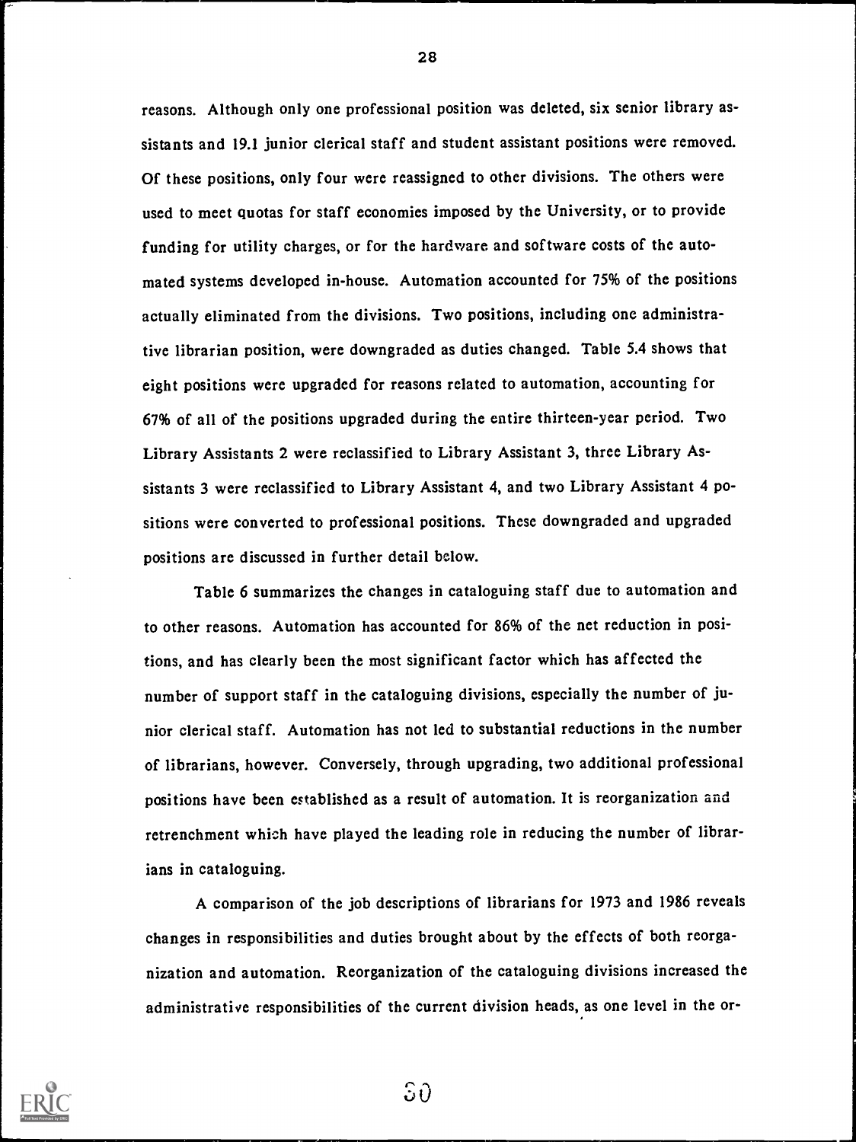reasons. Although only one professional position was deleted, six senior library assistants and 19.1 junior clerical staff and student assistant positions were removed. Of these positions, only four were reassigned to other divisions. The others were used to meet quotas for staff economies imposed by the University, or to provide funding for utility charges, or for the hardware and software costs of the automated systems developed in-house. Automation accounted for 75% of the positions actually eliminated from the divisions. Two positions, including one administrative librarian position, were downgraded as duties changed. Table 5.4 shows that eight positions were upgraded for reasons related to automation, accounting for 67% of all of the positions upgraded during the entire thirteen-year period. Two Library Assistants 2 were reclassified to Library Assistant 3, three Library Assistants 3 were reclassified to Library Assistant 4, and two Library Assistant 4 positions were converted to professional positions. These downgraded and upgraded positions are discussed in further detail below.

Table 6 summarizes the changes in cataloguing staff due to automation and to other reasons. Automation has accounted for 86% of the net reduction in positions, and has clearly been the most significant factor which has affected the number of support staff in the cataloguing divisions, especially the number of junior clerical staff. Automation has not led to substantial reductions in the number of librarians, however. Conversely, through upgrading, two additional professional positions have been established as a result of automation. It is reorganization and retrenchment which have played the leading role in reducing the number of librarians in cataloguing.

A comparison of the job descriptions of librarians for 1973 and 1986 reveals changes in responsibilities and duties brought about by the effects of both reorganization and automation. Reorganization of the cataloguing divisions increased the administrative responsibilities of the current division heads, as one level in the or-



28

 $5\theta$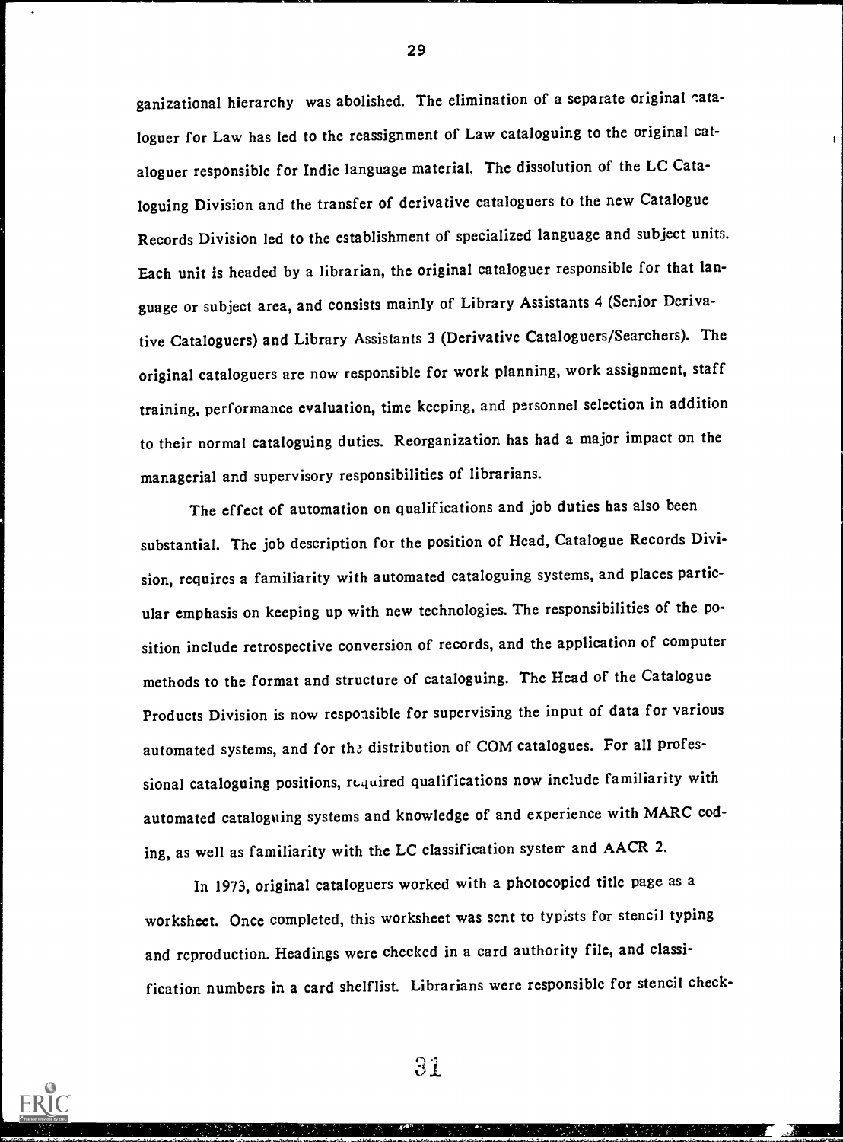ganizational hierarchy was abolished. The elimination of a separate original cataloguer for Law has led to the reassignment of Law cataloguing to the original cataloguer responsible for Indic language material. The dissolution of the LC Cataloguing Division and the transfer of derivative cataloguers to the new Catalogue Records Division led to the establishment of specialized language and subject units. Each unit is headed by a librarian, the original cataloguer responsible for that language or subject area, and consists mainly of Library Assistants 4 (Senior Derivative Cataloguers) and Library Assistants 3 (Derivative Cataloguers/Searchers). The original cataloguers are now responsible for work planning, work assignment, staff training, performance evaluation, time keeping, and personnel selection in addition to their normal cataloguing duties. Reorganization has had a major impact on the managerial and supervisory responsibilities of librarians.

The effect of automation on qualifications and job duties has also been substantial. The job description for the position of Head, Catalogue Records Division, requires a familiarity with automated cataloguing systems, and places particular emphasis on keeping up with new technologies. The responsibilities of the position include retrospective conversion of records, and the application of computer methods to the format and structure of cataloguing. The Head of the Catalogue Products Division is now responsible for supervising the input of data for various automated systems, and for the distribution of COM catalogues. For all professional cataloguing positions, required qualifications now include familiarity with automated cataloguing systems and knowledge of and experience with MARC coding, as well as familiarity with the LC classification system and AACR 2.

In 1973, original cataloguers worked with a photocopied title page as a worksheet. Once completed, this worksheet was sent to typists for stencil typing and reproduction. Headings were checked in a card authority file, and classification numbers in a card shelflist. Librarians were responsible for stencil check-

31

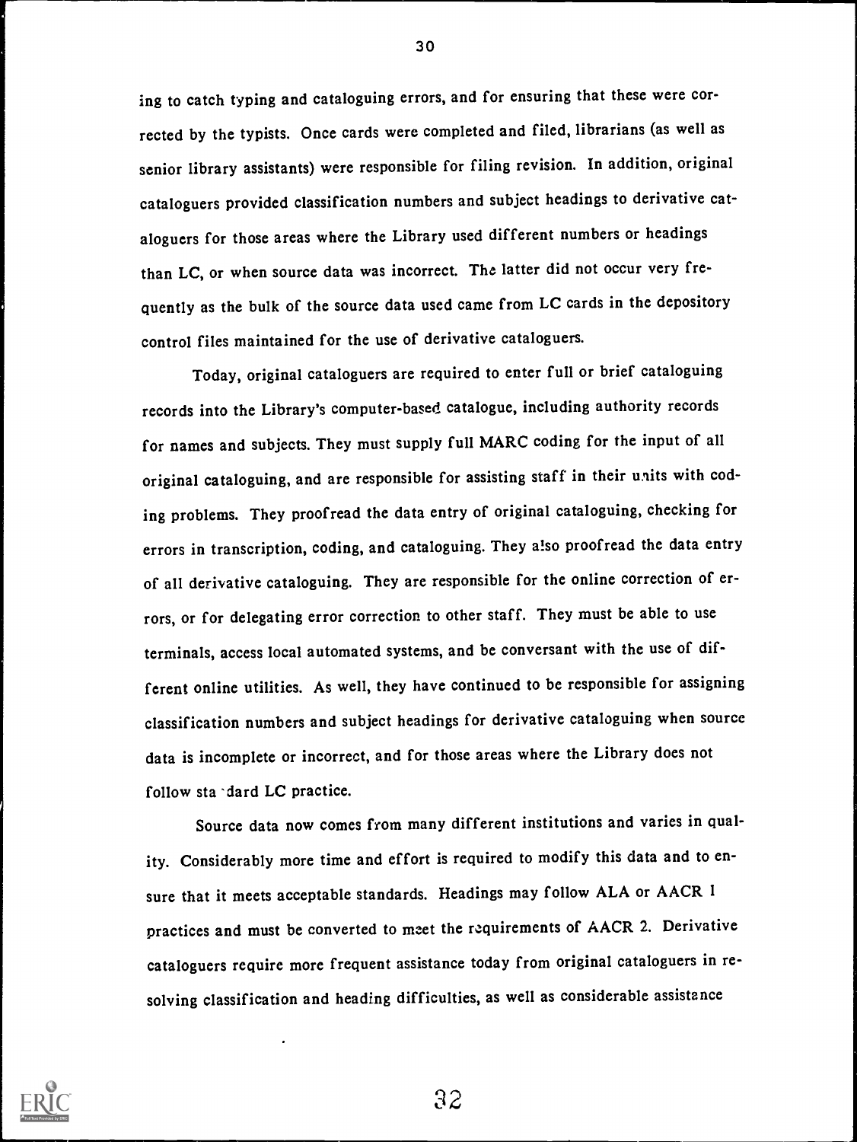ing to catch typing and cataloguing errors, and for ensuring that these were corrected by the typists. Once cards were completed and filed, librarians (as well as senior library assistants) were responsible for filing revision. In addition, original cataloguers provided classification numbers and subject headings to derivative cataloguers for those areas where the Library used different numbers or headings than LC, or when source data was incorrect. The latter did not occur very frequently as the bulk of the source data used came from LC cards in the depository control files maintained for the use of derivative cataloguers.

Today, original cataloguers are required to enter full or brief cataloguing records into the Library's computer-based catalogue, including authority records for names and subjects. They must supply full MARC coding for the input of all original cataloguing, and are responsible for assisting staff in their units with coding problems. They proofread the data entry of original cataloguing, checking for errors in transcription, coding, and cataloguing. They a1so proofread the data entry of all derivative cataloguing. They are responsible for the online correction of errors, or for delegating error correction to other staff. They must be able to use terminals, access local automated systems, and be conversant with the use of different online utilities. As well, they have continued to be responsible for assigning classification numbers and subject headings for derivative cataloguing when source data is incomplete or incorrect, and for those areas where the Library does not follow sta 'dard LC practice.

Source data now comes from many different institutions and varies in quality. Considerably more time and effort is required to modify this data and to ensure that it meets acceptable standards. Headings may follow ALA or AACR 1 practices and must be converted to meet the requirements of AACR 2. Derivative cataloguers require more frequent assistance today from original cataloguers in resolving classification and heading difficulties, as well as considerable assistance



30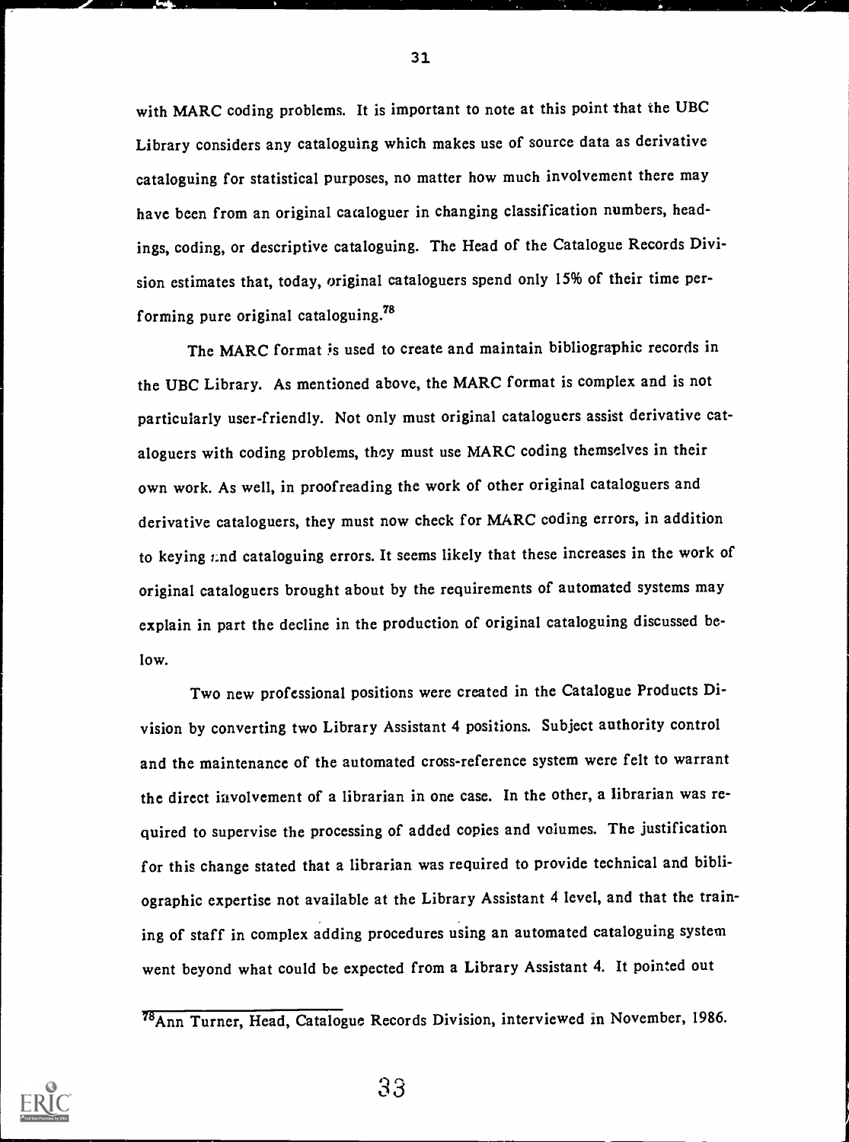with MARC coding problems. It is important to note at this point that the UBC Library considers any cataloguing which makes use of source data as derivative cataloguing for statistical purposes, no matter how much involvement there may have been from an original cataloguer in changing classification numbers, headings, coding, or descriptive cataloguing. The Head of the Catalogue Records Division estimates that, today, original cataloguers spend only 15% of their time performing pure original cataloguing.78

The MARC format is used to create and maintain bibliographic records in the UBC Library. As mentioned above, the MARC format is complex and is not particularly user-friendly. Not only must original cataloguers assist derivative cataloguers with coding problems, they must use MARC coding themselves in their own work. As well, in proofreading the work of other original cataloguers and derivative cataloguers, they must now check for MARC coding errors, in addition to keying  $r$ nd cataloguing errors. It seems likely that these increases in the work of original cataloguers brought about by the requirements of automated systems may explain in part the decline in the production of original cataloguing discussed below.

Two new professional positions were created in the Catalogue Products Division by converting two Library Assistant 4 positions. Subject authority control and the maintenance of the automated cross-reference system were felt to warrant the direct involvement of a librarian in one case. In the other, a librarian was required to supervise the processing of added copies and volumes. The justification for this change stated that a librarian was required to provide technical and bibliographic expertise not available at the Library Assistant 4 level, and that the training of staff in complex adding procedures using an automated cataloguing system went beyond what could be expected from a Library Assistant 4. It pointed out

33



<sup>78</sup>Ann Turner, Head, Catalogue Records Division, interviewed in November, 1986.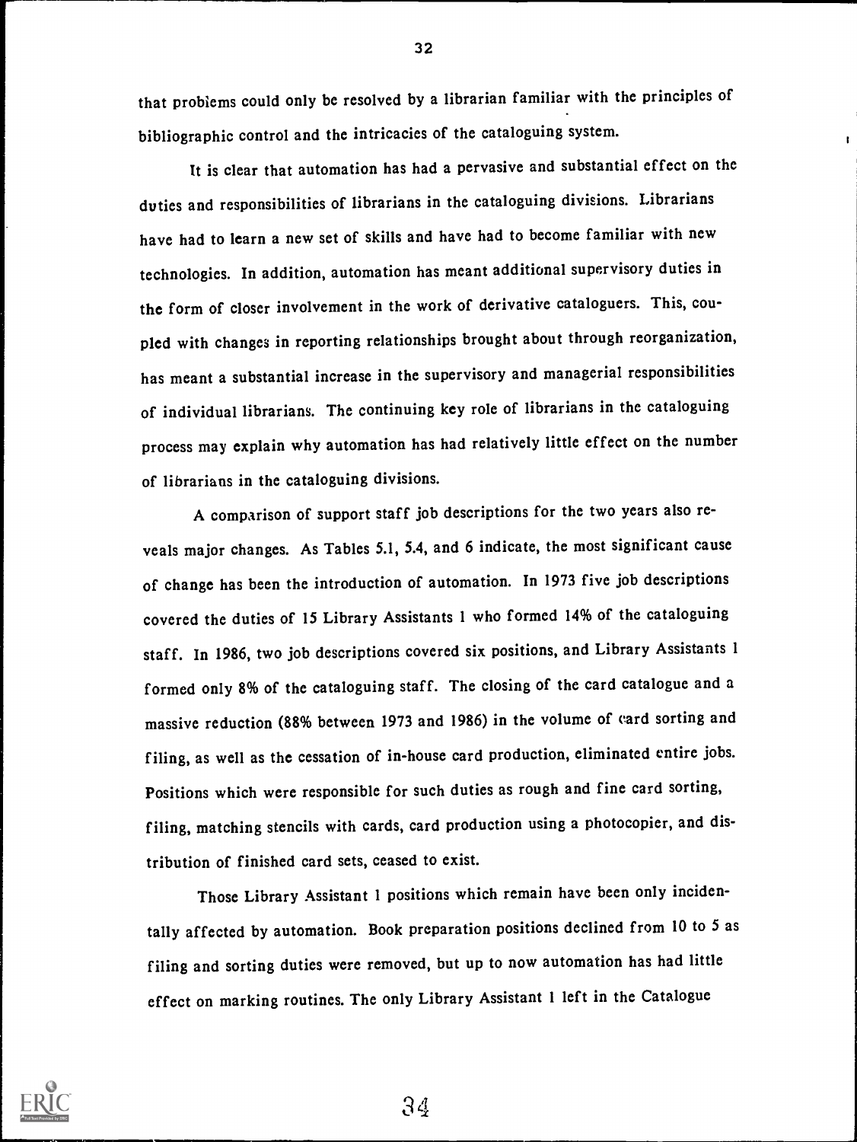that problems could only be resolved by a librarian familiar with the principles of bibliographic control and the intricacies of the cataloguing system.

It is clear that automation has had a pervasive and substantial effect on the duties and responsibilities of librarians in the cataloguing divisions. Librarians have had to learn a new set of skills and have had to become familiar with new technologies. In addition, automation has meant additional supervisory duties in the form of closer involvement in the work of derivative cataloguers. This, coupled with changes in reporting relationships brought about through reorganization, has meant a substantial increase in the supervisory and managerial responsibilities of individual librarians. The continuing key role of librarians in the cataloguing process may explain why automation has had relatively little effect on the number of librarians in the cataloguing divisions.

A comparison of support staff job descriptions for the two years also reveals major changes. As Tables 5.1, 5.4, and 6 indicate, the most significant cause of change has been the introduction of automation. In 1973 five job descriptions covered the duties of 15 Library Assistants 1 who formed 14% of the cataloguing staff. In 1986, two job descriptions covered six positions, and Library Assistants 1 formed only 8% of the cataloguing staff. The closing of the card catalogue and a massive reduction (88% between 1973 and 1986) in the volume of card sorting and filing, as well as the cessation of in-house card production, eliminated entire jobs. Positions which were responsible for such duties as rough and fine card sorting, filing, matching stencils with cards, card production using a photocopier, and distribution of finished card sets, ceased to exist.

Those Library Assistant 1 positions which remain have been only incidentally affected by automation. Book preparation positions declined from 10 to 5 as filing and sorting duties were removed, but up to now automation has had little effect on marking routines. The only Library Assistant 1 left in the Catalogue



32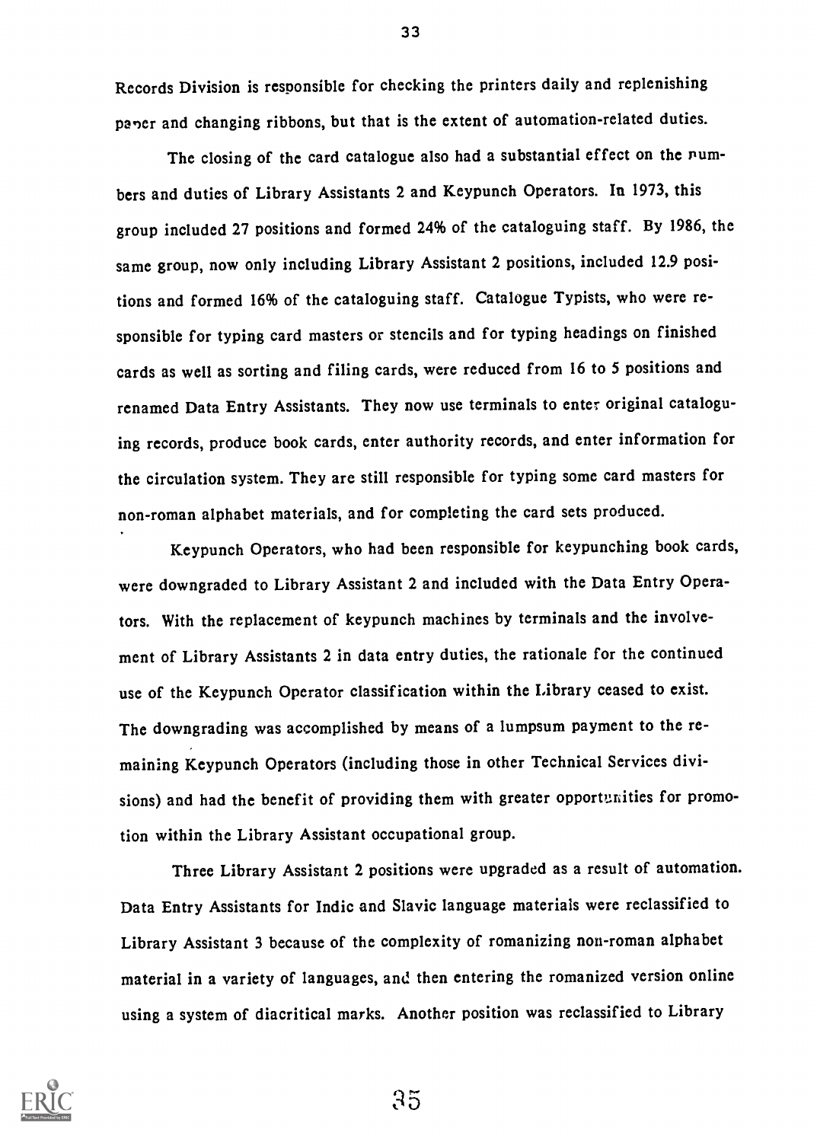Records Division is responsible for checking the printers daily and replenishing paper and changing ribbons, but that is the extent of automation-related duties.

The closing of the card catalogue also had a substantial effect on the numbers and duties of Library Assistants 2 and Keypunch Operators. In 1973, this group included 27 positions and formed 24% of the cataloguing staff. By 1986, the same group, now only including Library Assistant 2 positions, included 12.9 positions and formed 16% of the cataloguing staff. Catalogue Typists, who were responsible for typing card masters or stencils and for typing headings on finished cards as well as sorting and filing cards, were reduced from 16 to 5 positions and renamed Data Entry Assistants. They now use terminals to enter original cataloguing records, produce book cards, enter authority records, and enter information for the circulation system. They are still responsible for typing some card masters for non-roman alphabet materials, and for completing the card sets produced.

Keypunch Operators, who had been responsible for keypunching book cards, were downgraded to Library Assistant 2 and included with the Data Entry Operators. With the replacement of keypunch machines by terminals and the involvement of Library Assistants 2 in data entry duties, the rationale for the continued use of the Keypunch Operator classification within the Library ceased to exist. The downgrading was accomplished by means of a lumpsum payment to the remaining Keypunch Operators (including those in other Technical Services divisions) and had the benefit of providing them with greater opportunities for promotion within the Library Assistant occupational group.

Three Library Assistant 2 positions were upgraded as a result of automation. Data Entry Assistants for Indic and Slavic language materials were reclassified to Library Assistant 3 because of the complexity of romanizing non-roman alphabet material in a variety of languages, and then entering the romanized version online using a system of diacritical marks. Another position was reclassified to Library



33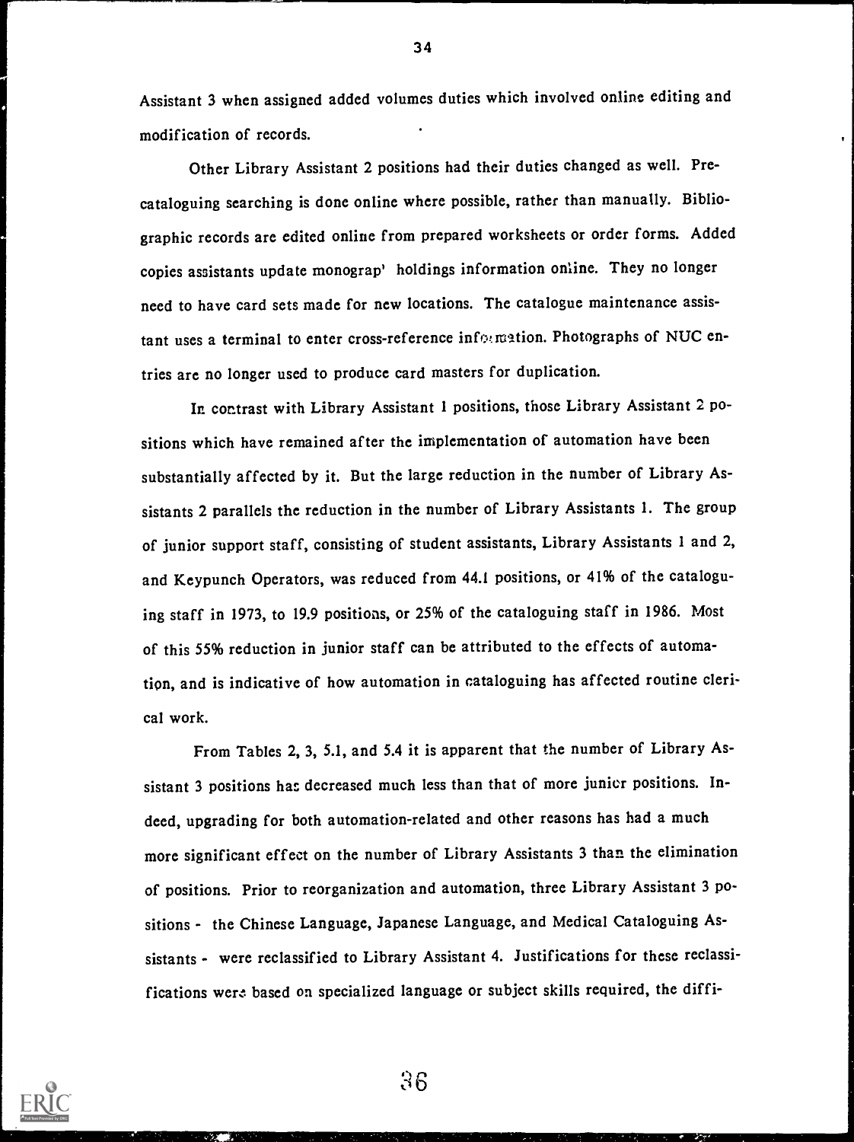Assistant 3 when assigned added volumes duties which involved online editing and modification of records.

Other Library Assistant 2 positions had their duties changed as well. Precataloguing searching is done online where possible, rather than manually. Bibliographic records are edited online from prepared worksheets or order forms. Added copies assistants update monograp' holdings information online. They no longer need to have card sets made for new locations. The catalogue maintenance assistant uses a terminal to enter cross-reference information. Photographs of NUC entries are no longer used to produce card masters for duplication.

In contrast with Library Assistant 1 positions, those Library Assistant 2 positions which have remained after the implementation of automation have been substantially affected by it. But the large reduction in the number of Library Assistants 2 parallels the reduction in the number of Library Assistants 1. The group of junior support staff, consisting of student assistants, Library Assistants 1 and 2, and Keypunch Operators, was reduced from 44.1 positions, or 41% of the cataloguing staff in 1973, to 19.9 positions, or 25% of the cataloguing staff in 1986. Most of this 55% reduction in junior staff can be attributed to the effects of automation, and is indicative of how automation in cataloguing has affected routine clerical work.

From Tables 2, 3, 5.1, and 5.4 it is apparent that the number of Library Assistant 3 positions has decreased much less than that of more junior positions. Indeed, upgrading for both automation-related and other reasons has had a much more significant effect on the number of Library Assistants 3 than the elimination of positions. Prior to reorganization and automation, three Library Assistant 3 positions - the Chinese Language, Japanese Language, and Medical Cataloguing Assistants - were reclassified to Library Assistant 4. Justifications for these reclassifications were based on specialized language or subject skills required, the diffi-



36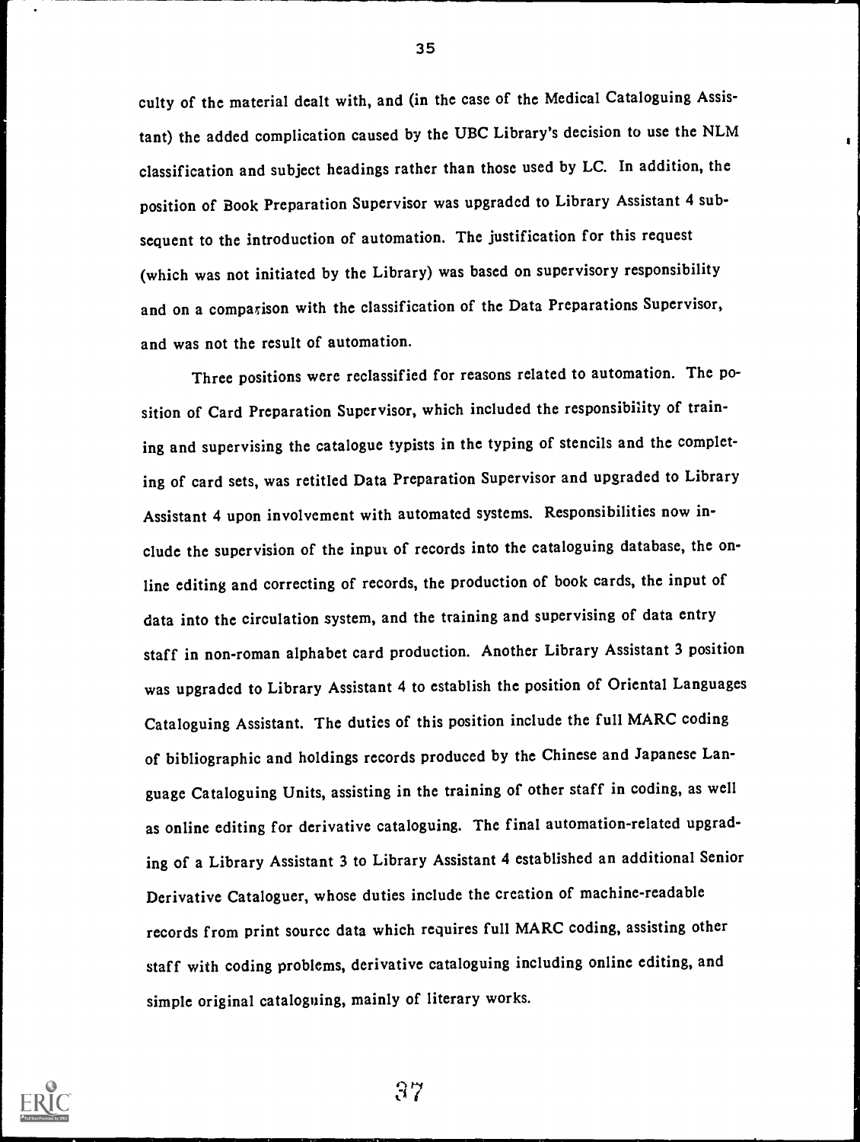culty of the material dealt with, and (in the case of the Medical Cataloguing Assistant) the added complication caused by the UBC Library's decision to use the NLM classification and subject headings rather than those used by LC. In addition, the position of Book Preparation Supervisor was upgraded to Library Assistant 4 subsequent to the introduction of automation. The justification for this request (which was not initiated by the Library) was based on supervisory responsibility and on a comparison with the classification of the Data Preparations Supervisor, and was not the result of automation.

Three positions were reclassified for reasons related to automation. The position of Card Preparation Supervisor, which included the responsibility of training and supervising the catalogue typists in the typing of stencils and the completing of card sets, was retitled Data Preparation Supervisor and upgraded to Library Assistant 4 upon involvement with automated systems. Responsibilities now include the supervision of the input of records into the cataloguing database, the online editing and correcting of records, the production of book cards, the input of data into the circulation system, and the training and supervising of data entry staff in non-roman alphabet card production. Another Library Assistant 3 position was upgraded to Library Assistant 4 to establish the position of Oriental Languages Cataloguing Assistant. The duties of this position include the full MARC coding of bibliographic and holdings records produced by the Chinese and Japanese Language Cataloguing Units, assisting in the training of other staff in coding, as well as online editing for derivative cataloguing. The final automation-related upgrading of a Library Assistant 3 to Library Assistant 4 established an additional Senior Derivative Cataloguer, whose duties include the creation of machine-readable records from print source data which requires full MARC coding, assisting other staff with coding problems, derivative cataloguing including online editing, and simple original cataloguing, mainly of literary works.



35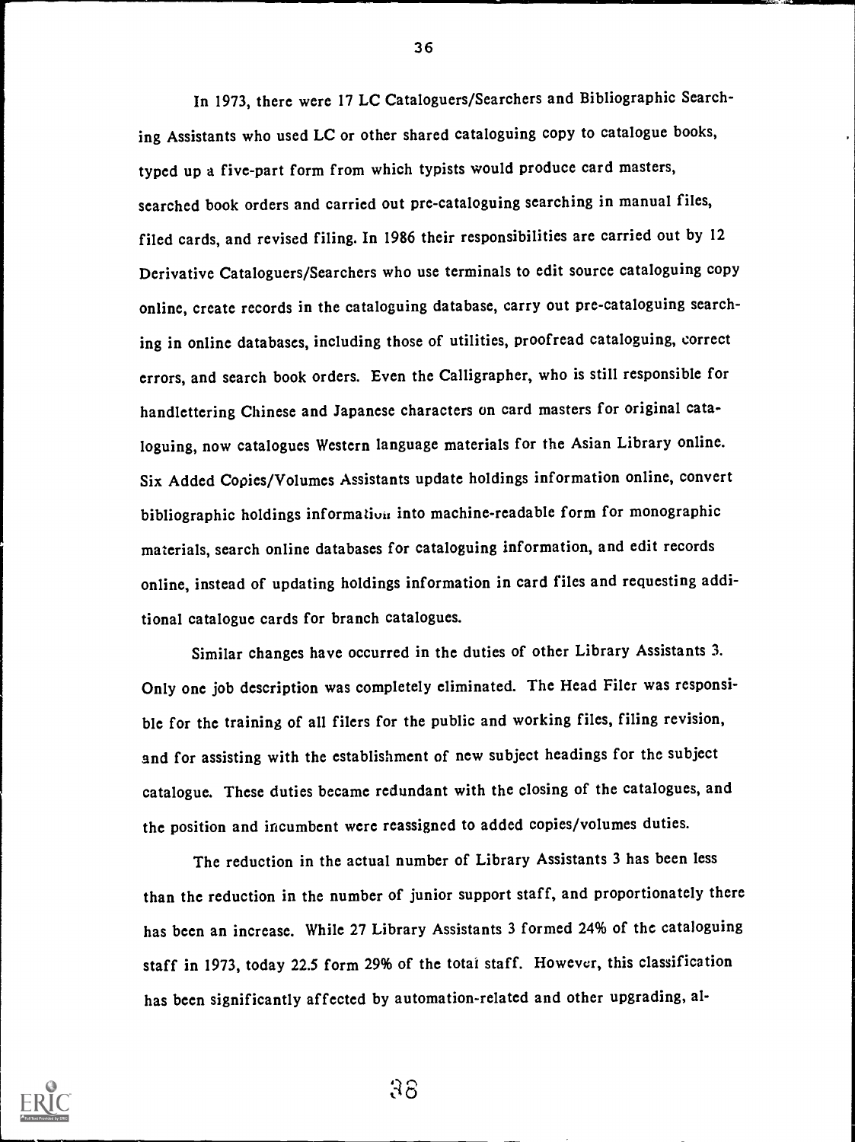In 1973, there were 17 LC Cataloguers/Searchers and Bibliographic Searching Assistants who used LC or other shared cataloguing copy to catalogue books, typed up a five-part form from which typists would produce card masters, searched book orders and carried out pre-cataloguing searching in manual files, filed cards, and revised filing. In 1986 their responsibilities are carried out by 12 Derivative Cataloguers/Searchers who use terminals to edit source cataloguing copy online, create records in the cataloguing database, carry out pre-cataloguing searching in online databases, including those of utilities, proofread cataloguing, correct errors, and search book orders. Even the Calligrapher, who is still responsible for handlettering Chinese and Japanese characters on card masters for original cataloguing, now catalogues Western language materials for the Asian Library online. Six Added Copies/Volumes Assistants update holdings information online, convert bibliographic holdings information into machine-readable form for monographic materials, search online databases for cataloguing information, and edit records online, instead of updating holdings information in card files and requesting additional catalogue cards for branch catalogues.

Similar changes have occurred in the duties of other Library Assistants 3. Only one job description was completely eliminated. The Head Filer was responsible for the training of all filers for the public and working files, filing revision, and for assisting with the establishment of new subject headings for the subject catalogue. These duties became redundant with the closing of the catalogues, and the position and incumbent were reassigned to added copies/volumes duties.

The reduction in the actual number of Library Assistants 3 has been less than the reduction in the number of junior support staff, and proportionately there has been an increase. While 27 Library Assistants 3 formed 24% of the cataloguing staff in 1973, today 22.5 form 29% of the total staff. However, this classification has been significantly affected by automation-related and other upgrading, al-



36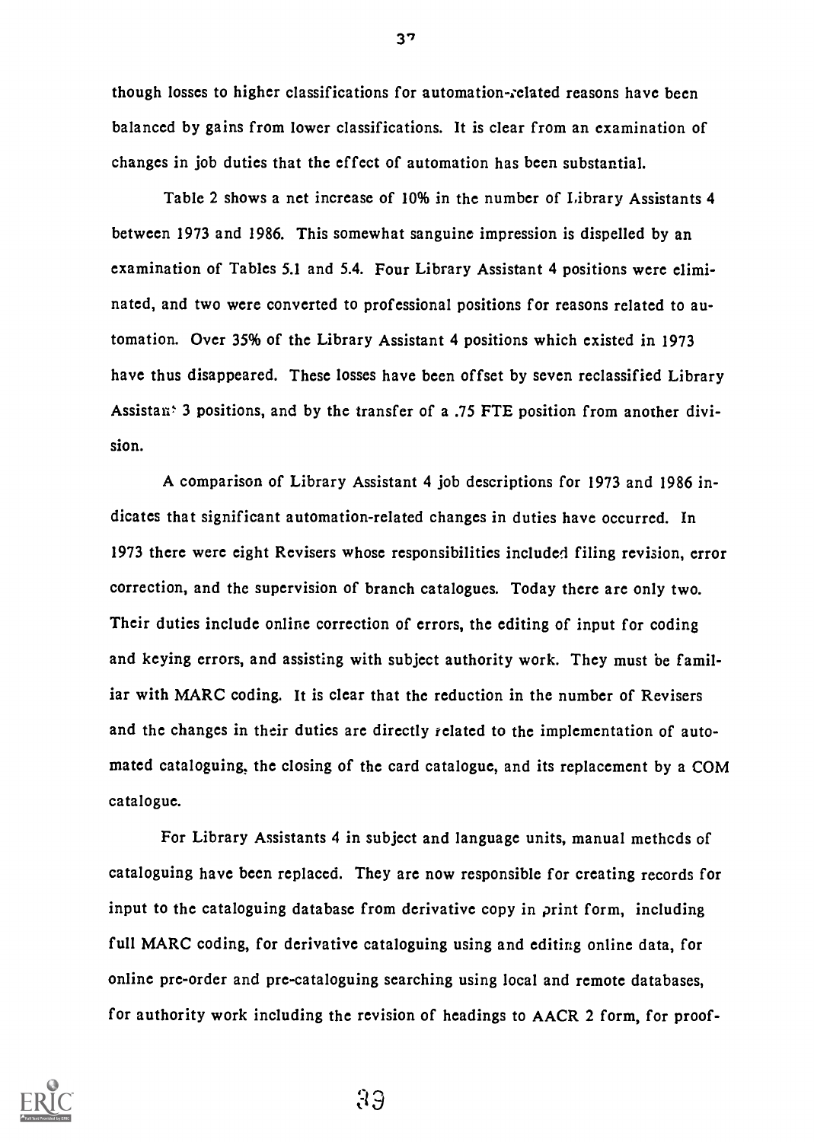though losses to higher classifications for automation-related reasons have becn balanced by gains from lower classifications. It is clear from an examination of changes in job duties that the effect of automation has been substantial.

Table 2 shows a net increase of 10% in the number of Library Assistants 4 between 1973 and 1986. This somewhat sanguine impression is dispelled by an examination of Tables 5.1 and 5.4. Four Library Assistant 4 positions were eliminated, and two were converted to professional positions for reasons related to automation. Over 35% of the Library Assistant 4 positions which existed in 1973 have thus disappeared. These losses have been offset by seven reclassified Library Assistan: 3 positions, and by the transfer of a .75 FTE position from another division.

A comparison of Library Assistant 4 job descriptions for 1973 and 1986 indicates that significant automation-related changes in duties have occurrcd. In 1973 there were eight Revisers whose responsibilities included filing revision, error correction, and the supervision of branch catalogues. Today there are only two. Their duties include online correction of errors, the editing of input for coding and keying errors, and assisting with subject authority work. They must be familiar with MARC coding. It is clear that the reduction in the number of Revisers and the changes in their duties are directly related to the implementation of automated cataloguing, the closing of the card catalogue, and its replacement by a COM catalogue.

For Library Assistants 4 in subject and language units, manual methcds of cataloguing have been replaced. They are now responsible for creating records for input to the cataloguing database from derivative copy in print form, including full MARC coding, for derivative cataloguing using and editing online data, for online pre-order and pre-cataloguing searching using local and remote databases, for authority work including the revision of headings to AACR 2 form, for proof-



37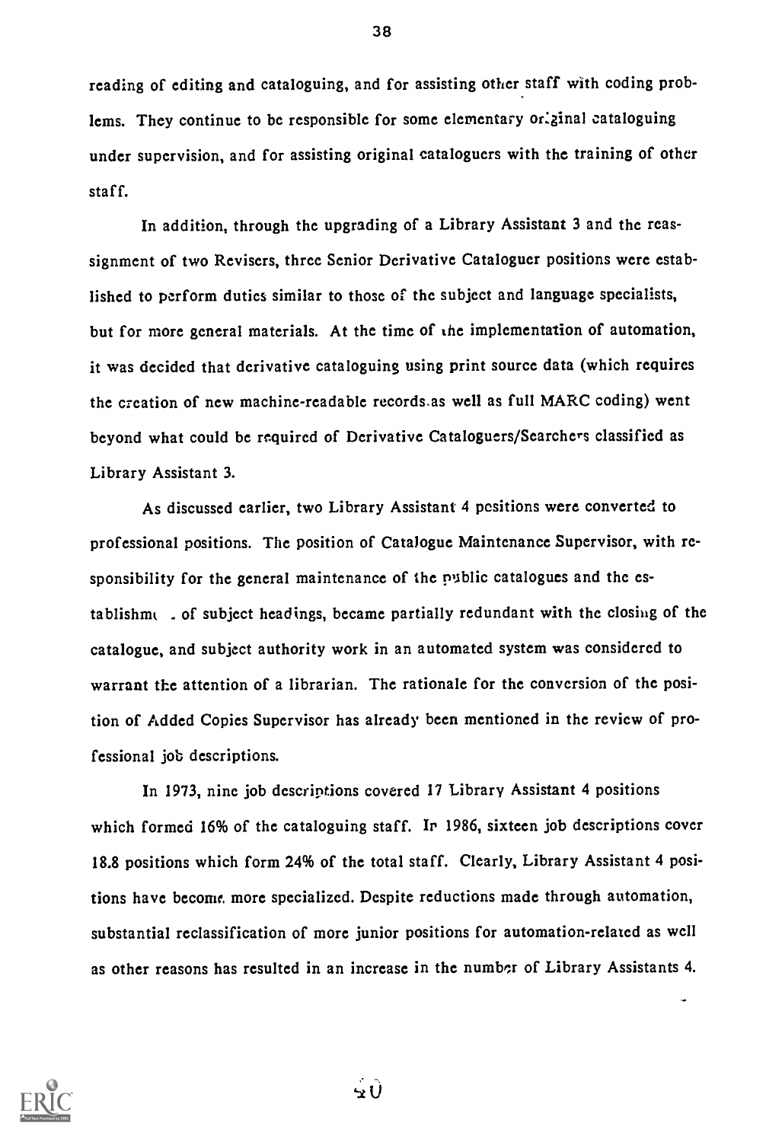reading of editing and cataloguing, and for assisting other staff with coding problems. They continue to be responsible for some elementary original cataloguing under supervision, and for assisting original cataloguers with the training of other staff.

In addition, through the upgrading of a Library Assistant 3 and the reassignment of two Revisers, three Senior Derivative Cataloguer positions were established to perform duties similar to those of the subject and language specialists, but for more general materials. At the time of the implementation of automation, it was decided that derivative cataloguing using print source data (which requires the creation of new machine-readable records.as well as full MARC coding) went beyond what could be required of Derivative Cataloguers/Searchers classified as Library Assistant 3.

As discussed earlier, two Library Assistant 4 positions were converted to professional positions. The position of Catalogue Maintenance Supervisor, with responsibility for the general maintenance of the public catalogues and the establishnu - of subject headings, became partially redundant with the closing of the catalogue, and subject authority work in an automated system was considered to warrant the attention of a librarian. The rationale for the conversion of the position of Added Copies Supervisor has already been mentioned in the review of professional job descriptions.

In 1973, nine job descriptions covered 17 Library Assistant 4 positions which formed 16% of the cataloguing staff. In 1986, sixteen job descriptions cover 18.8 positions which form 24% of the total staff. Clearly, Library Assistant 4 positions have become. more specialized. Despite reductions made through automation, substantial reclassification of more junior positions for automation-related as well as other reasons has resulted in an increase in the number of Library Assistants 4.

 $\mathbf{u}$ 

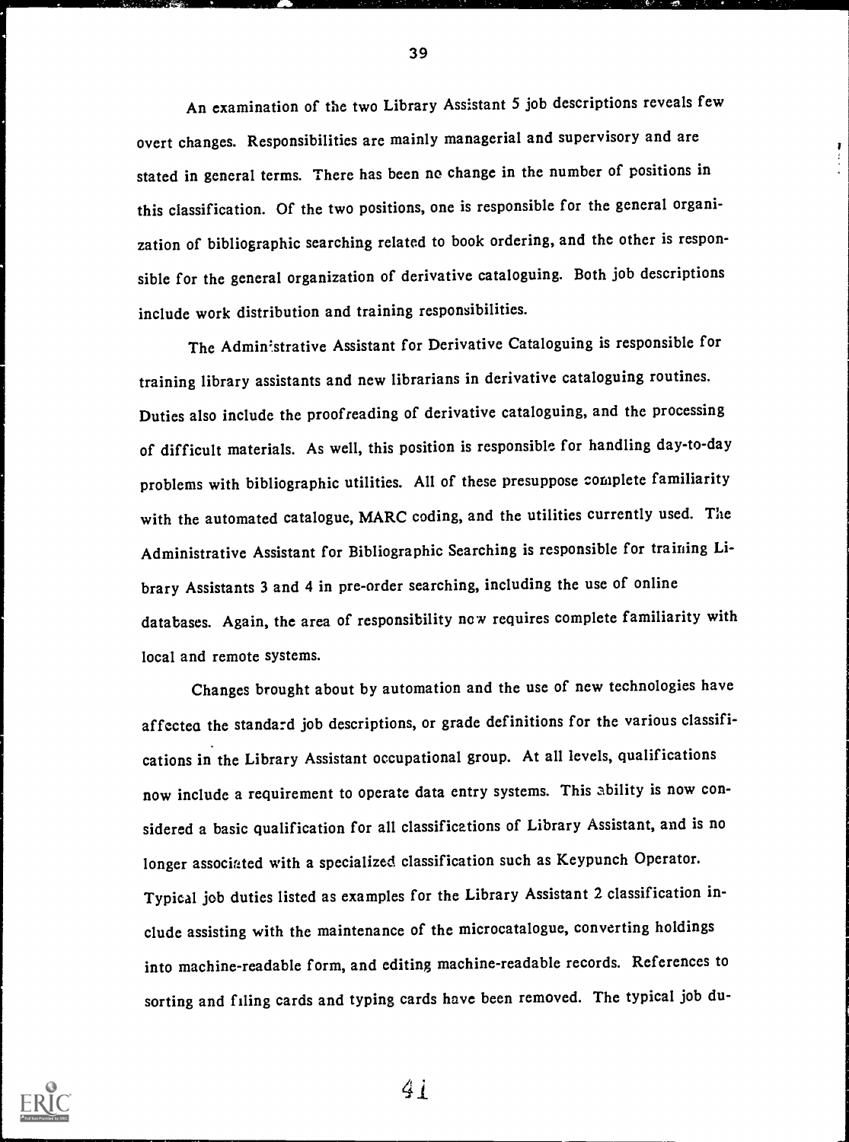An examination of the two Library Assistant 5 job descriptions reveals few overt changes. Responsibilities are mainly managerial and supervisory and are stated in general terms. There has been no change in the number of positions in this classification. Of the two positions, one is responsible for the general organization of bibliographic searching related to book ordering, and the other is responsible for the general organization of derivative cataloguing. Both job descriptions include work distribution and training responsibilities.

The Administrative Assistant for Derivative Cataloguing is responsible for training library assistants and new librarians in derivative cataloguing routines. Duties also include the proofreading of derivative cataloguing, and the processing of difficult materials. As well, this position is responsible for handling day-to-day problems with bibliographic utilities. All of these presuppose complete familiarity with the automated catalogue, MARC coding, and the utilities currently used. The Administrative Assistant for Bibliographic Searching is responsible for training Library Assistants 3 and 4 in pre-order searching, including the use of online databases. Again, the area of responsibility now requires complete familiarity with local and remote systems.

Changes brought about by automation and the use of new technologies have affectea the standard job descriptions, or grade definitions for the various classifications in the Library Assistant occupational group. At all levels, qualifications now include a requirement to operate data entry systems. This ability is now considered a basic qualification for all classifications of Library Assistant, and is no longer associated with a specialized classification such as Keypunch Operator. Typical job duties listed as examples for the Library Assistant 2 classification include assisting with the maintenance of the microcatalogue, converting holdings into machine-readable form, and editing machine-readable records. References to sorting and filing cards and typing cards have been removed. The typical job du-



39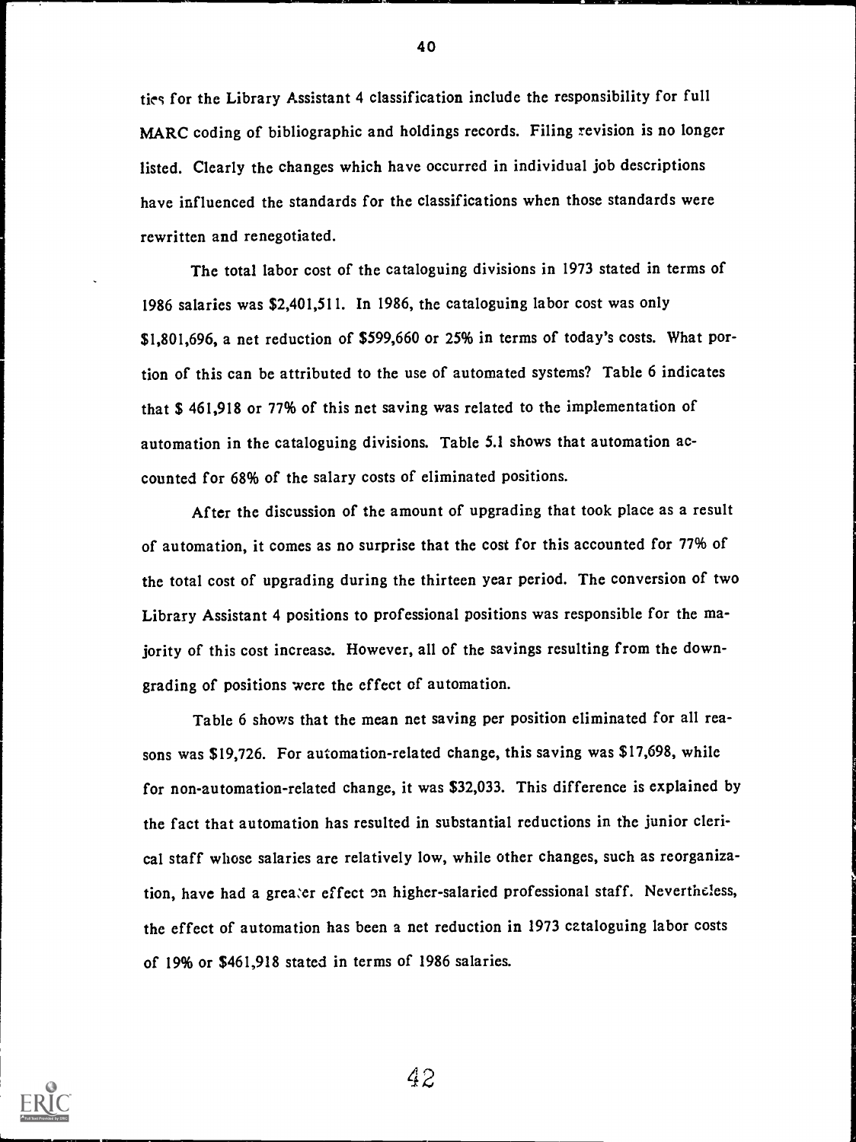tics for the Library Assistant 4 classification include the responsibility for full MARC coding of bibliographic and holdings records. Filing revision is no longer listed. Clearly the changes which have occurred in individual job descriptions have influenced the standards for the classifications when those standards were rewritten and renegotiated.

The total labor cost of the cataloguing divisions in 1973 stated in terms of 1986 salaries was \$2,401,511. In 1986, the cataloguing labor cost was only \$1,801,696, a net reduction of \$599,660 or 25% in terms of today's costs. What portion of this can be attributed to the use of automated systems? Table 6 indicates that \$ 461,918 or 77% of this net saving was related to the implementation of automation in the cataloguing divisions. Table 5.1 shows that automation accounted for 68% of the salary costs of eliminated positions.

After the discussion of the amount of upgrading that took place as a result of automation, it comes as no surprise that the cost for this accounted for 77% of the total cost of upgrading during the thirteen year period. The conversion of two Library Assistant 4 positions to professional positions was responsible for the majority of this cost increase. However, all of the savings resulting from the downgrading of positions were the effect of automation.

Table 6 shows that the mean net saving per position eliminated for all reasons was \$19,726. For automation-related change, this saving was \$17,698, while for non-automation-related change, it was \$32,033. This difference is explained by the fact that automation has resulted in substantial reductions in the junior clerical staff whose salaries are relatively low, while other changes, such as reorganization, have had a greater effect on higher-salaried professional staff. Nevertheless, the effect of automation has been a net reduction in 1973 cataloguing labor costs of 19% or \$461,918 stated in terms of 1986 salaries.



40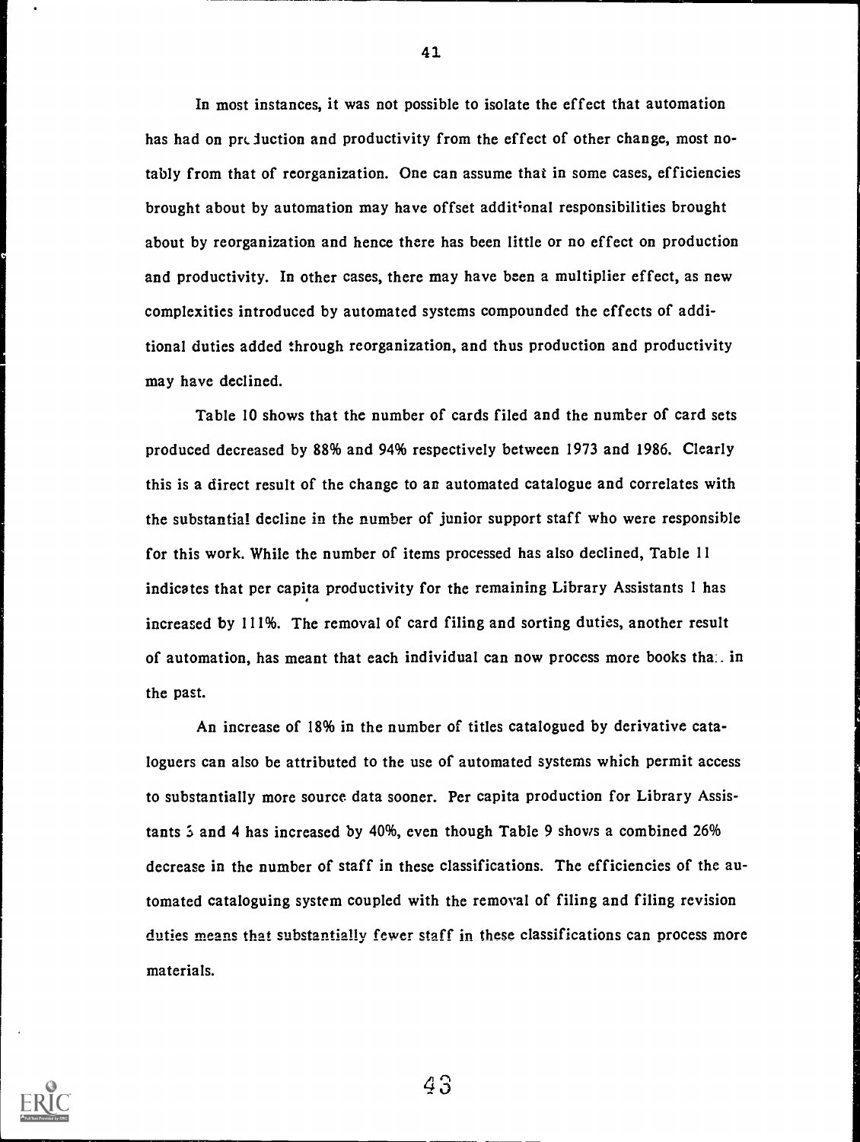In most instances, it was not possible to isolate the effect that automation has had on preduction and productivity from the effect of other change, most notably from that of reorganization. One can assume that in some cases, efficiencies brought about by automation may have offset additional responsibilities brought about by reorganization and hence there has been little or no effect on production and productivity. In other cases, there may have been a multiplier effect, as new complexities introduced by automated systems compounded the effects of additional duties added through reorganization, and thus production and productivity may have declined.

Table 10 shows that the number of cards filed and the number of card sets produced decreased by 88% and 94% respectively between 1973 and 1986. Clearly this is a direct result of the change to an automated catalogue and correlates with the substantial decline in the number of junior support staff who were responsible for this work. While the number of items processed has also declined, Table 11 indicates that per capita productivity for the remaining Library Assistants 1 has increased by 111%. The removal of card filing and sorting duties, another result of automation, has meant that each individual can now process more books that in the past.

An increase of 18% in the number of titles catalogued by derivative cataloguers can also be attributed to the use of automated systems which permit access to substantially more source data sooner. Per capita production for Library Assistants 3 and 4 has increased by 40%, even though Table 9 shows a combined 26% decrease in the number of staff in these classifications. The efficiencies of the automated cataloguing system coupled with the removal of filing and filing revision duties means that substantially fewer staff in these classifications can process more materials.



41

4.3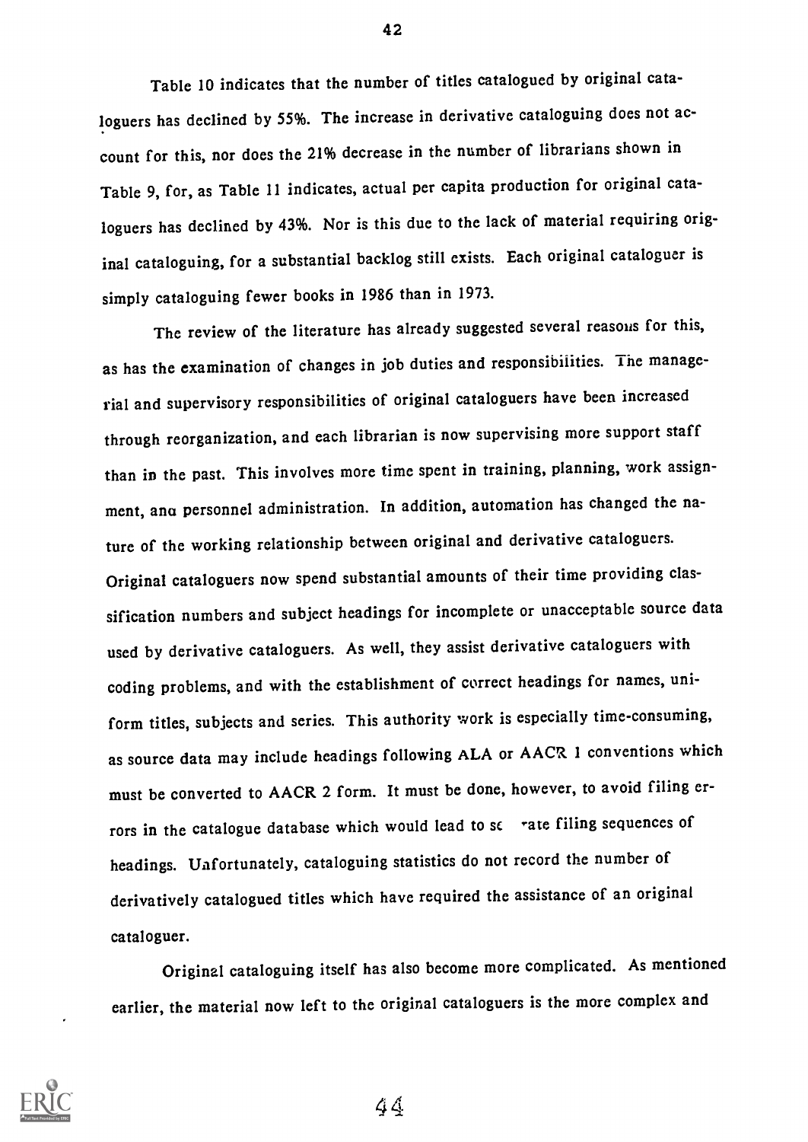Table 10 indicates that the number of titles catalogued by original cataloguers has declined by 55%. The increase in derivative cataloguing does not account for this, nor does the 21% decrease in the number of librarians shown in Table 9, for, as Table 11 indicates, actual per capita production for original cataloguers has declined by 43%. Nor is this due to the lack of material requiring original cataloguing, for a substantial backlog still exists. Each original cataloguer is simply cataloguing fewer books in 1986 than in 1973.

The review of the literature has already suggested several reasons for this, as has the examination of changes in job duties and responsibilities. The managerial and supervisory responsibilities of original cataloguers have been increased through reorganization, and each librarian is now supervising more support staff than in the past. This involves more time spent in training, planning, work assignment, ana personnel administration. In addition, automation has changed the nature of the working relationship between original and derivative cataloguers. Original cataloguers now spend substantial amounts of their time providing classification numbers and subject headings for incomplete or unacceptable source data used by derivative cataloguers. As well, they assist derivative cataloguers with coding problems, and with the establishment of correct headings for names, uniform titles, subjects and series. This authority work is especially time-consuming, as source data may include headings following ALA or AACR 1 conventions which must be converted to AACR 2 form. It must be done, however, to avoid filing errors in the catalogue database which would lead to se rate filing sequences of headings. Unfortunately, cataloguing statistics do not record the number of derivatively catalogued titles which have required the assistance of an original cataloguer.

Original cataloguing itself has also become more complicated. As mentioned earlier, the material now left to the original cataloguers is the more complex and



42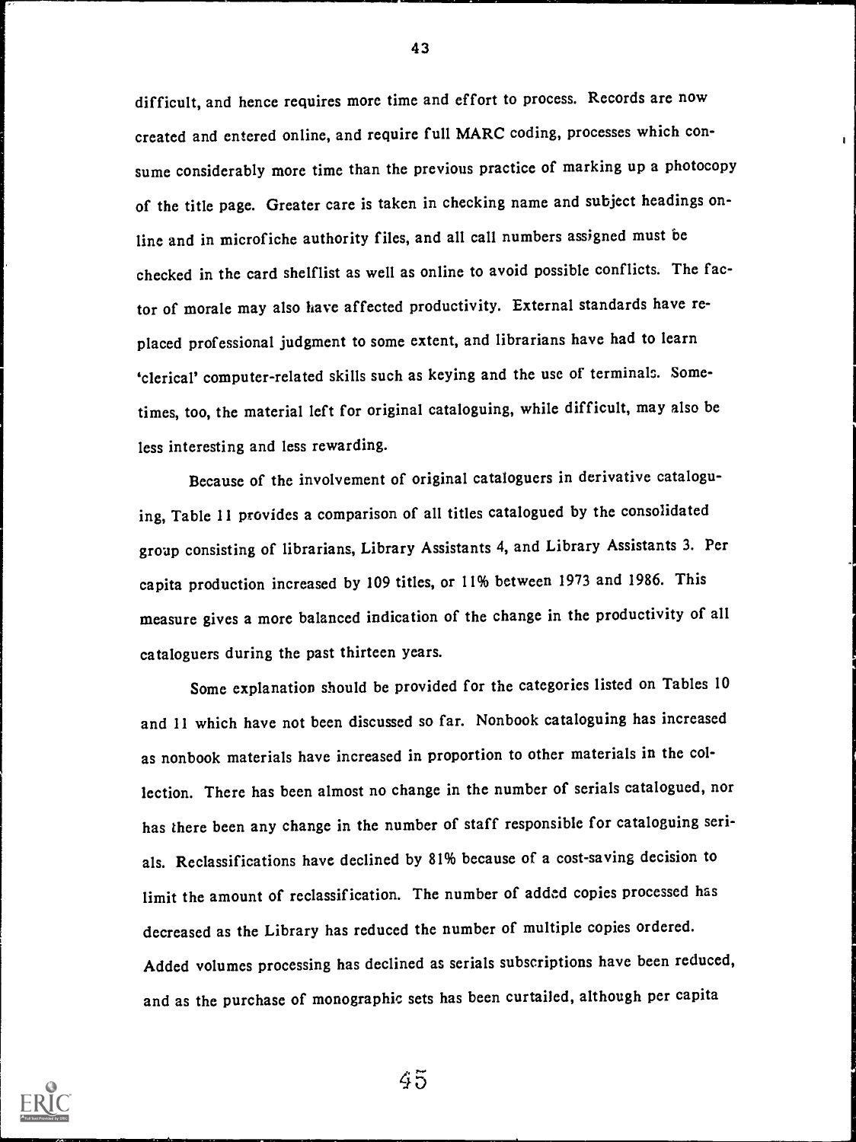difficult, and hence requires more time and effort to process. Records are now created and entered online, and require full MARC coding, processes which consume considerably more time than the previous practice of marking up a photocopy of the title page. Greater care is taken in checking name and subject headings online and in microfiche authority files, and all call numbers assigned must be checked in the card shelflist as well as online to avoid possible conflicts. The factor of morale may also have affected productivity. External standards have replaced professional judgment to some extent, and librarians have had to learn `clerical' computer-related skills such as keying and the use of terminals. Sometimes, too, the material left for original cataloguing, while difficult, may also be less interesting and less rewarding.

Because of the involvement of original cataloguers in derivative cataloguing, Table 11 provides a comparison of all titles catalogued by the consolidated group consisting of librarians, Library Assistants 4, and Library Assistants 3. Per capita production increased by 109 titles, or 11% between 1973 and 1986. This measure gives a more balanced indication of the change in the productivity of all cataloguers during the past thirteen years.

Some explanation should be provided for the categories listed on Tables 10 and 11 which have not been discussed so far. Nonbook cataloguing has increased as nonbook materials have increased in proportion to other materials in the collection. There has been almost no change in the number of serials catalogued, nor has there been any change in the number of staff responsible for cataloguing serials. Reclassifications have declined by 81% because of a cost-saving decision to limit the amount of reclassification. The number of added copies processed has decreased as the Library has reduced the number of multiple copies ordered. Added volumes processing has declined as serials subscriptions have been reduced, and as the purchase of monographic sets has been curtailed, although per capita



45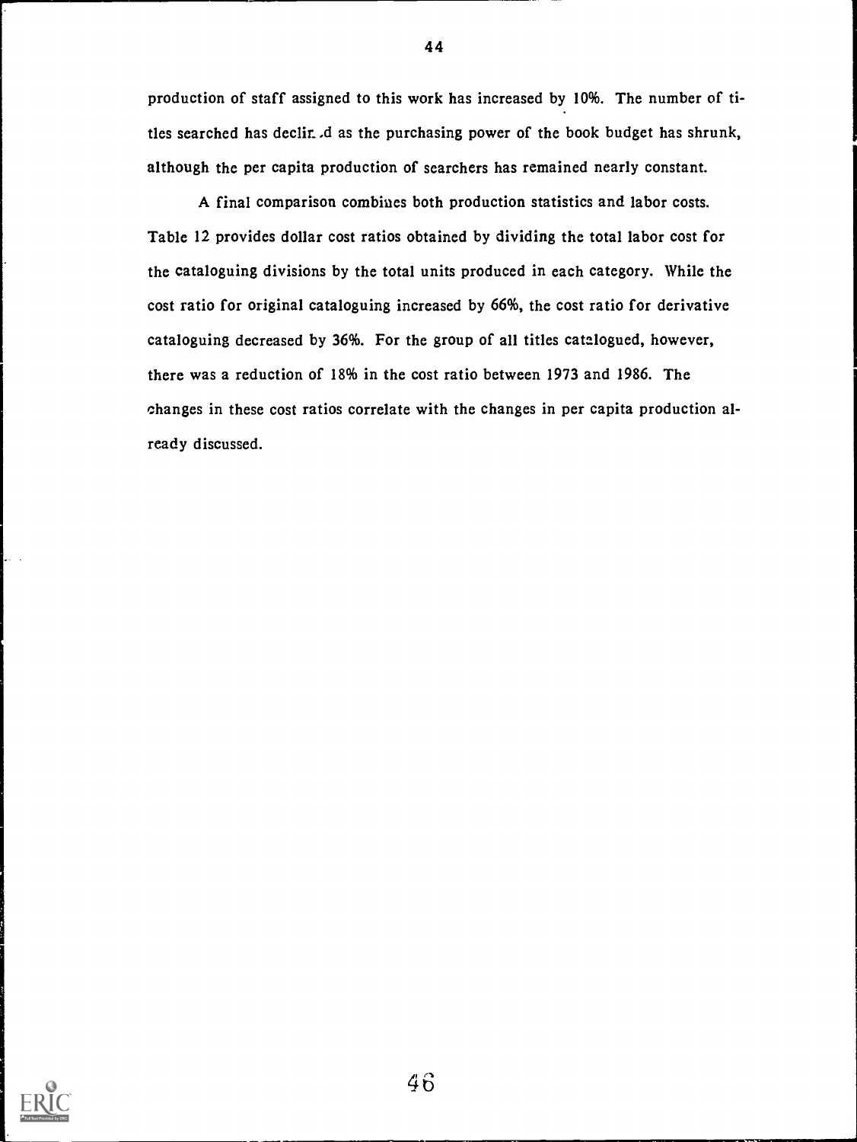production of staff assigned to this work has increased by 10%. The number of titles searched has declir. *d* as the purchasing power of the book budget has shrunk, although the per capita production of searchers has remained nearly constant.

A final comparison combines both production statistics and labor costs. Table 12 provides dollar cost ratios obtained by dividing the total labor cost for the cataloguing divisions by the total units produced in each category. While the cost ratio for original cataloguing increased by 66%, the cost ratio for derivative cataloguing decreased by 36%. For the group of all titles catalogued, however, there was a reduction of 18% in the cost ratio between 1973 and 1986. The changes in these cost ratios correlate with the changes in per capita production already discussed.



44

4b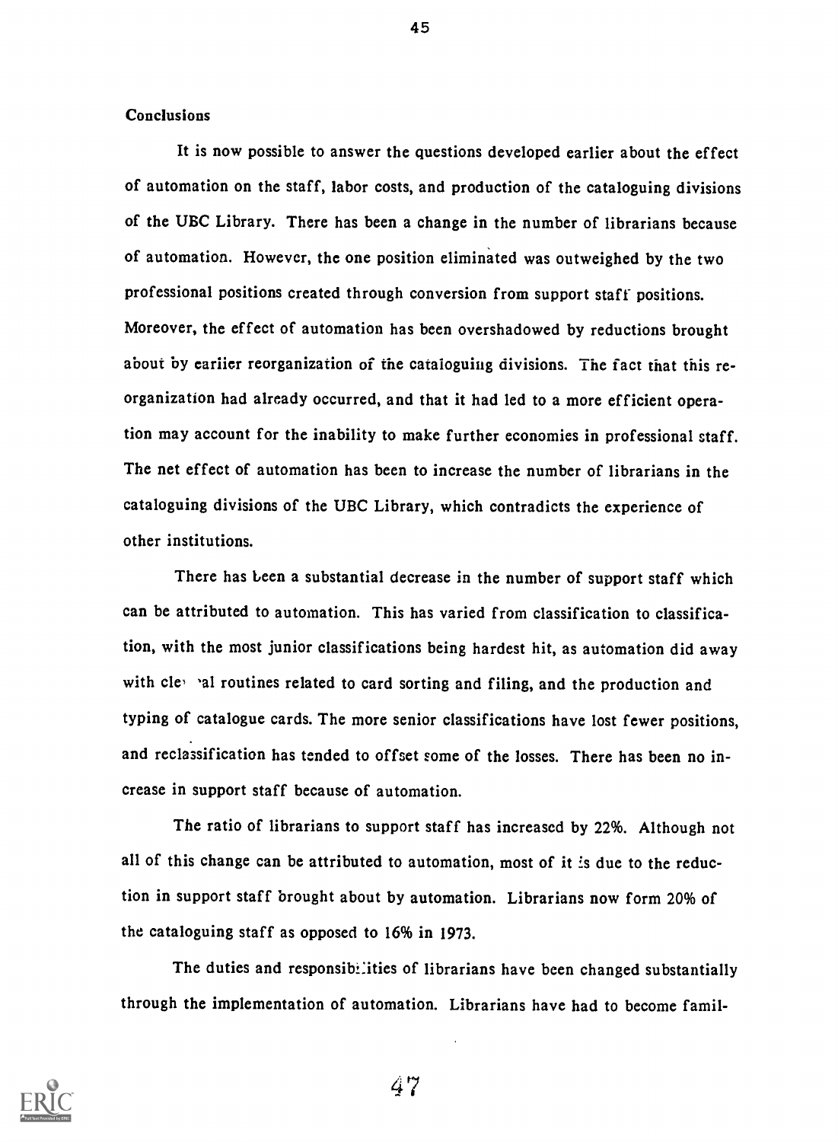#### Conclusions

It is now possible to answer the questions developed earlier about the effect of automation on the staff, labor costs, and production of the cataloguing divisions of the UBC Library. There has been a change in the number of librarians because of automation. However, the one position eliminated was outweighed by the two professional positions created through conversion from support staff positions. Moreover, the effect of automation has been overshadowed by reductions brought about by earlier reorganization of the cataloguing divisions. The fact that this reorganization had already occurred, and that it had led to a more efficient operation may account for the inability to make further economies in professional staff. The net effect of automation has been to increase the number of librarians in the cataloguing divisions of the UBC Library, which contradicts the experience of other institutions.

There has been a substantial decrease in the number of support staff which can be attributed to automation. This has varied from classification to classification, with the most junior classifications being hardest hit, as automation did away with clessial routines related to card sorting and filing, and the production and typing of catalogue cards. The more senior classifications have lost fewer positions, and reclassification has tended to offset some of the losses. There has been no increase in support staff because of automation.

The ratio of librarians to support staff has increased by 22%. Although not all of this change can be attributed to automation, most of it is due to the reduction in support staff brought about by automation. Librarians now form 20% of the cataloguing staff as opposed to 16% in 1973.

The duties and responsibilities of librarians have been changed substantially through the implementation of automation. Librarians have had to become famil-



45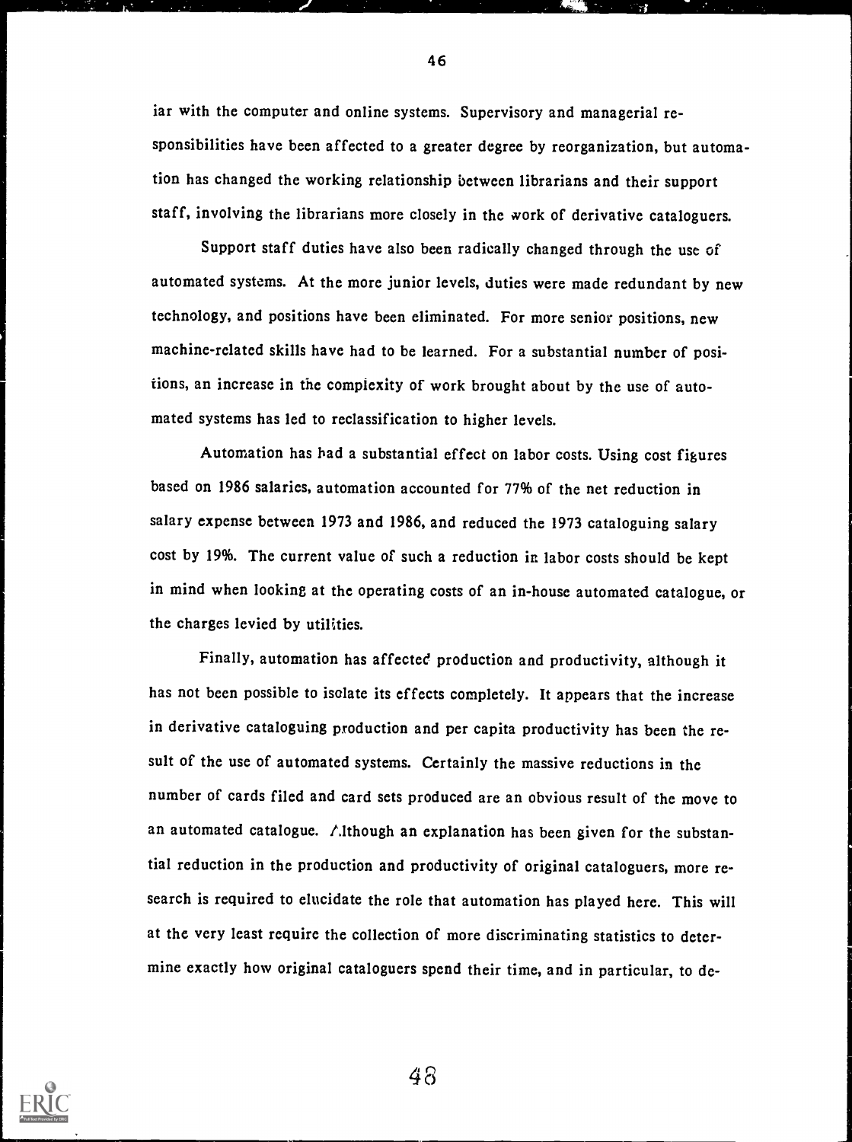iar with the computer and online systems. Supervisory and managerial responsibilities have been affected to a greater degree by reorganization, but automation has changed the working relationship between librarians and their support staff, involving the librarians more closely in the work of derivative cataloguers.

Support staff duties have also been radically changed through the use of automated systems. At the more junior levels, duties were made redundant by new technology, and positions have been eliminated. For more senior positions, new machine-related skills have had to be learned. For a substantial number of positions, an increase in the complexity of work brought about by the use of automated systems has led to reclassification to higher levels.

Automation has had a substantial effect on labor costs. Using cost figures based on <sup>1986</sup> salaries, automation accounted for 77% of the net reduction in salary expense between <sup>1973</sup> and 1986, and reduced the <sup>1973</sup> cataloguing salary cost by 19%. The current value of such a reduction in labor costs should be kept in mind when looking at the operating costs of an in-house automated catalogue, or the charges levied by utilities.

Finally, automation has affected production and productivity, although it has not been possible to isolate its effects completely. It appears that the increase in derivative cataloguing production and per capita productivity has been the result of the use of automated systems. Certainly the massive reductions in the number of cards filed and card sets produced are an obvious result of the move to an automated catalogue. Although an explanation has been given for the substantial reduction in the production and productivity of original cataloguers, more research is required to elucidate the role that automation has played here. This will at the very least require the collection of more discriminating statistics to determine exactly how original cataloguers spend their time, and in particular, to de-



48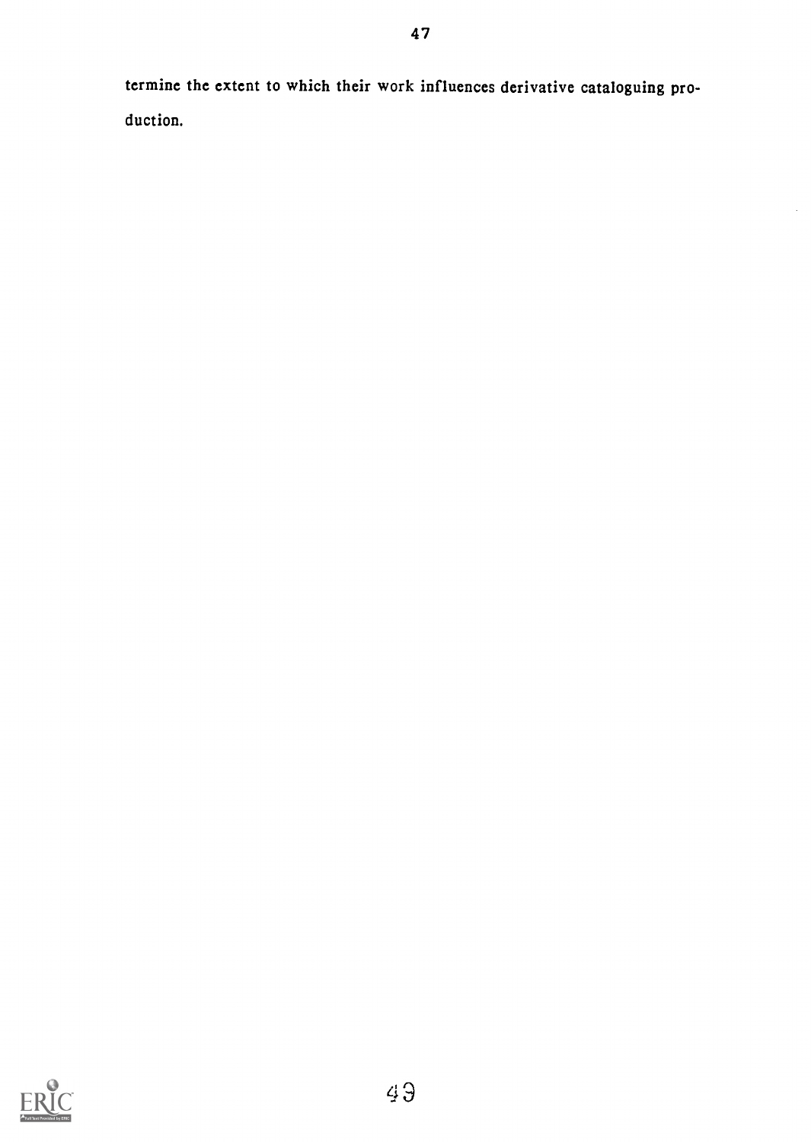termine the extent to which their work influences derivative cataloguing production.

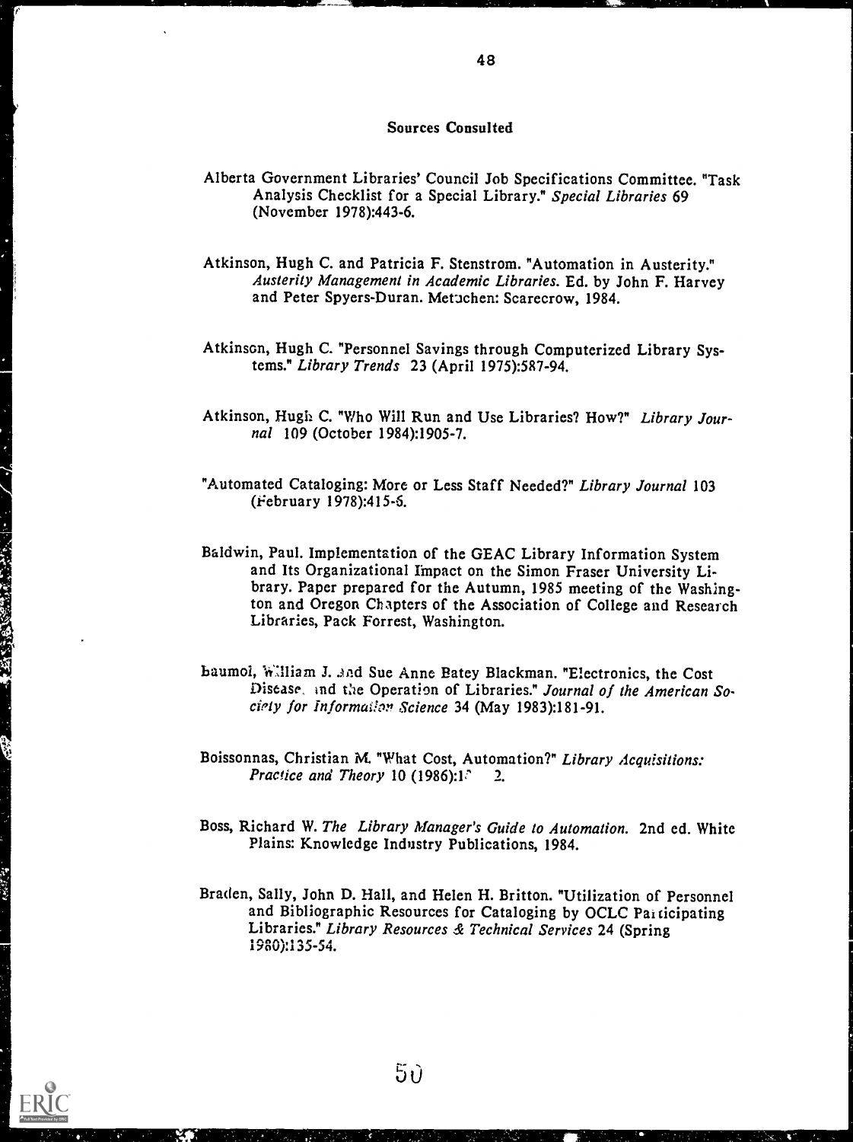#### Sources Consulted

- Alberta Government Libraries' Council Job Specifications Committee. "Task Analysis Checklist for a Special Library." Special Libraries 69 (November 1978):443-6.
- Atkinson, Hugh C. and Patricia F. Stenstrom. "Automation in Austerity." Austerity Management in Academic Libraries. Ed. by John F. Harvey and Peter Spyers-Duran. Metuchen: Scarecrow, 1984.
- Atkinson, Hugh C. "Personnel Savings through Computerized Library Systems." Library Trends 23 (April 1975):5R7 -94.
- Atkinson, Hugh C. "Who Will Run and Use Libraries? How?" Library Journal 109 (October 1984):1905-7.
- "Automated Cataloging: More or Less Staff Needed?" Library Journal 103 (eebruary 1978):415-5.
- Baldwin, Paul. Implementation of the GEAC Library Information System and Its Organizational Impact on the Simon Fraser University Library. Paper prepared for the Autumn, 1985 meeting of the Washington and Oregon Chapters of the Association of College and Research Libraries, Pack Forrest, Washington.

- baumol, William J. and Sue Anne Batey Blackman. "Electronics, the Cost Disease, ind the Operation of Libraries." Journal of the American Society for Information Science 34 (May 1983):181-91.
- Boissonnas, Christian M. "What Cost, Automation?" Library Acquisitions: Practice and Theory 10 (1986):1. $\degree$  2.
- Boss, Richard W. The Library Manager's Guide to Automation. 2nd ed. White Plains: Knowledge Industry Publications, 1984.
- Braden, Sally, John D. Hall, and Helen H. Britton. "Utilization of Personnel and Bibliographic Resources for Cataloging by OCLC Par ticipating Libraries." Library Resources & Technical Services 24 (Spring 1980):135-54.

 $5\mathfrak{d}$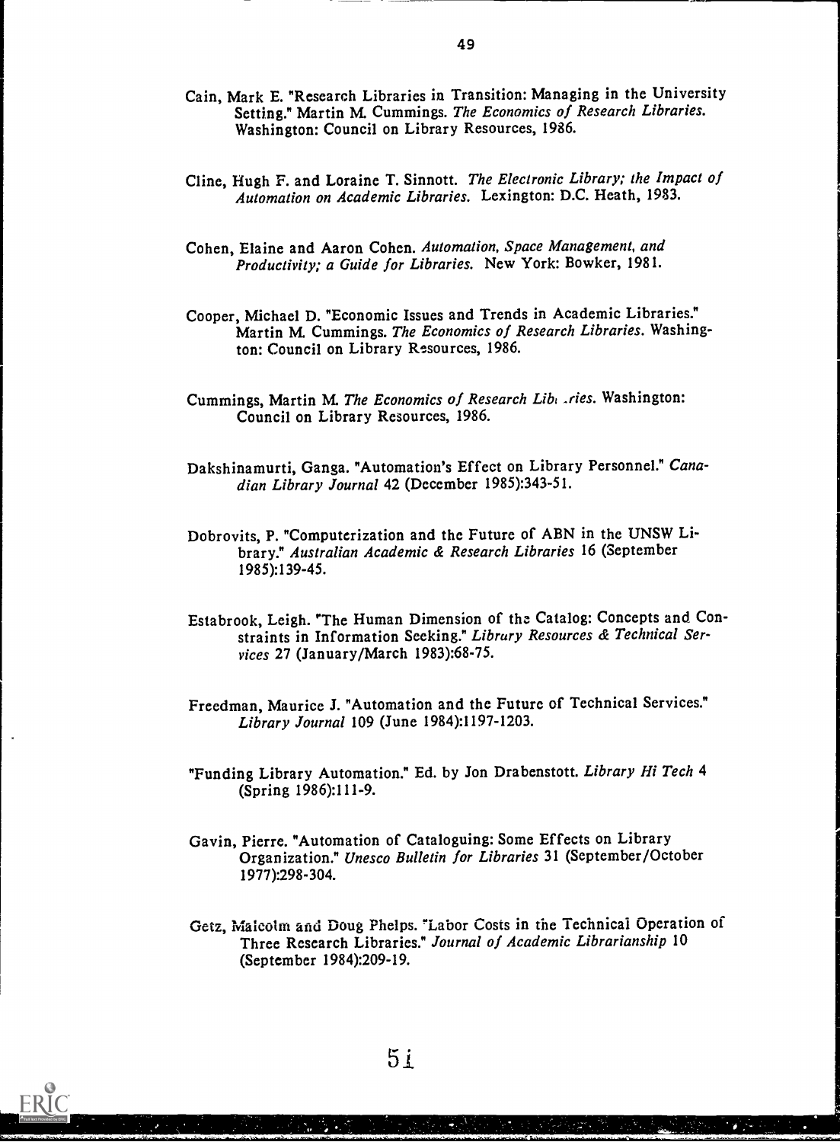- Cain, Mark E. "Research Libraries in Transition: Managing in the University Setting." Martin M. Cummings. The Economics of Research Libraries. Washington: Council on Library Resources, 1986.
- Cline, Hugh F. and Loraine T. Sinnott. The Electronic Library; the Impact of Automation on Academic Libraries. Lexington: D.C. Heath, 1983.
- Cohen, Elaine and Aaron Cohen. Automation, Space Management, and Productivity; a Guide for Libraries. New York: Bowker, 1981.
- Cooper, Michael D. "Economic Issues and Trends in Academic Libraries." Martin M. Cummings. The Economics of Research Libraries. Washington: Council on Library Resources, 1986.
- Cummings, Martin M. The Economics of Research Liberties. Washington: Council on Library Resources, 1986.
- Dakshinamurti, Ganga. "Automation's Effect on Library Personnel." Canadian Library Journal 42 (December 1985):343-51.
- Dobrovits, P. "Computerization and the Future of ABN in the UNSW Library." Australian Academic & Research Libraries 16 (September 1985):139-45.
- Estabrook, Leigh. The Human Dimension of thz Catalog: Concepts and Constraints in Information Seeking." Library Resources & Technical Services 27 (January/March 1983):68-75.
- Freedman, Maurice J. "Automation and the Future of Technical Services." Library Journal 109 (June 1984):1197-1203.
- "Funding Library Automation." Ed. by Jon Drabenstott. Library Hi Tech 4 (Spring 1986):111-9.
- Gavin, Pierre. "Automation of Cataloguing: Some Effects on Library Organization." Unesco Bulletin for Libraries 31 (September/October 1977):298-304.
- Getz, Malcolm arid Doug Phelps. 'Labor Costs in the Technical Operation of Three Research Libraries." Journal of Academic Librarianship 10 (September 1984):209-19.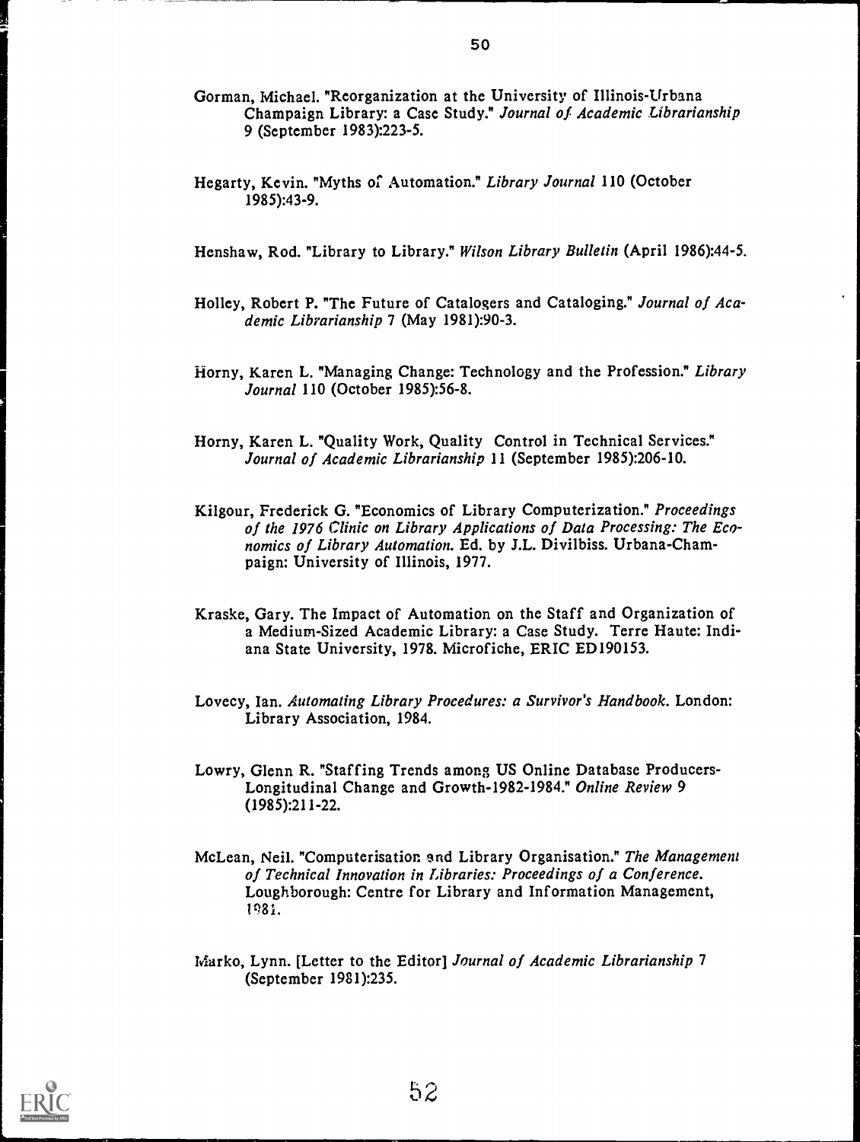- Gorman, Michael. "Reorganization at the University of Illinois-Urbana Champaign Library: a Case Study." Journal of Academic Librarianship 9 (September 1983):223-5.
- Hegarty, Kevin. "Myths of Automation." Library Journal 110 (October 1985):43-9.

Henshaw, Rod. "Library to Library." Wilson Library Bulletin (April 1986):44-5.

- Holley, Robert P. "The Future of Catalogers and Cataloging." Journal of Academic Librarianship 7 (May 1981):90-3.
- Horny, Karen L. "Managing Change: Technology and the Profession." Library Journal 110 (October 1985):56-8.
- Horny, Karen L. "Quality Work, Quality Control in Technical Services." Journal of Academic Librarianship 11 (September 1985):206-10.
- Kilgour, Frederick G. "Economics of Library Computerization." Proceedings of the 1976 Clinic on Library Applications of Data Processing: The Economics of Library Automation. Ed. by J.L. Divilbiss. Urbana-Champaign: University of Illinois, 1977.
- Kraske, Gary. The Impact of Automation on the Staff and Organization of a Medium-Sized Academic Library: a Case Study. Terre Haute: Indiana State University, 1978. Microfiche, ERIC ED190153.
- Lovecy, Ian. Automating Library Procedures: a Survivor's Handbook. London: Library Association, 1984.
- Lowry, Glenn R. "Staffing Trends among US Online Database Producers-Longitudinal Change and Growth-1982-1984." Online Review 9 (1985):211-22.
- McLean, Neil. "Computerisation grad Library Organisation." The Management of Technical Innovation in Libraries: Proceedings of a Conference. Loughborough: Centre for Library and Information Management, P81.
- Marko, Lynn. [Letter to the Editor] Journal of Academic Librarianship 7 (September 1981):235.

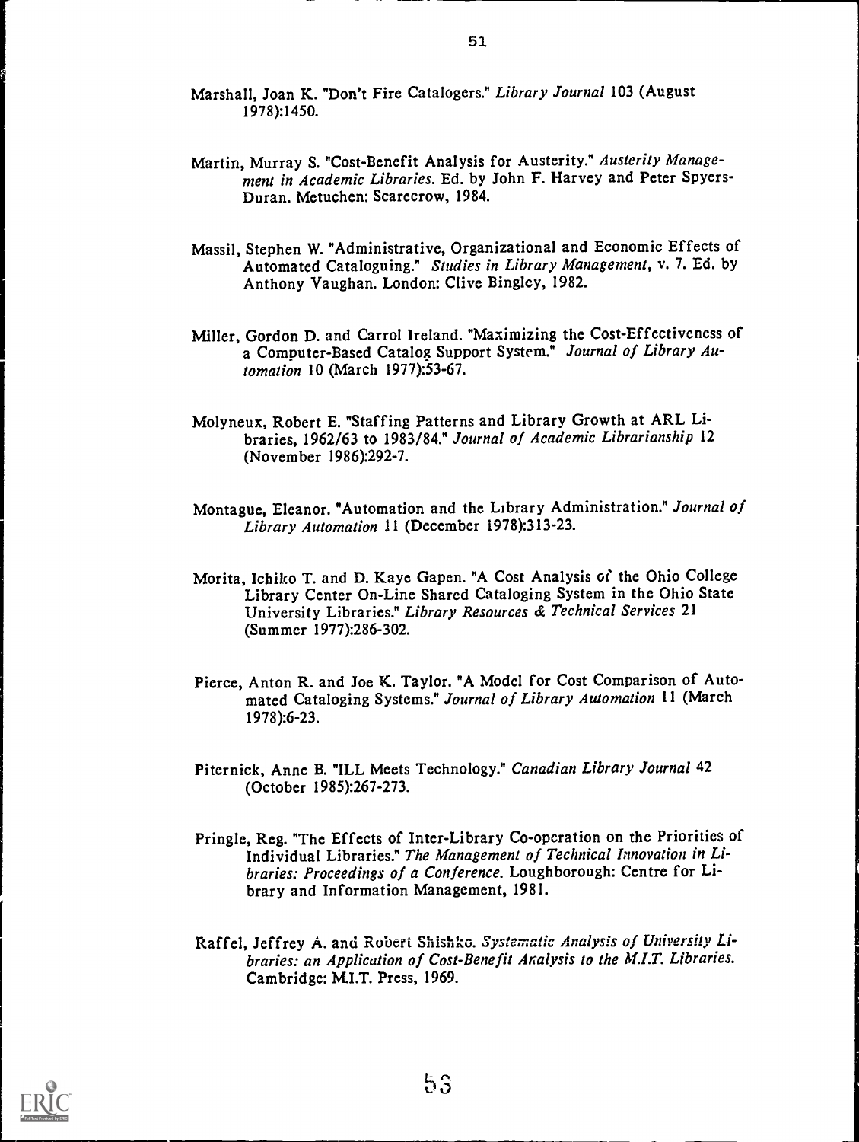- Marshall, Joan K. "Don't Fire Catalogers." Library Journal 103 (August 1978):1450.
- Martin, Murray S. "Cost-Benefit Analysis for Austerity." Austerity Management in Academic Libraries. Ed. by John F. Harvey and Peter Spyers-Duran. Metuchen: Scarecrow, 1984.
- Massil, Stephen W. "Administrative, Organizational and Economic Effects of Automated Cataloguing." Studies in Library Management, v. 7. Ed. by Anthony Vaughan. London: Clive Bingley, 1982.
- Miller, Gordon D. and Carrol Ireland. "Maximizing the Cost-Effectiveness of a Computer-Based Catalog Support System." Journal of Library Automation 10 (March 1977):53-67.
- Molyneux, Robert E. "Staffing Patterns and Library Growth at ARL Libraries, 1962/63 to 1983/84." Journal of Academic Librarianship 12 (November 1986):292-7.
- Montague, Eleanor. "Automation and the Library Administration." Journal of Library Automation 11 (December 1978):313-23.
- Morita, Ichiko T. and D. Kaye Gapen. "A Cost Analysis of the Ohio College Library Center On-Line Shared Cataloging System in the Ohio State University Libraries." Library Resources & Technical Services 21 (Summer 1977):286-302.
- Pierce, Anton R. and Joe K. Taylor. "A Model for Cost Comparison of Automated Cataloging Systems." Journal of Library Automation 11 (March 1978):6-23.
- Piternick, Anne B. "ILL Meets Technology." Canadian Library Journal 42 (October 1985):267-273.
- Pringle, Reg. "The Effects of Inter-Library Co-operation on the Priorities of Individual Libraries." The Management of Technical Innovation in Libraries: Proceedings of a Conference. Loughborough: Centre for Library and Information Management, 1981.
- Raff el, Jeffrey A. and Robert Shishko. Systematic Analysis of University Libraries: an Application of Cost-Benefit Analysis to the M.I.T. Libraries. Cambridge: M.I.T. Press, 1969.

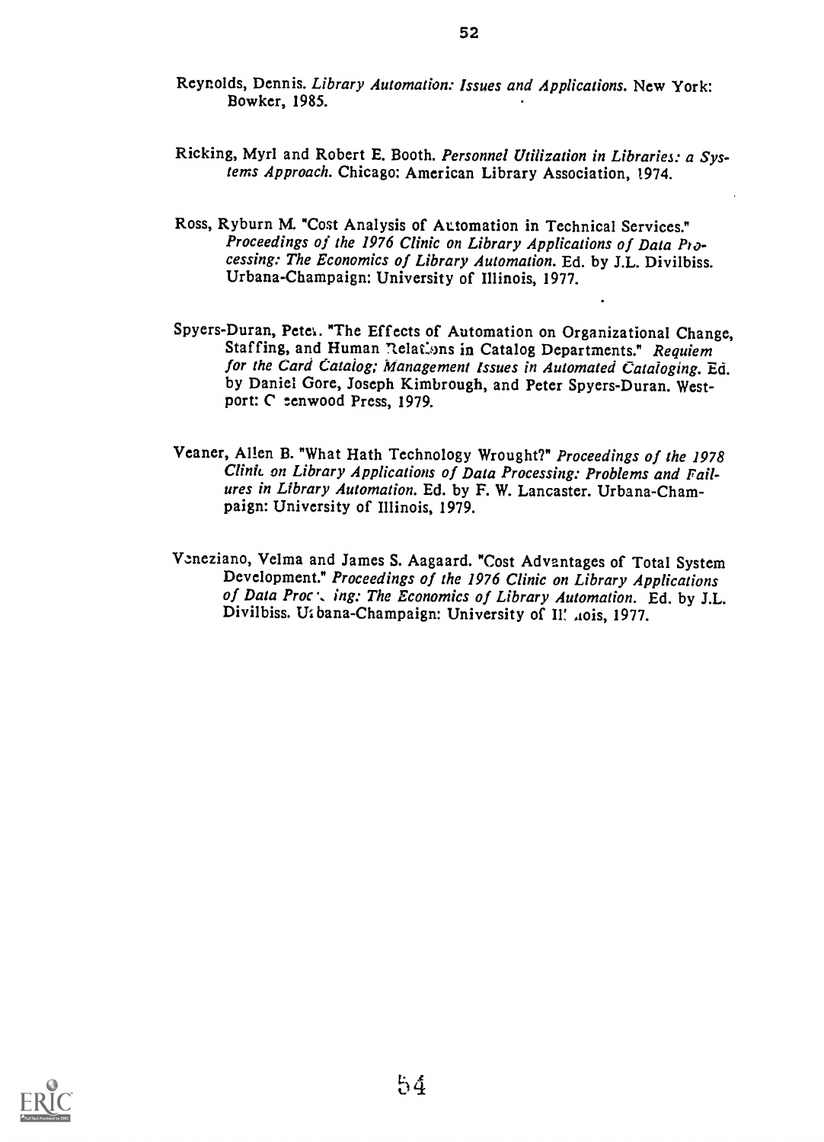- Ricking, Myrl and Robert E. Booth. Personnel Utilization in Libraries: a Systems Approach. Chicago: American Library Association, 1974.
- Ross, Ryburn M. "Cost Analysis of Automation in Technical Services." Proceedings of the 1976 Clinic on Library Applications of Data Processing: The Economics of Library Automation. Ed. by J.L. Divilbiss. Urbana-Champaign: University of Illinois, 1977.
- Spyers-Duran, Petet. "The Effects of Automation on Organizational Change, Staffing, and Human Relations in Catalog Departments." Requiem for the Card Catalog; Management Issues in Automated Cataloging. Ed. by Daniel Gore, Joseph Kimbrough, and Peter Spyers-Duran. Westport: C cenwood Press, 1979.
- Veaner, Allen B. "What Hath Technology Wrought?" Proceedings of the 1978 Clinic on Library Applications of Data Processing: Problems and Failures in Library Automation. Ed. by F. W. Lancaster. Urbana-Champaign: University of Illinois, 1979.
- Veneziano, Velma and James S. Aagaard. "Cost Advantages of Total System Development." Proceedings of the 1976 Clinic on Library Applications of Data Proc. ing: The Economics of Library Automation. Ed. by J.L. Divilbiss. U. bana-Champaign: University of II! .tois, 1977.

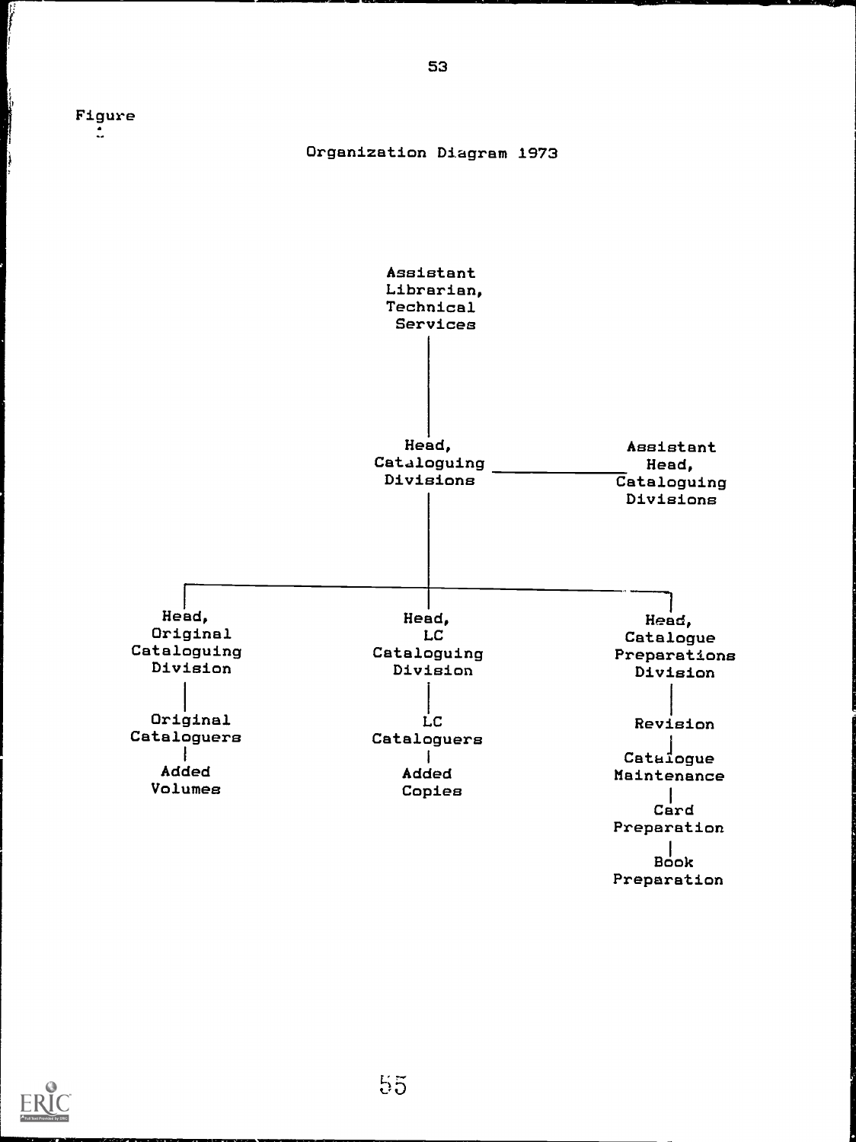

Ŋ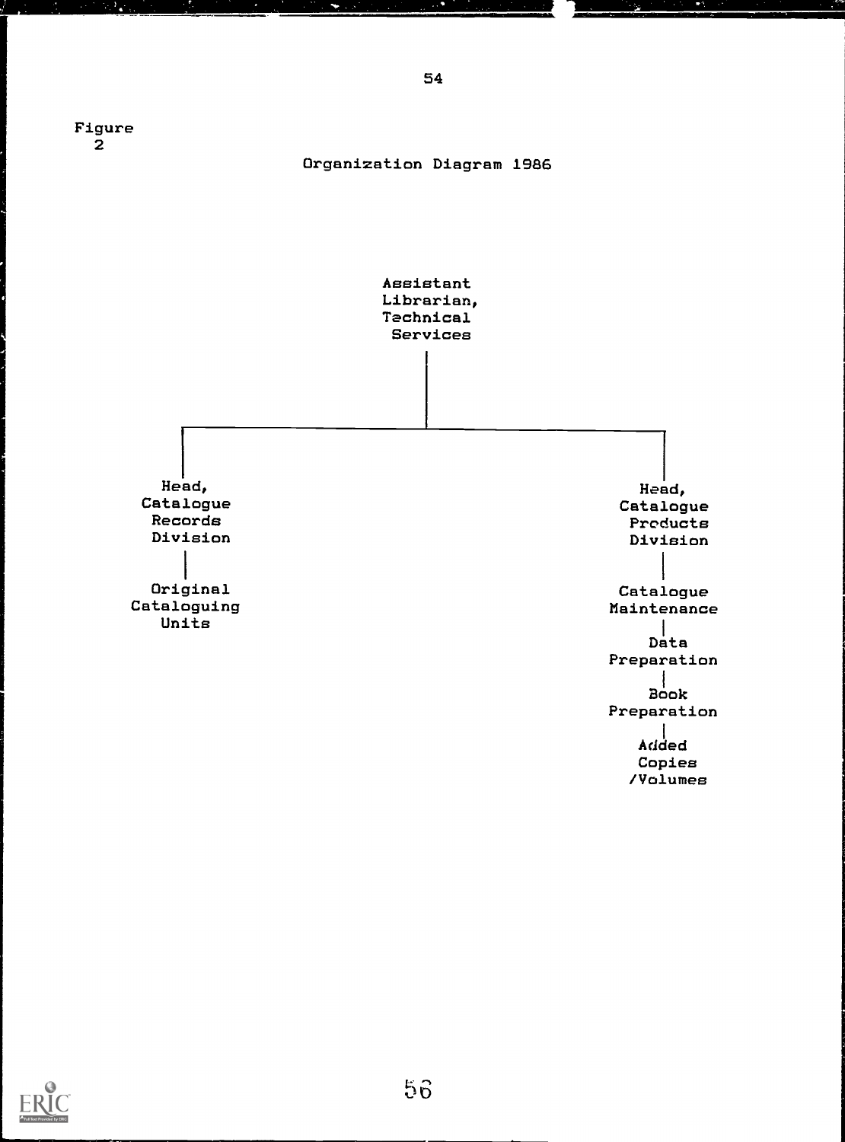

×



e.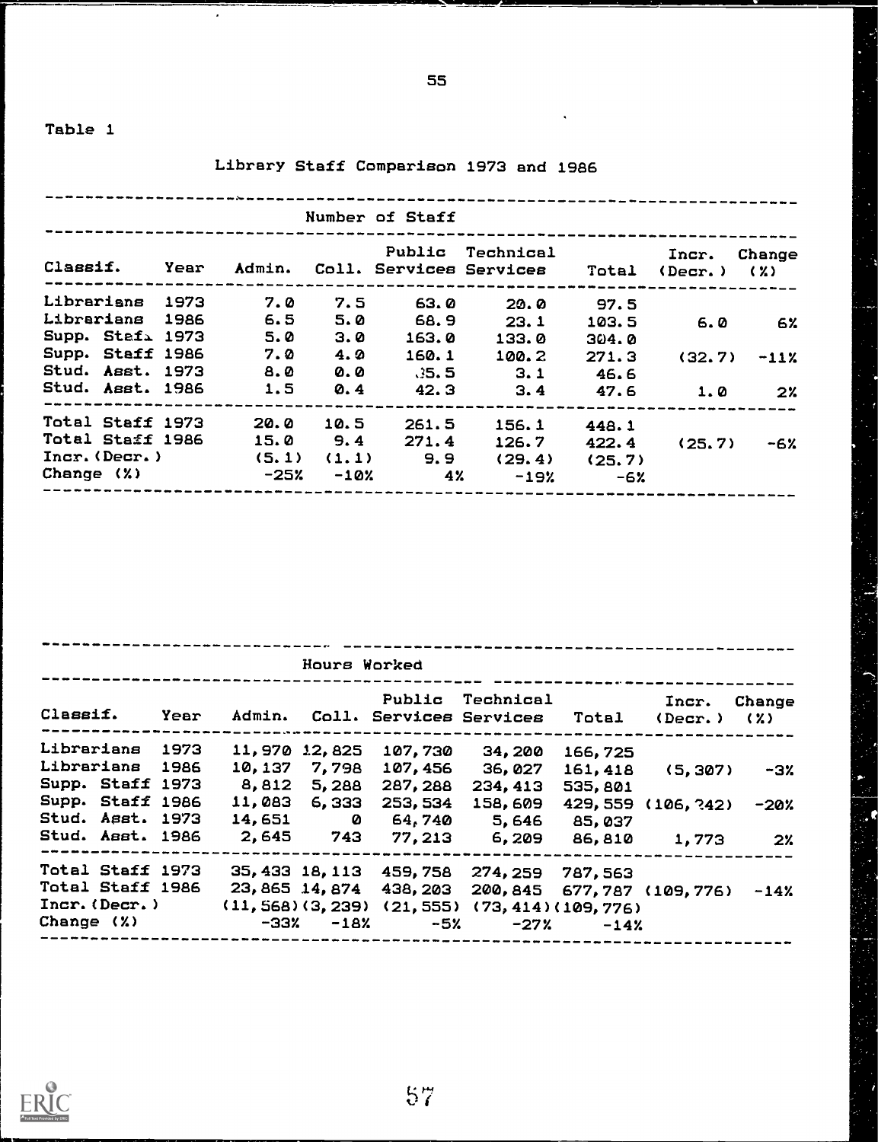$\bar{\epsilon}$ 

## Library Staff Comparison 1973 and 1986

|                  |  |       |        | Number of Staff |                                                    |        |                            |                |
|------------------|--|-------|--------|-----------------|----------------------------------------------------|--------|----------------------------|----------------|
| Classif. Year    |  |       |        |                 | Public Technical<br>Admin. Coll. Services Services |        | Incr.<br>Total (Decr.) (%) | Change         |
| Librarians 1973  |  | 7.0   | 7.5    | 63.0            | 20.0                                               | 97.5   |                            |                |
| Librarians 1986  |  | 6.5   | 5.0    | 68.9            | 23.1                                               | 103.5  | 6.0                        | 6%             |
| Supp. Stafi 1973 |  | 5.0   | 3.0    | 163.0           | 133.0                                              | 304.0  |                            |                |
| Supp. Staff 1986 |  | 7.0   | 4.2    | 160.1           | 100.2                                              | 271.3  | (32, 7)                    | $-11\%$        |
| Stud. Asst. 1973 |  | 8.0   | 0.0    | - 35.5          | 3.1                                                | 46.6   |                            |                |
| Stud. Asst. 1986 |  | 1.5   | 0.4    | 42.3            | 3.4                                                | 47.6   | 1.0                        | 2 <sup>x</sup> |
| Total Staff 1973 |  | 20.0  | 10.5   | 261.5           | 156.1                                              | 448.1  |                            |                |
| Total Staff 1986 |  | 15.0  | 9.4    | 271.4           | 126.7                                              | 422.4  | (25, 7)                    | -6%            |
| Incr. (Decr.)    |  | (5.1) | (1.1)  | 9.9             | (29.4)                                             | (25.7) |                            |                |
| Change $(X)$     |  | -25%  | $-10%$ | 4%              | $-19%$                                             | $-6x$  |                            |                |

|                  |      |                 | Hours Worked    |          |                                                            |          |                  |                               |
|------------------|------|-----------------|-----------------|----------|------------------------------------------------------------|----------|------------------|-------------------------------|
| Classif.         | Year |                 |                 |          | Public Technical<br>Admin. Coll. Services Services Total   |          | Incr.<br>(Decr.) | Change<br>$\langle 2 \rangle$ |
| Librarians 1973  |      |                 | 11,970 12,825   | 107,730  | 34,200                                                     | 166,725  |                  |                               |
| Librarians 1986  |      | 10, 137 7, 798  |                 | 107,456  | 36,027                                                     | 161,418  | (5, 307)         | -3%                           |
| Supp. Staff 1973 |      | 8,812 5,288     |                 | 287, 288 | 234, 413                                                   | 535,801  |                  |                               |
| Supp. Staff 1986 |      | 11,083          | 6,333           | 253, 534 | 158,609                                                    | 429, 559 | (106, 242)       | $-20%$                        |
| Stud. Asst. 1973 |      | $14,651$ 0      |                 | 64,740   | 5,646 85,037                                               |          |                  |                               |
| Stud. Asst. 1986 |      | 2,645 743       |                 | 77,213   | 6,209                                                      | 86,810   | 1,773            | 2 <sup>2</sup>                |
| Total Staff 1973 |      | 35, 433 18, 113 |                 | 459,758  | 274, 259                                                   | 787,563  |                  |                               |
| Total Staff 1986 |      |                 |                 |          | 23, 865 14, 874 438, 203 200, 845 677, 787 (109, 776) -14% |          |                  |                               |
| Incr. (Decr.)    |      |                 |                 |          | $(11, 568)(3, 239)(21, 555)(73, 414)(109, 776)$            |          |                  |                               |
| Change (%)       |      |                 | $-33$ % $-18$ % | $-5\%$   | $-27%$                                                     | $-14%$   |                  |                               |



55

 $\frac{1}{2}$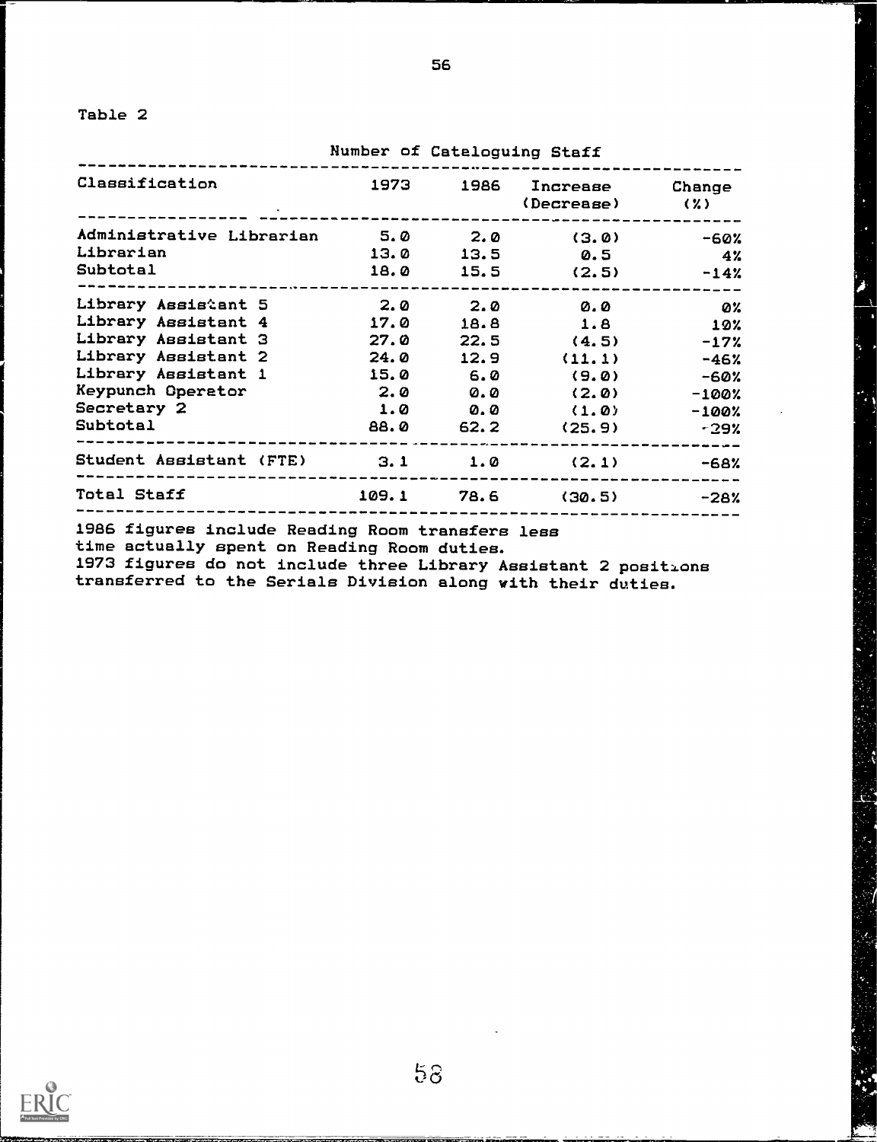1

Number of Cataloguing Staff

56

| Classification                         | 1973    | 1986 Increase Change<br>$(Decreeze)$ $(2)$           |                |
|----------------------------------------|---------|------------------------------------------------------|----------------|
| Administrative Librarian 5.0 2.0 (3.0) |         |                                                      | -60%           |
| Librarian<br><b>Subtotal</b>           |         | $13.0$ $13.5$ $0.5$<br>$18.0$ $15.5$ $(2.5)$ $-14$ % | $4\%$          |
| Library Assistant 5                    | 2.0 2.0 | <b>0.0</b>                                           | <b>22.23 O</b> |
| Library Assistant 4 17.0               |         | 18.8 1.8                                             | 10%            |
| Library Assistant 3                    | 27.0    | $22.5$ (4.5)                                         | $-17%$         |
| Library Assistant 2                    | 24.0    | $12.9$ $(11.1)$                                      | $-46%$         |
| Library Assistant 1                    |         | $15.0$ 6.0 (9.0)                                     | -60%           |
| Keypunch Operator                      |         | $2.0$ $0.0$ $(2.0)$                                  | -100%          |
| <b>Secretary 2</b>                     |         | $1.0$ $0.0$ $(1.0)$                                  | $-100%$        |
| <b>Subtotal</b>                        |         | 88.0 62.2 (25.9)                                     | -29%           |
| Student Assistant (FTE) 3.1 1.0 (2.1)  |         |                                                      | -68%           |
| <b>Total Staff</b>                     |         | $109.1$ 78.6 (30.5) $-28$ %                          |                |

1986 figures include Reading Room transfers less

time actually spent on Reading Room duties.

1973 figures do not include three Library Assistant 2 positions transferred to the Serials Division along with their duties.

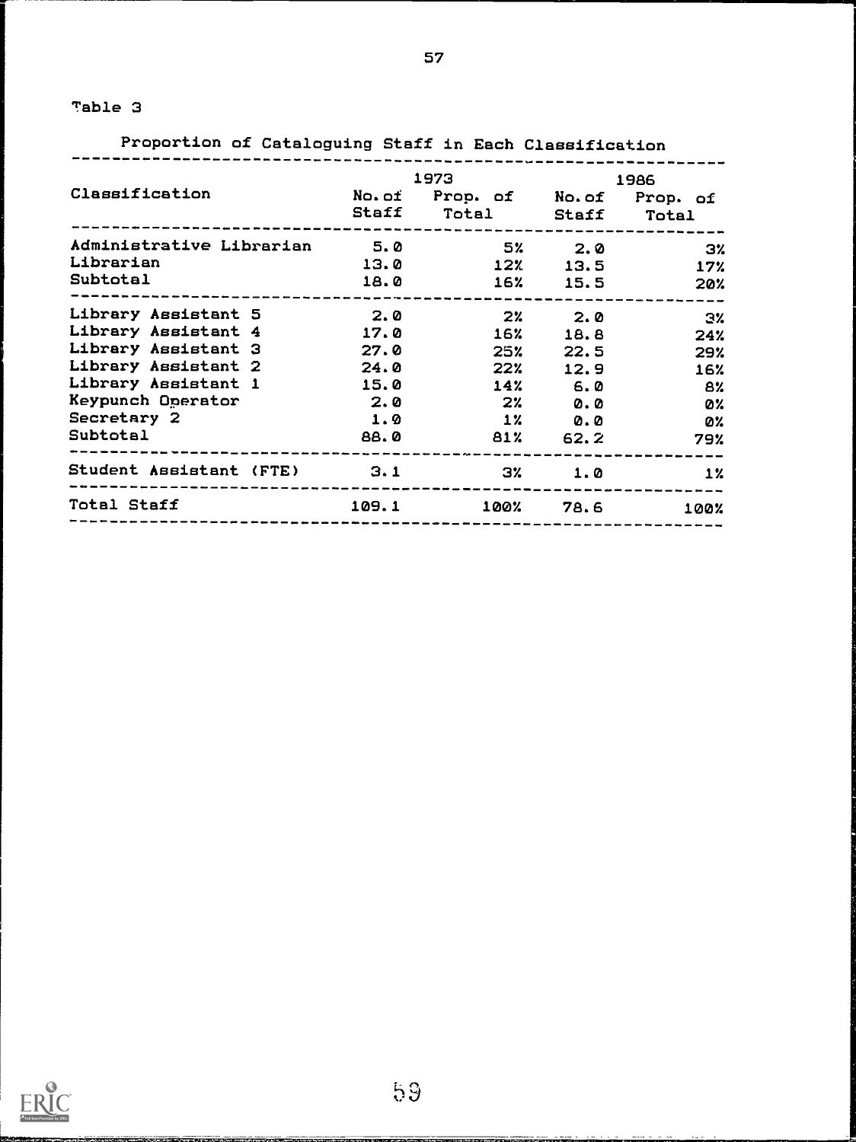Proportion of Cataloguing Staff in Each Classification

|                                     |     |                               | 1973 1986 |                         |  |  |
|-------------------------------------|-----|-------------------------------|-----------|-------------------------|--|--|
| Classification                      |     | No.of Prop. of No.of Prop. of |           |                         |  |  |
|                                     |     | Staff Total Staff Total       |           |                         |  |  |
| Administrative Librarian 5.0 5% 2.0 |     |                               |           | $\overline{\mathbf{3}}$ |  |  |
| Librarian                           |     | $13.0$ $12\%$ $13.5$          |           | 17%                     |  |  |
| <b>Subtotal</b>                     |     | 18.0 16% 15.5 20%             |           |                         |  |  |
| Library Assistant 5 2.0 2% 2.0 3%   |     |                               |           |                         |  |  |
| Library Assistant 4 17.0 16% 18.8   |     |                               |           | 24%                     |  |  |
| Library Assistant 3 27.0            |     | 25% 22.5                      |           | 29%                     |  |  |
| Library Assistant 2 24.0            |     | 22%                           | 12.9      | 16%                     |  |  |
| Library Assistant 1 15.0            |     |                               | $14%$ 6.0 | 8%                      |  |  |
| Keypunch Operator                   | 2.0 | $2\%$ 0.0                     |           | 0%                      |  |  |
| <b>Secretary 2</b>                  |     | $1.9$ $12$ 0.0                |           | <b>DY</b>               |  |  |
| <b>Subtotal</b>                     |     | 88.0 81% 62.2 79%             |           |                         |  |  |
| Student Assistant (FTE) 3.1 3% 1.0  |     |                               |           | 1%                      |  |  |
| Total Staff 109.1 100% 78.6         |     |                               |           | 100%                    |  |  |

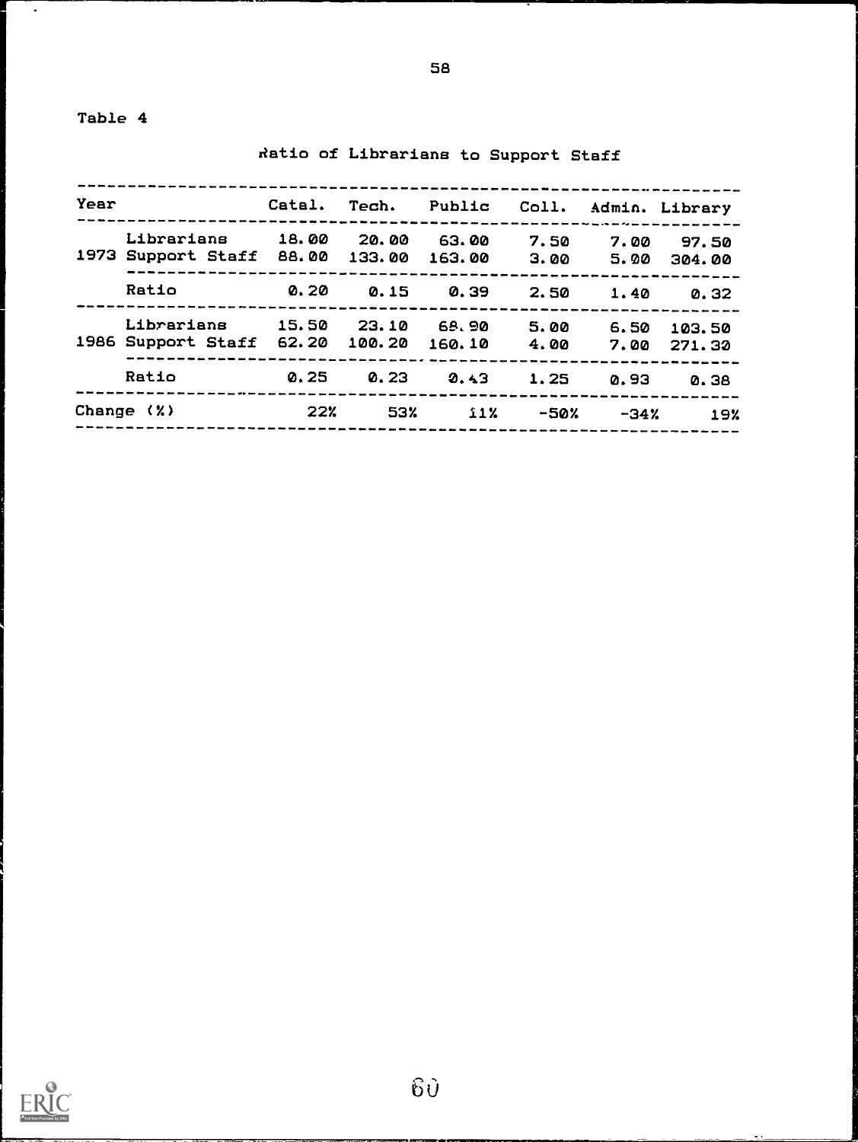-----------------------------------------------------------Year Catal. Tech. Public Coll. Admin. Library ---Librarians 18.00 20.00 63.00 7.50 7.00 97.50 1973 Support Staff 88.00 133.00 163.00 3.00 5.00 304.00 Ratio 0.20 0.15 0.39 2.50 1.40 0.32 Librarians 15.50 23.10 6S,90 5.00 6.50 103.50 1986 Support Staff 62.20 100.20 160.10 4.00 7.00 271.30 Ratio 0.25 0.23 0.4,3 1.25 0.93 0.38 Change (Y.) 22% 53% il% -50% -34% 19%

Ratio of Librarians to Support Staff

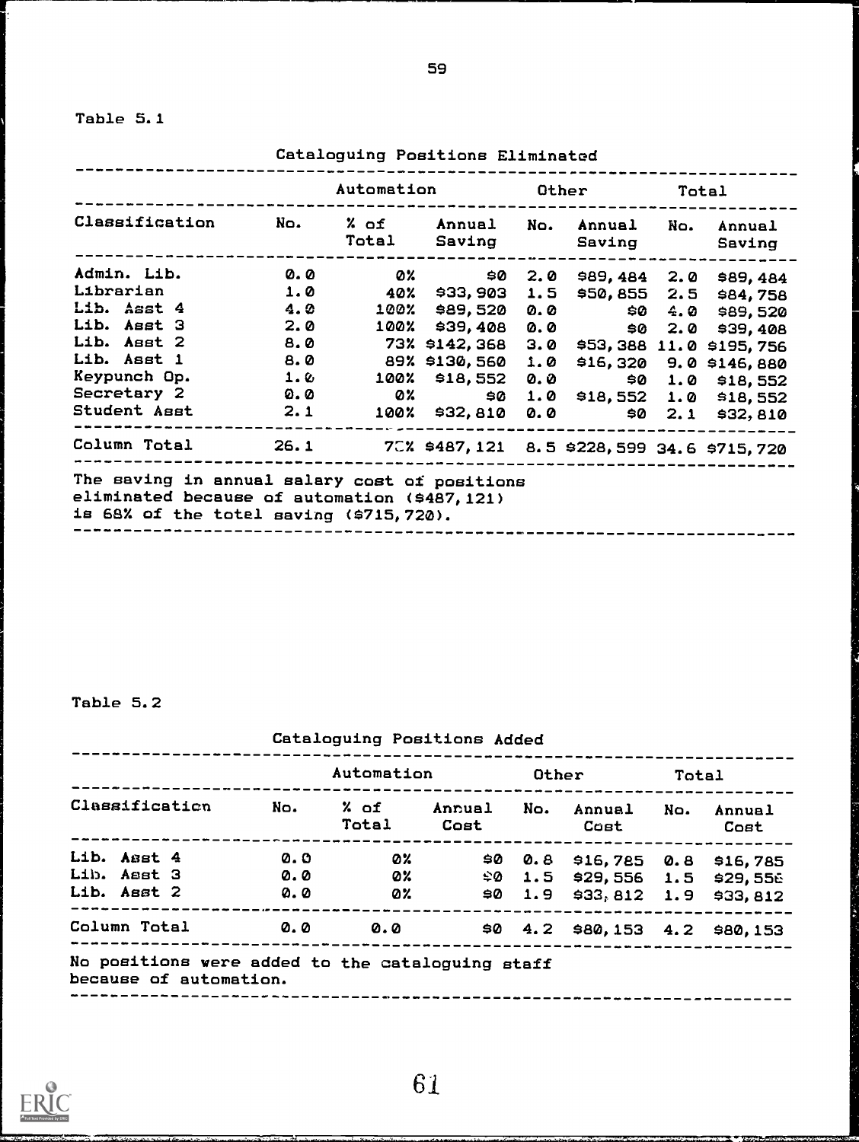Table 5.1

Cataloguing Positions Eliminated Automation Other Total Classification No. % of % of Annual No. Annual No. Annual Total Saving Saving Saving Admin. Lib. 0.0 0% \$0 2.0 \$89,484 2.0 \$89,484 Librarian 1.0 40% \$33,903 1.5 \$50,855 2.5 \$84,758 Lib. Asst 4 4.0 100% \$89,520 0.0 \$0 4.0 \$89,520 <mark>.</mark><br>... Lib. Asst 3 2.0 100% \$39,408 0.0 \$0 2.0 \$39,408 Lib. Asst 2 8.0 73% \$142, 368 3.0 \$53,388 11.0 \$195,756 1.0 1.0 0.0 070 518,552 0.0 50 1.0 518,552<br>Secretary 2 0.0 0% \$18,552 0.0 \$0 1.0 \$18,552<br>Student Asst 2.1 100% \$32,810 0.0 \$0 2.1 \$32,810 Lib. Asst 1 8.0 89% \$130,560 1.0 \$16,320 9.0 \$146,880 Reypunch Op. 1. 2 100% \$18,552 0.0 \$0 1.0 \$18,552 Student Asst 2.1 100% \$32,810 0.0 \$0 2.1 \$32,810 Column Total 26.1 7C% \$487,121 8.5 \$228,599 34.6 \$715,720 The saving in annual salary cost of positions eliminated because of automation (\$487,121) is 68% of the totel saving (\$715,720). --------------------------

Table 5.2

|                |              |     |               | Automation     |     | Other              |                                   | Total          |  |
|----------------|--------------|-----|---------------|----------------|-----|--------------------|-----------------------------------|----------------|--|
| Classification |              | No. | % of<br>Total | Annual<br>Cost | No. | Annual No.<br>Cost |                                   | Annual<br>Cost |  |
|                | Lib. Asst 4  |     | 0. O          | Ø%.            | 90. |                    | 0.8 \$16,785 0.8 \$16,785         |                |  |
|                | Lib. Asst 3  |     | <b>0.0</b>    | Ø%.            |     |                    | $$0$ 1.5 \$29,556 1.5 \$29,556    |                |  |
|                | Lib. Asst 2  |     | $Q_2 Q$       | 0%             | 90  |                    | 1.9 $$33,812$ 1.9 $$33,812$       |                |  |
|                | Column Total |     | <b>0.0</b>    | 0.0            |     |                    | \$0 $4.2$ \$80,153 $4.2$ \$80,153 |                |  |

61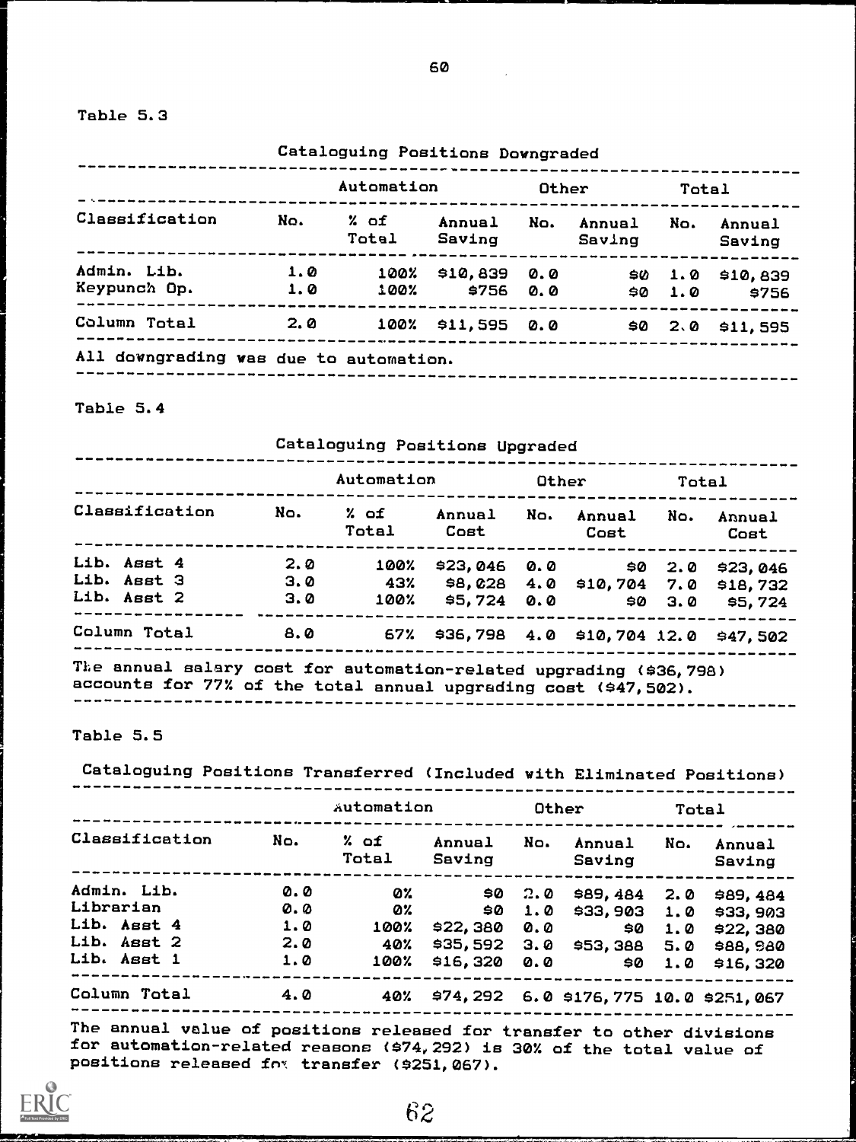Table 5.3

|                |     | Automation    |                      | Other |                  | Total |                    |
|----------------|-----|---------------|----------------------|-------|------------------|-------|--------------------|
| Classification | No. | % of<br>Total | Annual<br>Saving     | No.   | Annual<br>Saving | No.   | Annual<br>Saving   |
| Admin. Lib.    | 1.0 | 100%          | \$10,839 0.0         |       | 90               |       | $1.0$ \$10,839     |
| Keypunch Op.   | 1.0 | 100%          | \$756 0.0            |       | 90               | 1.0   | \$756              |
| Column Total   | 2.0 |               | $100\%$ \$11,595 0.0 |       |                  |       | $$0$ 2.0 $$11,595$ |

Table 5.4

Cataloguing Positions Upgraded

|                |     | Automation    |                                         | Other |                                    | Total    |                |
|----------------|-----|---------------|-----------------------------------------|-------|------------------------------------|----------|----------------|
| Classification | No. | % of<br>Total | Annual<br>Cost                          | No.   | Annual<br>Cost                     | No.      | Annual<br>Cost |
| Lib. Asst 4    | 2.0 | 100%          | $$23,046$ 0.0                           |       |                                    | 2.0      | \$23.046       |
| Lib. Asst 3    | 3.0 | 43%           |                                         |       | $$8,028$ 4.0 \$10,704 7.0 \$18,732 |          |                |
| Lib. Asst 2    | 3.0 | 100%          | \$5,724 0.0                             |       |                                    | \$0, 3.0 | \$5.724        |
| Column Total   | 8.0 |               | 67% \$36,798 4.0 \$10,704 12.0 \$47,502 |       |                                    |          |                |

Table 5.5

Cataloguing Positions Transferred (Included with Eliminated Positions)

|                |     | Automation    |                  |                | Other                                 |     | Total                  |
|----------------|-----|---------------|------------------|----------------|---------------------------------------|-----|------------------------|
| Classification | No. | % of<br>Total | Annual<br>Saving | No.            | Annual<br>Saving                      | No. | Annual<br>Saving       |
| Admin. Lib.    | 0.0 | Ø%            |                  | $$0 \quad 2.0$ |                                       |     | \$89,484 2.0 \$89,484  |
| Librarian      | 0.0 | Ø%            | 90.              | 1.0            |                                       |     | $$33,903$ 1.0 \$33,903 |
| Lib. Asst 4    | 1.0 | 100%          | \$22,380         | 0.0            | 90                                    | 1.0 | \$22,380               |
| Lib. Asst 2    | 2.0 | 40%           | $$35,592$ 3.0    |                | \$53,388 5.0 \$88,980                 |     |                        |
| Lib. Asst 1    | 1.0 | 100%          | $$16,320$ 0.0    |                | 90                                    | 1.0 | \$16.320               |
| Column Total   | 4.0 | 40%           |                  |                | \$74,292 6.0 \$176,775 10.0 \$251,067 |     |                        |

The annual value of positions released for transfer to other divisions for automation-related reasons (\$74,292) is 30% of the total value of positions released fox transfer (\$251,067).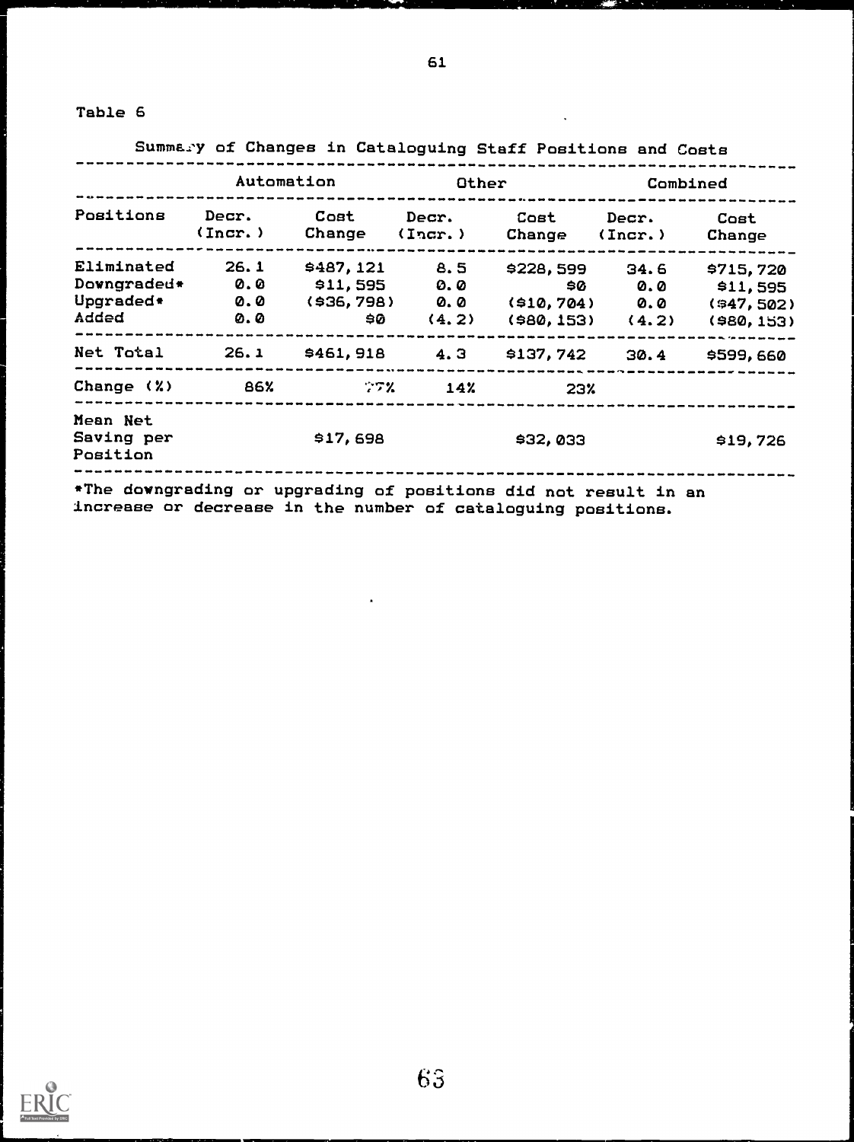|                                                            |                                                                  | Automation                               | Other                      |                             | Combined                                                |                                                  |
|------------------------------------------------------------|------------------------------------------------------------------|------------------------------------------|----------------------------|-----------------------------|---------------------------------------------------------|--------------------------------------------------|
| Positions                                                  |                                                                  | (Incr.) Change (Incr.)                   |                            | Decr. Cost Decr. Cost Decr. | Change (Incr.) Change                                   | Cost                                             |
| <b>Eliminated</b><br>Downgraded* 0.0<br>Upgraded*<br>Added | 26.1<br>$\boldsymbol{\mathsf{\scriptstyle{Q. Q}}}$<br><b>0.0</b> | $$487,121$ 8.5<br>$$11,595$ 0.0<br>\$⊘ ∴ | $( $36, 798)$ 0.0<br>(4.2) | \$0<br>(\$10,704)           | $$228,599$ $34.6$<br>0.0<br>0.0<br>$(980, 153)$ $(4.2)$ | \$715,720<br>\$11,595<br>(947,502)<br>(980, 153) |
| Net Total 26.1 \$461,918 4.3 \$137,742 30.4 \$599,660      |                                                                  |                                          |                            |                             |                                                         |                                                  |
| Change $(2)$ 86% $272$ 14%                                 |                                                                  |                                          |                            | 23%                         |                                                         |                                                  |
| Mean Net<br>Saving per<br>Position                         |                                                                  | \$17,698                                 |                            | \$32,033                    |                                                         | \$19,726                                         |

increase or decrease in the number of cataloguing positions.

 $\bar{\mathbf{x}}$ 

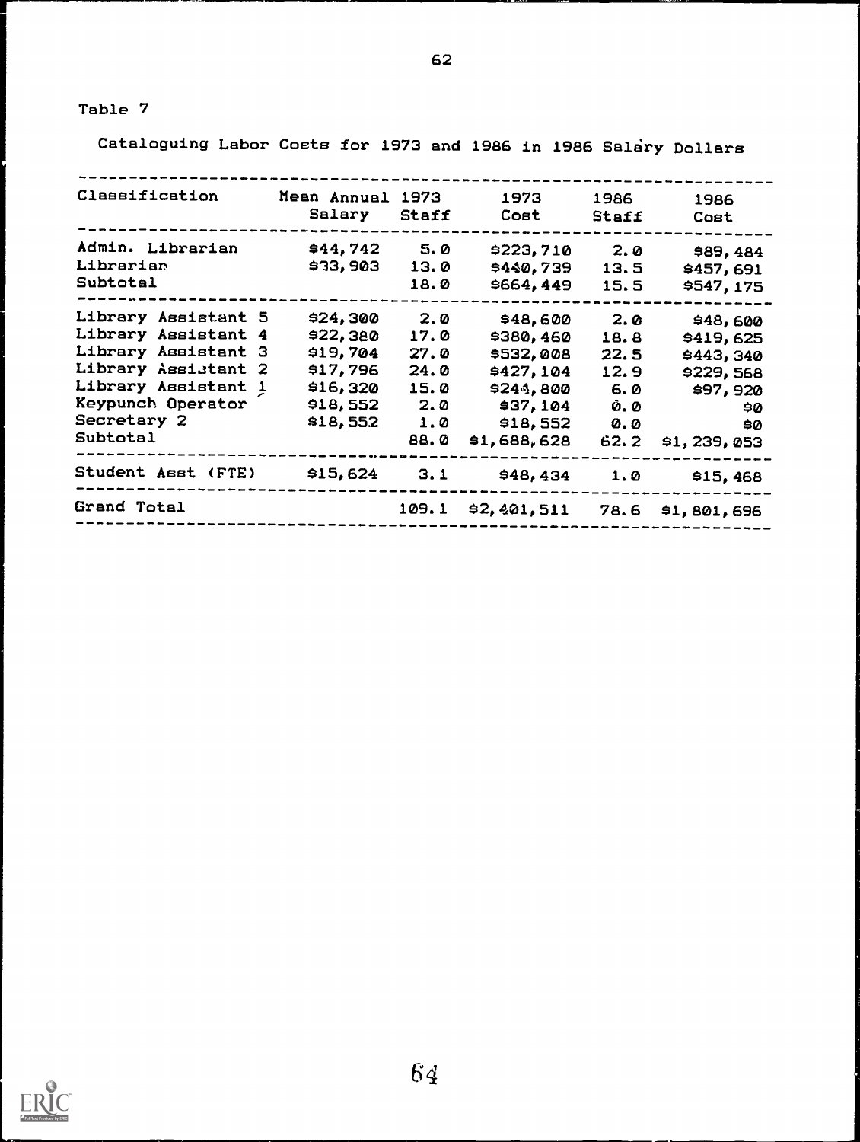Cataloguing Labor Costs for 1973 and 1986 in 1986 Salary Dollars

| Classification      | Mean Annual 1973 |       | 1973        | 1986         | 1986        |
|---------------------|------------------|-------|-------------|--------------|-------------|
|                     | Salary           | Staff | Cost        | <b>Staff</b> | Cost        |
| Admin. Librarian    | \$44,742         | 5.0   | \$223,710   | 2.0          | \$89,484    |
| Librarian           | \$33,903         | 13.0  | \$440,739   | 13.5         | \$457,691   |
| Subtotal            |                  | 18.0  | \$664,449   | 15.5         | \$547,175   |
| Library Assistant 5 | \$24,300         | 2.0   | \$48,600    | 2.0          | \$48,600    |
| Library Assistant 4 | \$22,380         | 17.0  | \$380,460   | 18.8         | \$419,625   |
| Library Assistant 3 | \$19,704         | 27.0  | \$532,008   | 22.5         | \$443,340   |
| Library Assistant 2 | \$17,796         | 24.0  | \$427,104   | 12.9         | \$229,568   |
| Library Assistant 1 | \$16,320         | 15.0  | \$244,800   | 6.0          | \$97,920    |
| Keypunch Operator   | \$18,552         | 2.0   | \$37,104    | <b>0.0</b>   | \$0         |
| Secretary 2         | \$18,552         | 1.0   | \$18,552    | <b>O.O</b>   | \$0         |
| Subtotal            |                  | 88.0  | \$1,688,628 | 62.2         | \$1,239,053 |
| Student Asst (FTE)  | \$15,624         | 3.1   | \$48,434    | 1.0          | \$15,468    |
| Grand Total         |                  | 109.1 | \$2,401,511 | 78.6         | \$1,801,696 |
|                     |                  |       |             |              |             |

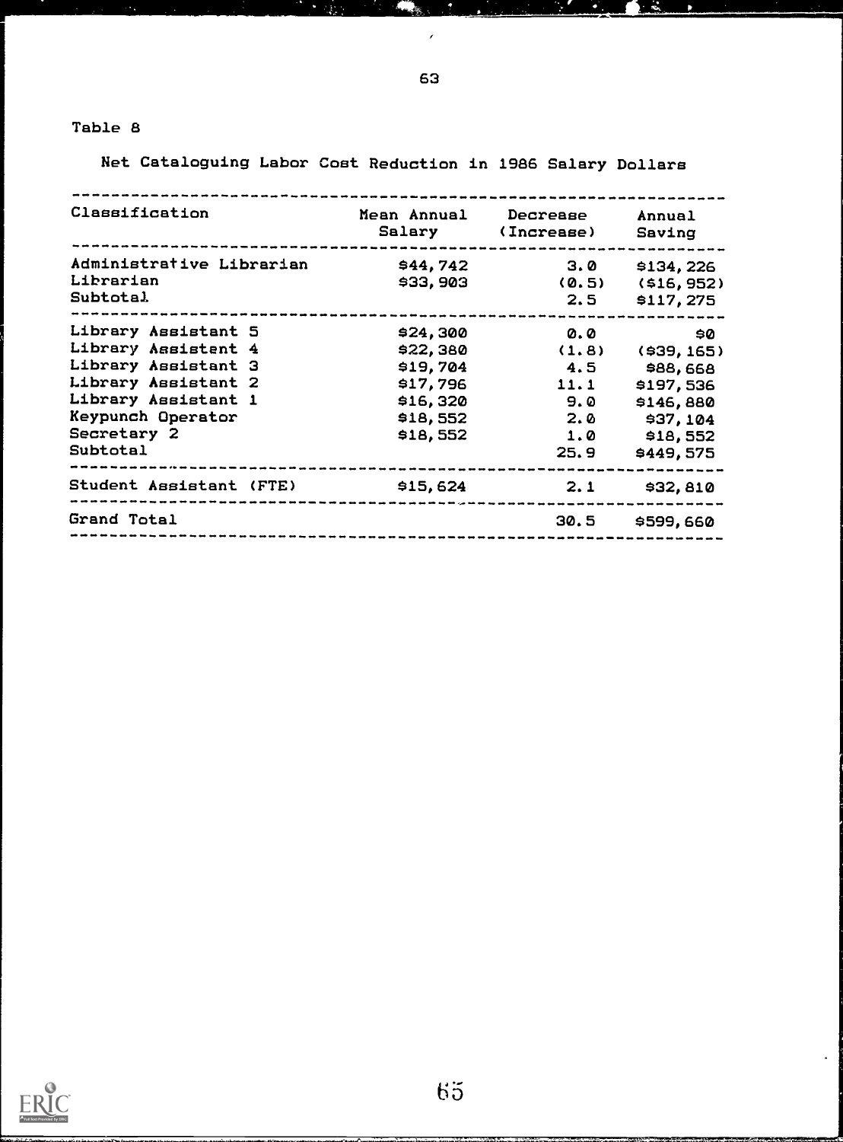Net Cataloguing Labor Cost Reduction in 1986 Salary Dollars

| Classification                                                                                                                                                  |                                                                                  | Mean Annual Decrease<br>Salary (Increase) | Annual<br>Saving                                                                                                                                        |
|-----------------------------------------------------------------------------------------------------------------------------------------------------------------|----------------------------------------------------------------------------------|-------------------------------------------|---------------------------------------------------------------------------------------------------------------------------------------------------------|
| Administrative Librarian<br>Librarian<br><b>Subtotal</b>                                                                                                        | \$44,742<br>\$33,903                                                             | 3.0<br>2.5                                | \$134,226<br>$(0.5)$ $(516, 952)$<br>\$117,275                                                                                                          |
| Library Assistant 5<br>Library Assistent 4<br>Library Assistant 3<br>Library Assistant 2<br>Library Assistant 1<br>Keypunch Operator<br>Secretary 2<br>Subtotal | \$24,300<br>\$22,380<br>\$19,704<br>\$17,796<br>\$16,320<br>\$18,552<br>\$18,552 | 4.5<br>11.1<br>9.0<br>2.0<br>1.0<br>25.9  | $\boldsymbol{\omega}$ . $\boldsymbol{\omega}$<br>SØ.<br>$(1.8)$ $(939, 165)$<br>\$88,668<br>\$197,536<br>\$146,880<br>\$37,104<br>\$18,552<br>\$449,575 |
| Student Assistant (FTE) \$15,624                                                                                                                                |                                                                                  |                                           | $2.1$ \$32,810                                                                                                                                          |
| Grand Total                                                                                                                                                     |                                                                                  |                                           | 30.5 \$599,660                                                                                                                                          |

 $65$ 

63

ô.

**Contract** 

 $\mathcal{L}_{\rm eff}$ 

 $\blacksquare$ 

 $\mathbf{R}$ 

 $\hat{\mathbf{z}}$ 

 $\mathbb{R}^n$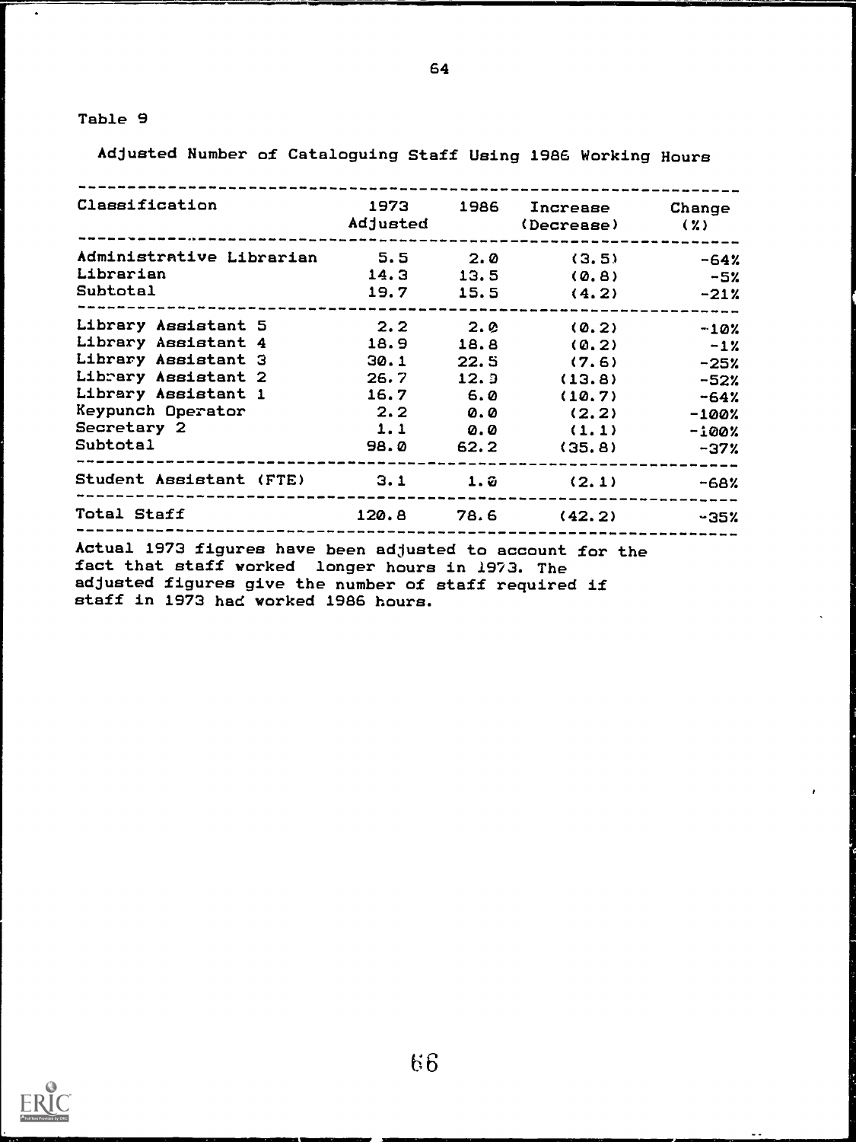$\bullet$ 

Adjusted Number of Cataloguing Staff Using 1986 Working Hours

| Classification                                      |      |      | 1973 1986 Increase Change<br>Adjusted (Decrease) (%) |          |
|-----------------------------------------------------|------|------|------------------------------------------------------|----------|
| Administrative Librarian 5.5 2.0 (3.5)<br>Librarian |      |      | $14.3$ $13.5$ (0.8) $-5\%$                           | -64%     |
| Subtotal                                            |      |      | $19.7$ $15.5$ $(4.2)$ $-21\%$                        |          |
| Library Assistant 5                                 |      |      | $2.2$ $2.0$ $(0.2)$                                  | $-10\%$  |
| Library Assistant 4 18.9                            |      |      | $18.8$ (0.2)                                         | $-1\%$   |
| Library Assistant 3                                 | 30.1 |      | $22.5$ (7.6)                                         | -25%     |
| Library Assistant 2 26.7                            |      | 12.9 | (13.8)                                               | -52%     |
| Library Assistant 1 16.7 6.0                        |      |      | (10.7)                                               | $-64%$   |
| Keypunch Operator                                   |      |      | $2.2$ 0.0 (2.2)                                      | $-100$ % |
| Secretary 2                                         |      |      | $1.1 \t\t 0.0 \t\t (1.1)$                            | $-100$ % |
| <b>Subtotal</b>                                     |      |      | $98.0$ $62.2$ $(35.8)$                               | $-37%$   |
| Student Assistant (FTE) $3.1$ $1.2$ $(2.1)$         |      |      |                                                      | -68%     |
| Total Staff<br>$120.8$ 78.6 $(42.2)$ $-35\%$        |      |      |                                                      |          |

Actual 1973 figures have been adjusted to account for the fact that staff worked longer hours in 1973. The adjusted figures give the number of staff required if staff in 1973 had worked 1986 hours.

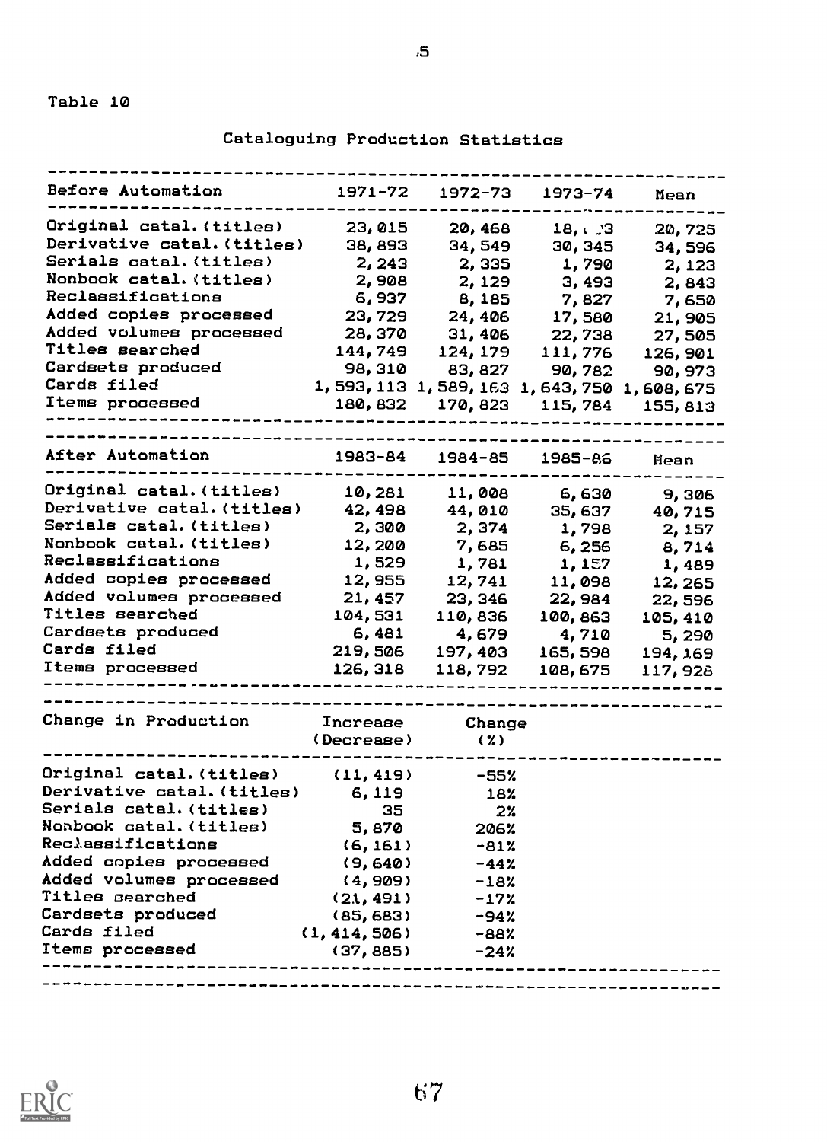Cataloguing Production Statistics

| Before Automation                     | 1971-72                                 | 1972-73                         | 1973-74              | Mean          |
|---------------------------------------|-----------------------------------------|---------------------------------|----------------------|---------------|
| Original catal.(titles)               | 23,015                                  | 20, 468                         | 18, 13               | 20,725        |
| Derivative catal. (titles)            | 38,893                                  | 34,549                          | 30, 345              | 34,596        |
| Serials catal. (titles)               | 2, 243                                  | 2,335                           | 1,790                | 2, 123        |
| Nonbook catal. (titles)               | 2,908                                   | 2, 129                          | 3, 493               | 2,843         |
| Reclassifications                     | 6,937                                   | 8,185                           | 7,827                | 7,650         |
| Added copies processed                | 23,729                                  | 24,406                          | 17,580               | 21,905        |
| Added volumes processed               | 28, 370                                 | 31,406                          |                      | 22,738 27,505 |
| Titles searched                       |                                         | 144,749 124,179 111,776         |                      | 126,901       |
| Cardsets produced                     |                                         | 98, 310 83, 827 90, 782 90, 973 |                      |               |
|                                       | 1,593,113 1,589,163 1,643,750 1,608,675 |                                 |                      |               |
| Cards filed<br>Items processed        |                                         |                                 |                      |               |
|                                       |                                         |                                 |                      |               |
| After Automation                      |                                         | 1983-84 1984-85 1985-86         |                      | Hean          |
| Original catal. (titles)              | 10,281                                  | 11,008                          |                      | 6,630 9,306   |
| Derivative catal. (titles)            |                                         | 42, 498 44, 010 35, 637 40, 715 |                      |               |
| Serials catal. (titles)               | 2,300                                   |                                 | 2, 374 1, 798 2, 157 |               |
| Nonbook catal. (titles)               | 12,200                                  |                                 | 7,685 6,256 8,714    |               |
| Reclassifications                     | 1,529                                   |                                 | 1,781 1,157 1,489    |               |
| Added copies processed                |                                         | 12,955 12,741 11,098            |                      | 12,265        |
| Added volumes processed               |                                         | $21,457$ 23, 346                | 22,984               | 22,596        |
| Titles searched                       | 104,531                                 | 110,836                         | 100, 863             | 105, 410      |
| Cardsets produced                     |                                         | $6,481$ $4,679$ $4,710$         |                      | 5,290         |
| Cards filed                           |                                         | 219,506 197,403 165,598         |                      | 194, 169      |
| Items processed<br>------------------ |                                         | 126, 318 118, 792 108, 675      |                      | 117,928       |
|                                       |                                         |                                 |                      |               |
| Change in Production                  | Increase                                | Change                          |                      |               |
|                                       | (Decrease)                              | 〈 % 〉                           |                      |               |
| Original catal.(titles) (11,419)      |                                         | -55%                            |                      |               |
| Derivative catal. (titles)            | 6,119                                   | 18%                             |                      |               |
| Serials catal. (titles)               | 35                                      | $2\%$                           |                      |               |
| Nonbook catal.(titles)                | 5,870                                   | 206%                            |                      |               |
| <b>Reclassifications</b>              | (6, 161)                                | $-81%$                          |                      |               |
| Added copies processed                | (9,640)                                 | $-44%$                          |                      |               |
| Added volumes processed               | (4, 909)                                | $-18%$                          |                      |               |
|                                       | (21, 491)                               | $-17%$                          |                      |               |
| Titles searched                       |                                         |                                 |                      |               |
| <b>Cardsets produced</b>              | (85, 683)                               | $-94%$                          |                      |               |
| Cards filed<br>Items processed        | (1, 414, 506)                           | $-88%$                          |                      |               |

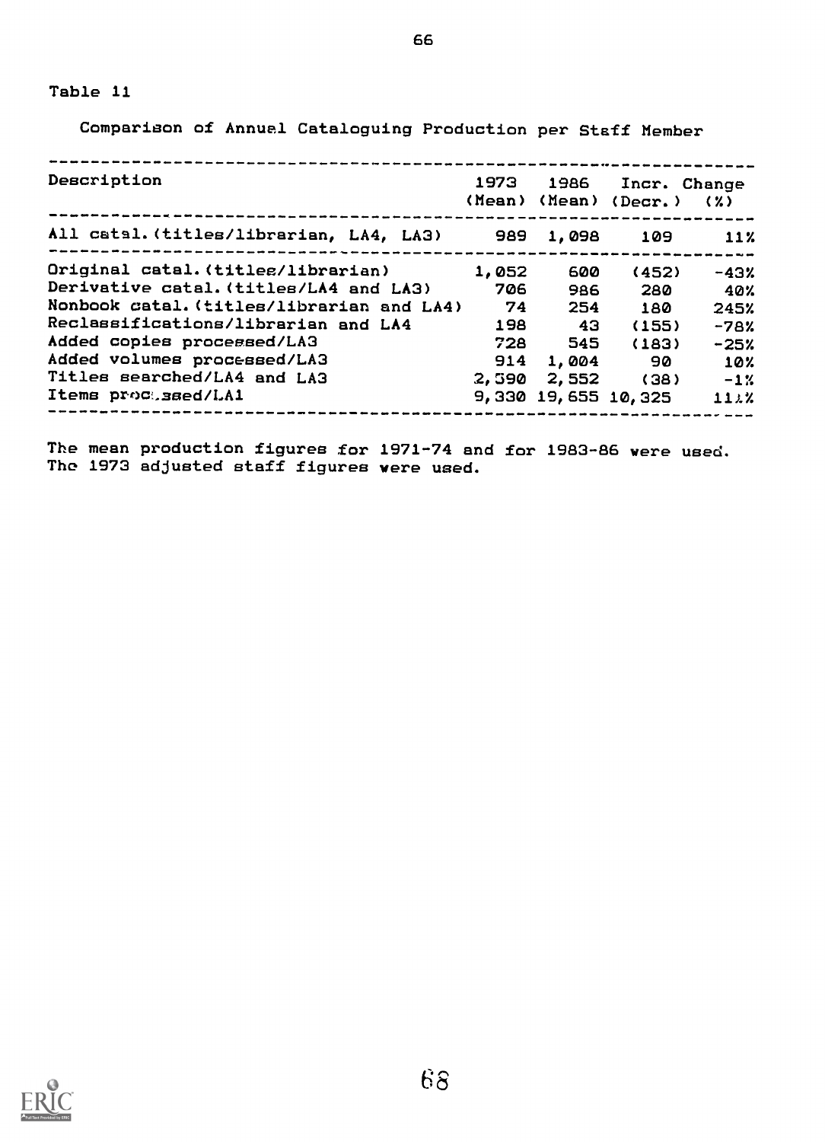Comparison of Annual Cataloguing Production per Staff Member

| Description                                    | 1973  | 1986            |                                          | Incr. Change |
|------------------------------------------------|-------|-----------------|------------------------------------------|--------------|
|                                                |       |                 | (Mean) (Mean) (Decr.)                    | (2)          |
| All catal. (titles/librarian, LA4, LA3) 989    |       | 1,098           | 109<br>--------------------------------- | 11%          |
| Original catal. (titles/librarian)             | 1,052 | 600             | (452)                                    | $-43%$       |
| Derivative catal. (titles/LA4 and LA3)         | 706   | 986             | 280                                      | - 40%        |
| Nonbook catal. (titles/librarian and LA4)      | 74    | 254             | 180                                      | 245%         |
| Reclassifications/librarian and LA4            | 198   | - 43            | (155)                                    | $-78%$       |
| Added copies processed/LA3                     | 728   | 545             | (183)                                    | $-25%$       |
| Added volumes processed/LA3                    | 914   | 1,004           | - 90                                     | 10%          |
| Titles searched/LA4 and LA3                    |       | $2,590$ $2,552$ | (38)                                     | $-1\%$       |
| Items proctssed/LA1<br>_______________________ |       |                 | 9,330 19,655 10,325                      | 11.22        |

The mean production figures for 1971-74 and for 1983-86 were used. The 1973 adjusted staff figures were used.